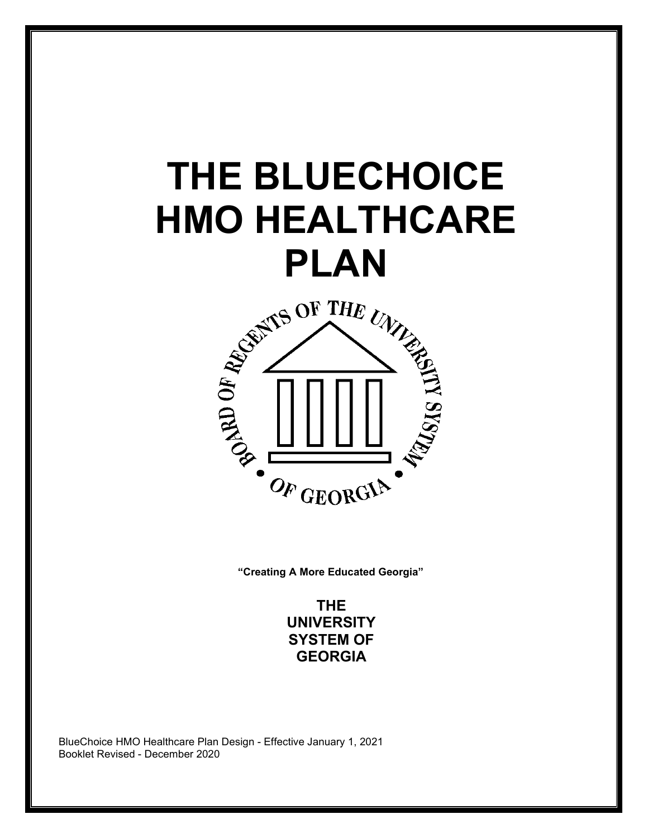# **THE BLUECHOICE HMO HEALTHCARE**



**"Creating A More Educated Georgia"**

**THE UNIVERSITY SYSTEM OF GEORGIA**

BlueChoice HMO Healthcare Plan Design - Effective January 1, 2021 Booklet Revised - December 2020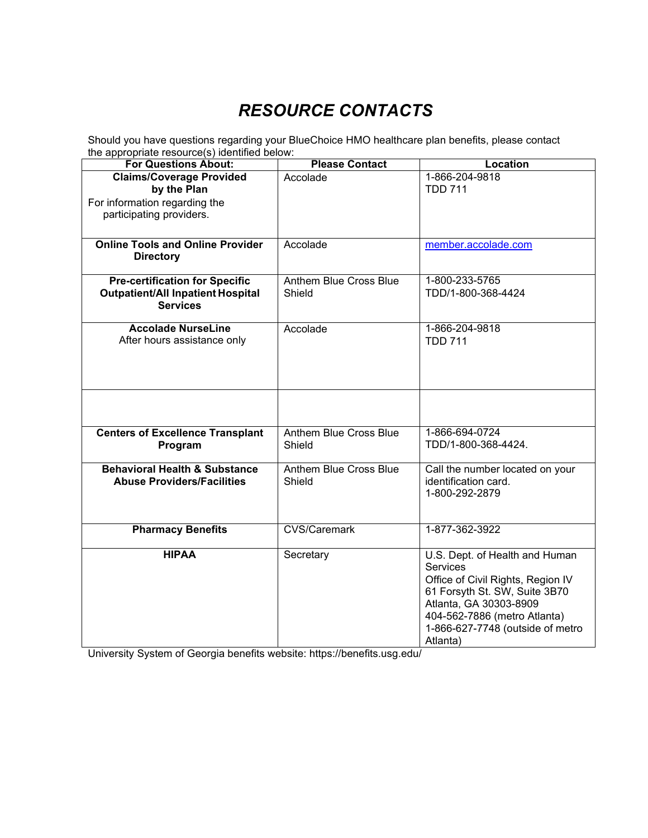# *RESOURCE CONTACTS*

Should you have questions regarding your BlueChoice HMO healthcare plan benefits, please contact the appropriate resource(s) identified below:

| <b>For Questions About:</b>              | <b>Please Contact</b>         | <b>Location</b>                                         |  |
|------------------------------------------|-------------------------------|---------------------------------------------------------|--|
| <b>Claims/Coverage Provided</b>          | Accolade                      | 1-866-204-9818                                          |  |
| by the Plan                              |                               | <b>TDD 711</b>                                          |  |
| For information regarding the            |                               |                                                         |  |
| participating providers.                 |                               |                                                         |  |
|                                          |                               |                                                         |  |
| <b>Online Tools and Online Provider</b>  | Accolade                      | member.accolade.com                                     |  |
| <b>Directory</b>                         |                               |                                                         |  |
|                                          |                               |                                                         |  |
| <b>Pre-certification for Specific</b>    | Anthem Blue Cross Blue        | 1-800-233-5765                                          |  |
| <b>Outpatient/All Inpatient Hospital</b> | Shield                        | TDD/1-800-368-4424                                      |  |
| <b>Services</b>                          |                               |                                                         |  |
|                                          |                               |                                                         |  |
| <b>Accolade NurseLine</b>                | Accolade                      | 1-866-204-9818                                          |  |
| After hours assistance only              |                               | <b>TDD 711</b>                                          |  |
|                                          |                               |                                                         |  |
|                                          |                               |                                                         |  |
|                                          |                               |                                                         |  |
|                                          |                               |                                                         |  |
|                                          |                               |                                                         |  |
|                                          |                               |                                                         |  |
| <b>Centers of Excellence Transplant</b>  | <b>Anthem Blue Cross Blue</b> | 1-866-694-0724                                          |  |
| Program                                  | Shield                        | TDD/1-800-368-4424.                                     |  |
| <b>Behavioral Health &amp; Substance</b> | Anthem Blue Cross Blue        |                                                         |  |
| <b>Abuse Providers/Facilities</b>        | Shield                        | Call the number located on your<br>identification card. |  |
|                                          |                               | 1-800-292-2879                                          |  |
|                                          |                               |                                                         |  |
|                                          |                               |                                                         |  |
| <b>Pharmacy Benefits</b>                 | <b>CVS/Caremark</b>           | 1-877-362-3922                                          |  |
|                                          |                               |                                                         |  |
| <b>HIPAA</b>                             | Secretary                     | U.S. Dept. of Health and Human                          |  |
|                                          |                               | <b>Services</b>                                         |  |
|                                          |                               | Office of Civil Rights, Region IV                       |  |
|                                          |                               | 61 Forsyth St. SW, Suite 3B70                           |  |
|                                          |                               | Atlanta, GA 30303-8909                                  |  |
|                                          |                               | 404-562-7886 (metro Atlanta)                            |  |
|                                          |                               | 1-866-627-7748 (outside of metro                        |  |
|                                          |                               | Atlanta)                                                |  |

University System of Georgia benefits website: https://benefits.usg.edu/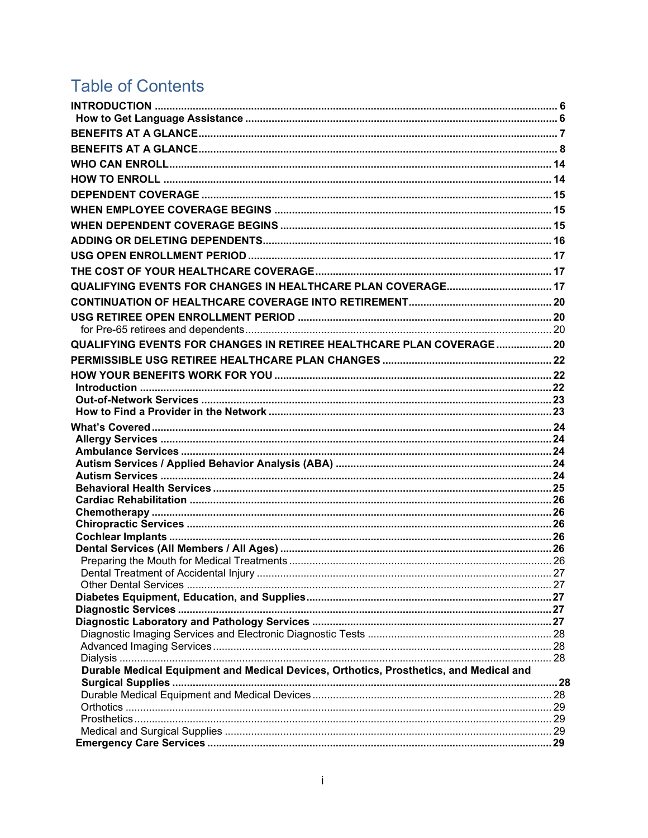# **Table of Contents**

| QUALIFYING EVENTS FOR CHANGES IN RETIREE HEALTHCARE PLAN COVERAGE 20                   |  |
|----------------------------------------------------------------------------------------|--|
|                                                                                        |  |
|                                                                                        |  |
|                                                                                        |  |
|                                                                                        |  |
|                                                                                        |  |
|                                                                                        |  |
|                                                                                        |  |
|                                                                                        |  |
|                                                                                        |  |
|                                                                                        |  |
|                                                                                        |  |
|                                                                                        |  |
|                                                                                        |  |
|                                                                                        |  |
|                                                                                        |  |
|                                                                                        |  |
|                                                                                        |  |
|                                                                                        |  |
|                                                                                        |  |
|                                                                                        |  |
|                                                                                        |  |
|                                                                                        |  |
|                                                                                        |  |
| Durable Medical Equipment and Medical Devices, Orthotics, Prosthetics, and Medical and |  |
|                                                                                        |  |
|                                                                                        |  |
|                                                                                        |  |
|                                                                                        |  |
|                                                                                        |  |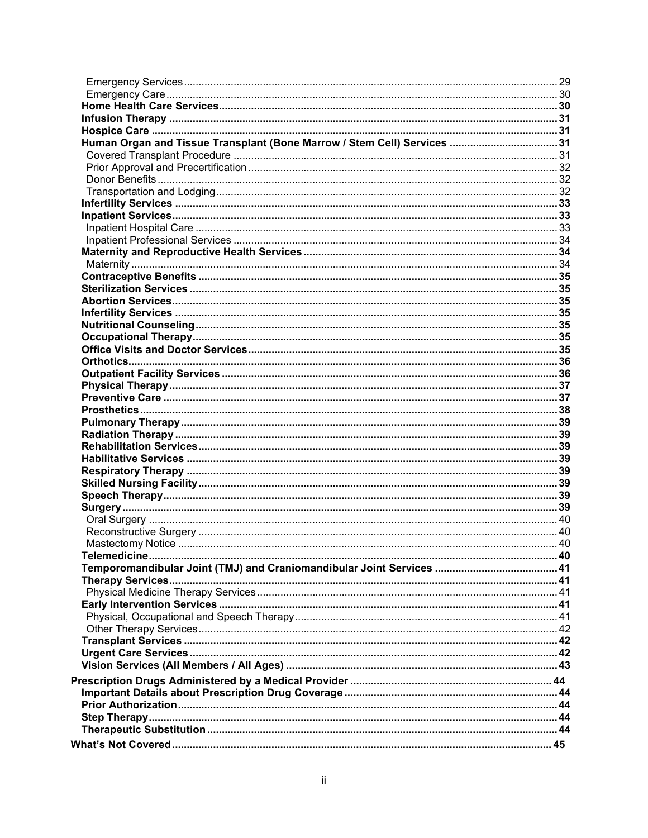| Human Organ and Tissue Transplant (Bone Marrow / Stem Cell) Services 31 |  |
|-------------------------------------------------------------------------|--|
|                                                                         |  |
|                                                                         |  |
|                                                                         |  |
|                                                                         |  |
|                                                                         |  |
|                                                                         |  |
|                                                                         |  |
|                                                                         |  |
|                                                                         |  |
|                                                                         |  |
|                                                                         |  |
|                                                                         |  |
|                                                                         |  |
|                                                                         |  |
|                                                                         |  |
|                                                                         |  |
|                                                                         |  |
|                                                                         |  |
|                                                                         |  |
|                                                                         |  |
|                                                                         |  |
|                                                                         |  |
|                                                                         |  |
|                                                                         |  |
|                                                                         |  |
|                                                                         |  |
|                                                                         |  |
|                                                                         |  |
|                                                                         |  |
|                                                                         |  |
|                                                                         |  |
|                                                                         |  |
|                                                                         |  |
|                                                                         |  |
|                                                                         |  |
|                                                                         |  |
|                                                                         |  |
|                                                                         |  |
|                                                                         |  |
|                                                                         |  |
|                                                                         |  |
|                                                                         |  |
|                                                                         |  |
|                                                                         |  |
|                                                                         |  |
|                                                                         |  |
|                                                                         |  |
|                                                                         |  |
|                                                                         |  |
|                                                                         |  |
|                                                                         |  |
|                                                                         |  |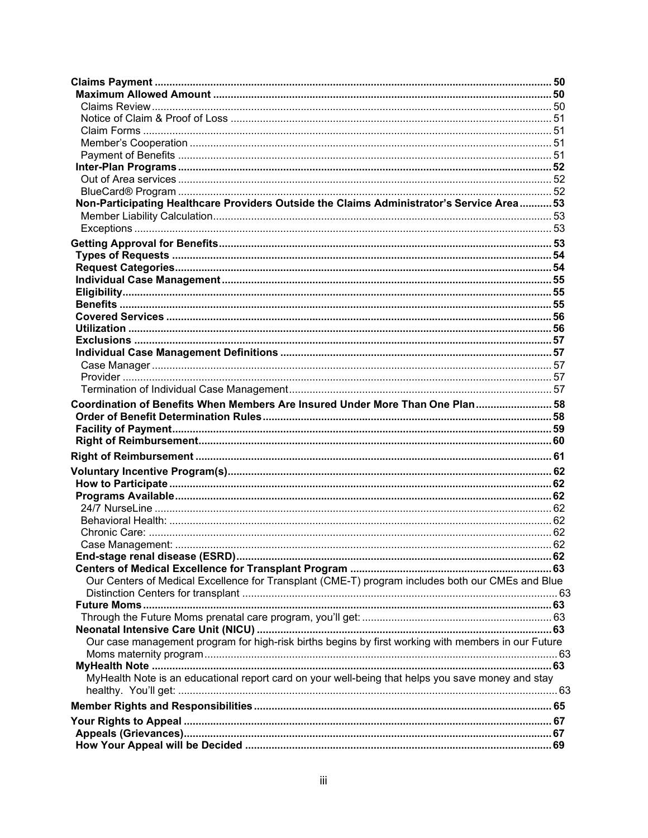| Non-Participating Healthcare Providers Outside the Claims Administrator's Service Area 53           |  |
|-----------------------------------------------------------------------------------------------------|--|
|                                                                                                     |  |
|                                                                                                     |  |
|                                                                                                     |  |
|                                                                                                     |  |
|                                                                                                     |  |
|                                                                                                     |  |
|                                                                                                     |  |
|                                                                                                     |  |
|                                                                                                     |  |
|                                                                                                     |  |
|                                                                                                     |  |
|                                                                                                     |  |
|                                                                                                     |  |
|                                                                                                     |  |
|                                                                                                     |  |
|                                                                                                     |  |
| Coordination of Benefits When Members Are Insured Under More Than One Plan 58                       |  |
|                                                                                                     |  |
|                                                                                                     |  |
|                                                                                                     |  |
|                                                                                                     |  |
|                                                                                                     |  |
|                                                                                                     |  |
|                                                                                                     |  |
|                                                                                                     |  |
|                                                                                                     |  |
|                                                                                                     |  |
|                                                                                                     |  |
|                                                                                                     |  |
|                                                                                                     |  |
|                                                                                                     |  |
|                                                                                                     |  |
| Our Centers of Medical Excellence for Transplant (CME-T) program includes both our CMEs and Blue    |  |
|                                                                                                     |  |
|                                                                                                     |  |
|                                                                                                     |  |
|                                                                                                     |  |
| Our case management program for high-risk births begins by first working with members in our Future |  |
|                                                                                                     |  |
|                                                                                                     |  |
| MyHealth Note is an educational report card on your well-being that helps you save money and stay   |  |
|                                                                                                     |  |
|                                                                                                     |  |
|                                                                                                     |  |
|                                                                                                     |  |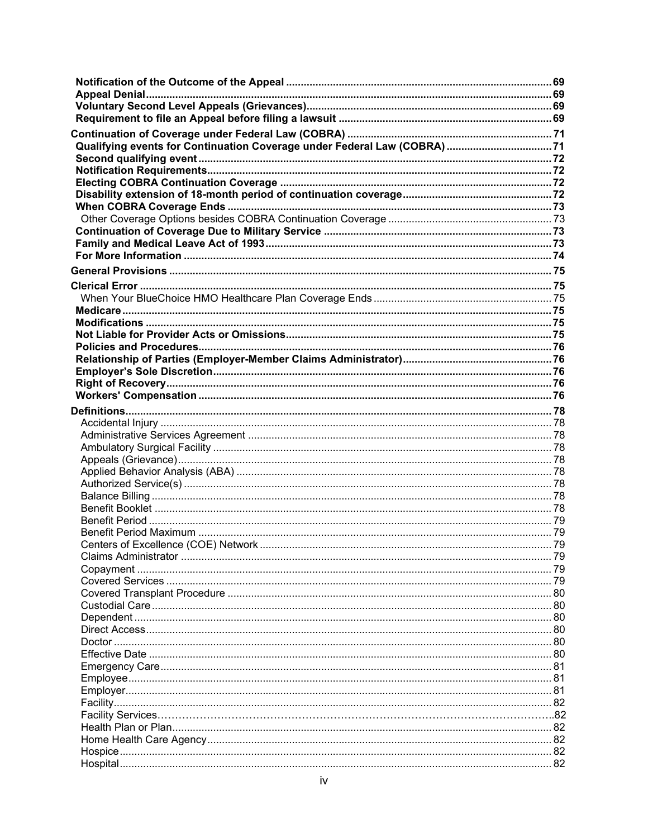| <b>Appeal Denial</b> |  |
|----------------------|--|
|                      |  |
|                      |  |
|                      |  |
|                      |  |
|                      |  |
|                      |  |
|                      |  |
|                      |  |
|                      |  |
|                      |  |
|                      |  |
|                      |  |
|                      |  |
|                      |  |
|                      |  |
|                      |  |
|                      |  |
|                      |  |
|                      |  |
|                      |  |
|                      |  |
|                      |  |
|                      |  |
|                      |  |
|                      |  |
|                      |  |
|                      |  |
|                      |  |
|                      |  |
|                      |  |
|                      |  |
|                      |  |
|                      |  |
|                      |  |
|                      |  |
|                      |  |
|                      |  |
|                      |  |
|                      |  |
|                      |  |
|                      |  |
|                      |  |
|                      |  |
|                      |  |
|                      |  |
|                      |  |
|                      |  |
|                      |  |
|                      |  |
|                      |  |
|                      |  |
|                      |  |
|                      |  |
|                      |  |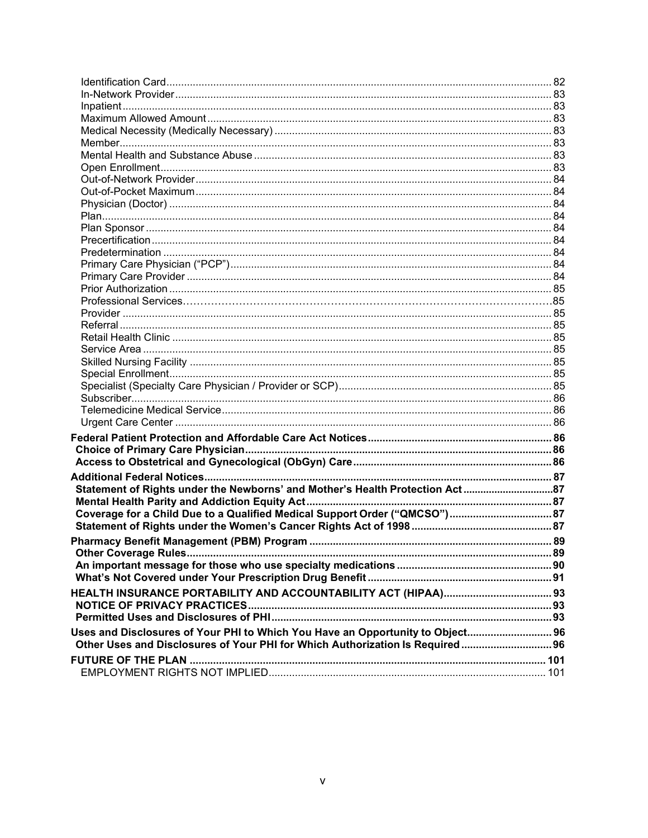| Coverage for a Child Due to a Qualified Medical Support Order ("QMCSO") 87     |  |
|--------------------------------------------------------------------------------|--|
|                                                                                |  |
|                                                                                |  |
|                                                                                |  |
|                                                                                |  |
|                                                                                |  |
|                                                                                |  |
|                                                                                |  |
|                                                                                |  |
|                                                                                |  |
| Uses and Disclosures of Your PHI to Which You Have an Opportunity to Object 96 |  |
| Other Uses and Disclosures of Your PHI for Which Authorization Is Required 96  |  |
|                                                                                |  |
|                                                                                |  |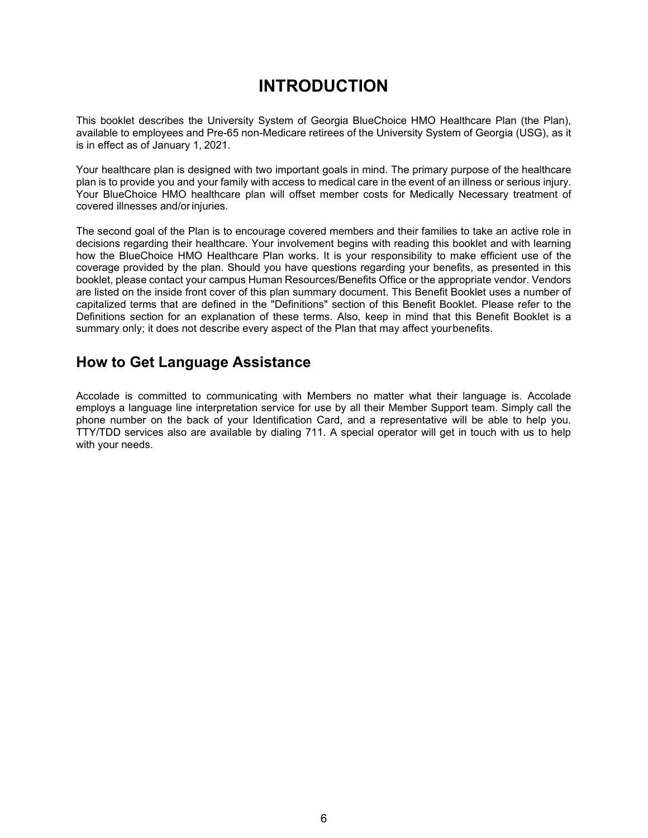# **INTRODUCTION**

<span id="page-7-0"></span>This booklet describes the University System of Georgia BlueChoice HMO Healthcare Plan (the Plan), available to employees and Pre-65 non-Medicare retirees of the University System of Georgia (USG), as it is in effect as of January 1, 2021.

Your healthcare plan is designed with two important goals in mind. The primary purpose of the healthcare plan is to provide you and your family with access to medical care in the event of an illness or serious injury. Your BlueChoice HMO healthcare plan will offset member costs for Medically Necessary treatment of covered illnesses and/or injuries.

The second goal of the Plan is to encourage covered members and their families to take an active role in decisions regarding their healthcare. Your involvement begins with reading this booklet and with learning how the BlueChoice HMO Healthcare Plan works. It is your responsibility to make efficient use of the coverage provided by the plan. Should you have questions regarding your benefits, as presented in this booklet, please contact your campus Human Resources/Benefits Office or the appropriate vendor. Vendors are listed on the inside front cover of this plan summary document. This Benefit Booklet uses a number of capitalized terms that are defined in the "Definitions" section of this Benefit Booklet. Please refer to the Definitions section for an explanation of these terms. Also, keep in mind that this Benefit Booklet is a summary only; it does not describe every aspect of the Plan that may affect yourbenefits.

## <span id="page-7-1"></span>**How to Get Language Assistance**

Accolade is committed to communicating with Members no matter what their language is. Accolade employs a language line interpretation service for use by all their Member Support team. Simply call the phone number on the back of your Identification Card, and a representative will be able to help you. TTY/TDD services also are available by dialing 711. A special operator will get in touch with us to help with your needs.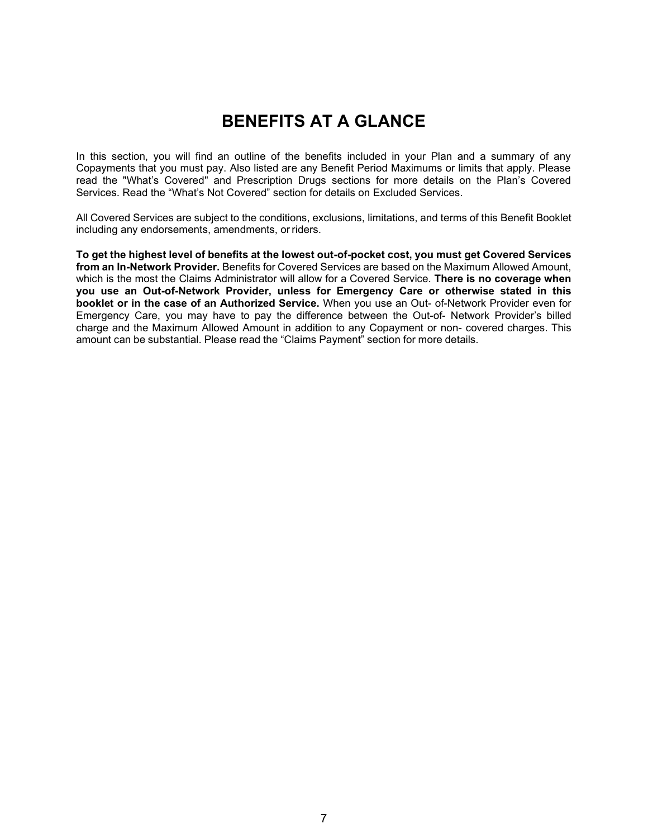# **BENEFITS AT A GLANCE**

<span id="page-8-0"></span>In this section, you will find an outline of the benefits included in your Plan and a summary of any Copayments that you must pay. Also listed are any Benefit Period Maximums or limits that apply. Please read the "What's Covered" and Prescription Drugs sections for more details on the Plan's Covered Services. Read the "What's Not Covered" section for details on Excluded Services.

All Covered Services are subject to the conditions, exclusions, limitations, and terms of this Benefit Booklet including any endorsements, amendments, or riders.

**To get the highest level of benefits at the lowest out-of-pocket cost, you must get Covered Services from an In-Network Provider.** Benefits for Covered Services are based on the Maximum Allowed Amount, which is the most the Claims Administrator will allow for a Covered Service. **There is no coverage when you use an Out-of-Network Provider, unless for Emergency Care or otherwise stated in this booklet or in the case of an Authorized Service.** When you use an Out- of-Network Provider even for Emergency Care, you may have to pay the difference between the Out-of- Network Provider's billed charge and the Maximum Allowed Amount in addition to any Copayment or non- covered charges. This amount can be substantial. Please read the "Claims Payment" section for more details.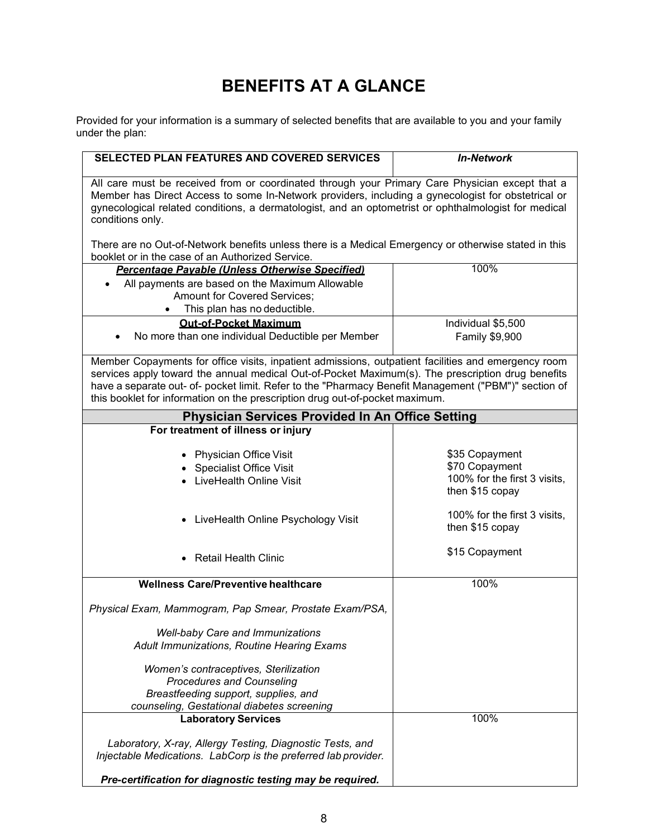# **BENEFITS AT A GLANCE**

<span id="page-9-0"></span>Provided for your information is a summary of selected benefits that are available to you and your family under the plan:

| <b>SELECTED PLAN FEATURES AND COVERED SERVICES</b>                                                                                                                                                                                                                                                                                                                                               | <b>In-Network</b>                                                                   |  |  |
|--------------------------------------------------------------------------------------------------------------------------------------------------------------------------------------------------------------------------------------------------------------------------------------------------------------------------------------------------------------------------------------------------|-------------------------------------------------------------------------------------|--|--|
| All care must be received from or coordinated through your Primary Care Physician except that a<br>Member has Direct Access to some In-Network providers, including a gynecologist for obstetrical or<br>gynecological related conditions, a dermatologist, and an optometrist or ophthalmologist for medical<br>conditions only.                                                                |                                                                                     |  |  |
| There are no Out-of-Network benefits unless there is a Medical Emergency or otherwise stated in this<br>booklet or in the case of an Authorized Service.                                                                                                                                                                                                                                         |                                                                                     |  |  |
| Percentage Pavable (Unless Otherwise Specified)                                                                                                                                                                                                                                                                                                                                                  | 100%                                                                                |  |  |
| All payments are based on the Maximum Allowable                                                                                                                                                                                                                                                                                                                                                  |                                                                                     |  |  |
| Amount for Covered Services;                                                                                                                                                                                                                                                                                                                                                                     |                                                                                     |  |  |
| This plan has no deductible.                                                                                                                                                                                                                                                                                                                                                                     |                                                                                     |  |  |
| <b>Out-of-Pocket Maximum</b>                                                                                                                                                                                                                                                                                                                                                                     | Individual \$5,500                                                                  |  |  |
| No more than one individual Deductible per Member                                                                                                                                                                                                                                                                                                                                                | Family \$9,900                                                                      |  |  |
| Member Copayments for office visits, inpatient admissions, outpatient facilities and emergency room<br>services apply toward the annual medical Out-of-Pocket Maximum(s). The prescription drug benefits<br>have a separate out- of- pocket limit. Refer to the "Pharmacy Benefit Management ("PBM")" section of<br>this booklet for information on the prescription drug out-of-pocket maximum. |                                                                                     |  |  |
| <b>Physician Services Provided In An Office Setting</b>                                                                                                                                                                                                                                                                                                                                          |                                                                                     |  |  |
| For treatment of illness or injury                                                                                                                                                                                                                                                                                                                                                               |                                                                                     |  |  |
| Physician Office Visit<br>• Specialist Office Visit<br>LiveHealth Online Visit                                                                                                                                                                                                                                                                                                                   | \$35 Copayment<br>\$70 Copayment<br>100% for the first 3 visits,<br>then \$15 copay |  |  |
| LiveHealth Online Psychology Visit<br>$\bullet$                                                                                                                                                                                                                                                                                                                                                  | 100% for the first 3 visits,<br>then \$15 copay                                     |  |  |
| <b>Retail Health Clinic</b><br>$\bullet$                                                                                                                                                                                                                                                                                                                                                         | \$15 Copayment                                                                      |  |  |
| <b>Wellness Care/Preventive healthcare</b>                                                                                                                                                                                                                                                                                                                                                       | 100%                                                                                |  |  |
| Physical Exam, Mammogram, Pap Smear, Prostate Exam/PSA,                                                                                                                                                                                                                                                                                                                                          |                                                                                     |  |  |
| <b>Well-baby Care and Immunizations</b><br>Adult Immunizations, Routine Hearing Exams                                                                                                                                                                                                                                                                                                            |                                                                                     |  |  |
| Women's contraceptives, Sterilization<br><b>Procedures and Counseling</b><br>Breastfeeding support, supplies, and<br>counseling, Gestational diabetes screening                                                                                                                                                                                                                                  |                                                                                     |  |  |
| <b>Laboratory Services</b>                                                                                                                                                                                                                                                                                                                                                                       | 100%                                                                                |  |  |
| Laboratory, X-ray, Allergy Testing, Diagnostic Tests, and<br>Injectable Medications. LabCorp is the preferred lab provider.<br>Pre-certification for diagnostic testing may be required.                                                                                                                                                                                                         |                                                                                     |  |  |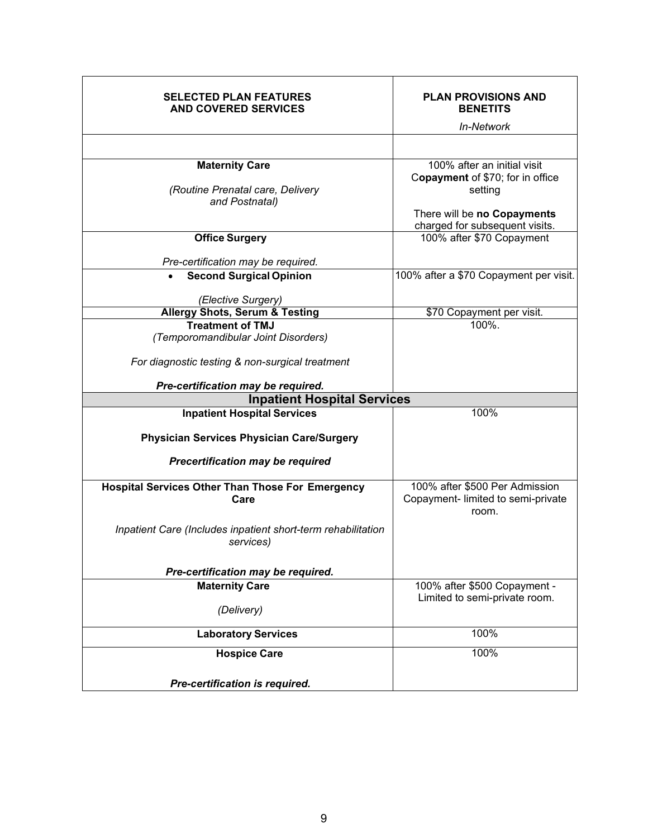| <b>SELECTED PLAN FEATURES</b><br><b>AND COVERED SERVICES</b>                | <b>PLAN PROVISIONS AND</b><br><b>BENETITS</b>                                                                                               |
|-----------------------------------------------------------------------------|---------------------------------------------------------------------------------------------------------------------------------------------|
|                                                                             | In-Network                                                                                                                                  |
|                                                                             |                                                                                                                                             |
| <b>Maternity Care</b><br>(Routine Prenatal care, Delivery<br>and Postnatal) | 100% after an initial visit<br>Copayment of \$70; for in office<br>setting<br>There will be no Copayments<br>charged for subsequent visits. |
| <b>Office Surgery</b>                                                       | 100% after \$70 Copayment                                                                                                                   |
| Pre-certification may be required.<br><b>Second Surgical Opinion</b>        | 100% after a \$70 Copayment per visit.                                                                                                      |
|                                                                             |                                                                                                                                             |
| (Elective Surgery)                                                          |                                                                                                                                             |
| <b>Allergy Shots, Serum &amp; Testing</b>                                   | \$70 Copayment per visit.                                                                                                                   |
| <b>Treatment of TMJ</b><br>(Temporomandibular Joint Disorders)              | 100%.                                                                                                                                       |
| For diagnostic testing & non-surgical treatment                             |                                                                                                                                             |
| Pre-certification may be required.                                          |                                                                                                                                             |
| <b>Inpatient Hospital Services</b>                                          |                                                                                                                                             |
| <b>Inpatient Hospital Services</b>                                          | 100%                                                                                                                                        |
| <b>Physician Services Physician Care/Surgery</b>                            |                                                                                                                                             |
| <b>Precertification may be required</b>                                     |                                                                                                                                             |
| <b>Hospital Services Other Than Those For Emergency</b><br>Care             | 100% after \$500 Per Admission<br>Copayment- limited to semi-private<br>room.                                                               |
| Inpatient Care (Includes inpatient short-term rehabilitation<br>services)   |                                                                                                                                             |
| Pre-certification may be required.                                          |                                                                                                                                             |
| <b>Maternity Care</b>                                                       | 100% after \$500 Copayment -                                                                                                                |
| (Delivery)                                                                  | Limited to semi-private room.                                                                                                               |
|                                                                             |                                                                                                                                             |
| <b>Laboratory Services</b>                                                  | 100%                                                                                                                                        |
| <b>Hospice Care</b>                                                         | 100%                                                                                                                                        |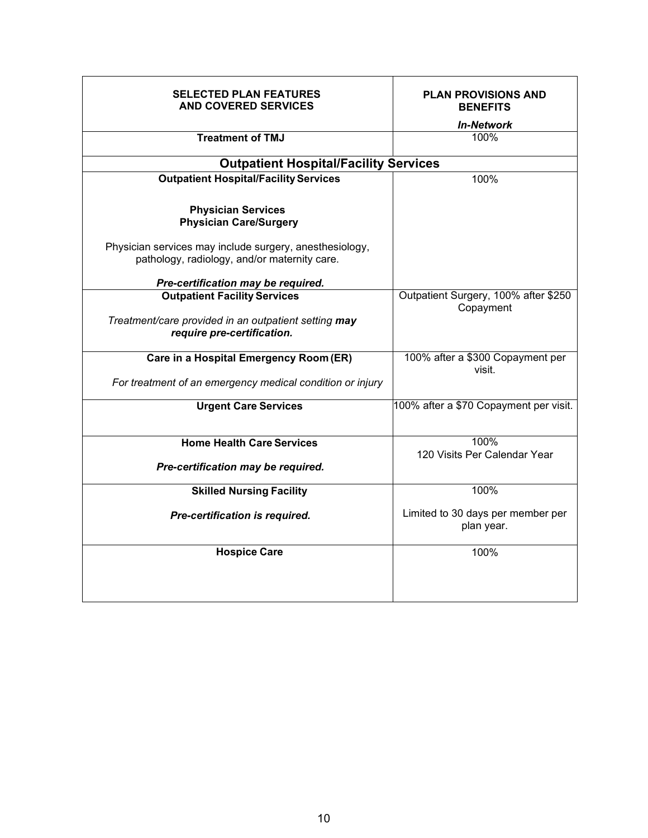| <b>SELECTED PLAN FEATURES</b><br><b>AND COVERED SERVICES</b>                                            | <b>PLAN PROVISIONS AND</b><br><b>BENEFITS</b><br><b>In-Network</b> |
|---------------------------------------------------------------------------------------------------------|--------------------------------------------------------------------|
| <b>Treatment of TMJ</b>                                                                                 | 100%                                                               |
| <b>Outpatient Hospital/Facility Services</b>                                                            |                                                                    |
| <b>Outpatient Hospital/Facility Services</b>                                                            | 100%                                                               |
| <b>Physician Services</b><br><b>Physician Care/Surgery</b>                                              |                                                                    |
| Physician services may include surgery, anesthesiology,<br>pathology, radiology, and/or maternity care. |                                                                    |
| Pre-certification may be required.                                                                      |                                                                    |
| <b>Outpatient Facility Services</b>                                                                     | Outpatient Surgery, 100% after \$250<br>Copayment                  |
| Treatment/care provided in an outpatient setting may<br>require pre-certification.                      |                                                                    |
| Care in a Hospital Emergency Room (ER)                                                                  | 100% after a \$300 Copayment per<br>visit.                         |
| For treatment of an emergency medical condition or injury                                               |                                                                    |
| <b>Urgent Care Services</b>                                                                             | 100% after a \$70 Copayment per visit.                             |
| <b>Home Health Care Services</b>                                                                        | 100%                                                               |
|                                                                                                         | 120 Visits Per Calendar Year                                       |
| Pre-certification may be required.                                                                      |                                                                    |
| <b>Skilled Nursing Facility</b>                                                                         | 100%                                                               |
| Pre-certification is required.                                                                          | Limited to 30 days per member per<br>plan year.                    |
| <b>Hospice Care</b>                                                                                     | 100%                                                               |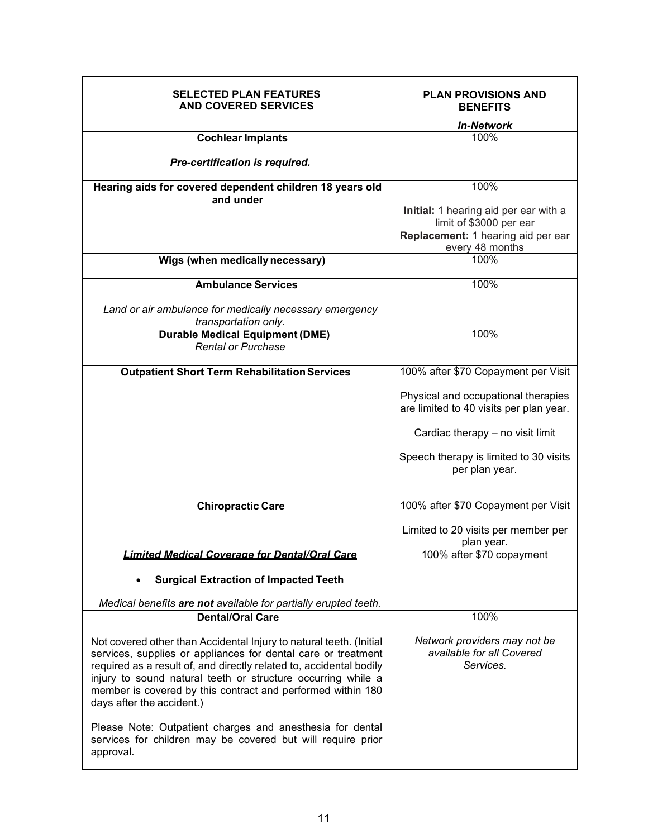| <b>SELECTED PLAN FEATURES</b><br><b>AND COVERED SERVICES</b>                                                                                                                                                                                                                                                                                                            | <b>PLAN PROVISIONS AND</b><br><b>BENEFITS</b>                                  |
|-------------------------------------------------------------------------------------------------------------------------------------------------------------------------------------------------------------------------------------------------------------------------------------------------------------------------------------------------------------------------|--------------------------------------------------------------------------------|
|                                                                                                                                                                                                                                                                                                                                                                         | <b>In-Network</b>                                                              |
| <b>Cochlear Implants</b>                                                                                                                                                                                                                                                                                                                                                | 100%                                                                           |
| Pre-certification is required.                                                                                                                                                                                                                                                                                                                                          |                                                                                |
| Hearing aids for covered dependent children 18 years old                                                                                                                                                                                                                                                                                                                | 100%                                                                           |
| and under                                                                                                                                                                                                                                                                                                                                                               |                                                                                |
|                                                                                                                                                                                                                                                                                                                                                                         | Initial: 1 hearing aid per ear with a                                          |
|                                                                                                                                                                                                                                                                                                                                                                         | limit of \$3000 per ear                                                        |
|                                                                                                                                                                                                                                                                                                                                                                         | Replacement: 1 hearing aid per ear                                             |
| Wigs (when medically necessary)                                                                                                                                                                                                                                                                                                                                         | every 48 months<br>100%                                                        |
|                                                                                                                                                                                                                                                                                                                                                                         |                                                                                |
| <b>Ambulance Services</b>                                                                                                                                                                                                                                                                                                                                               | 100%                                                                           |
|                                                                                                                                                                                                                                                                                                                                                                         |                                                                                |
| Land or air ambulance for medically necessary emergency<br>transportation only.                                                                                                                                                                                                                                                                                         |                                                                                |
| <b>Durable Medical Equipment (DME)</b>                                                                                                                                                                                                                                                                                                                                  | 100%                                                                           |
| <b>Rental or Purchase</b>                                                                                                                                                                                                                                                                                                                                               |                                                                                |
| <b>Outpatient Short Term Rehabilitation Services</b>                                                                                                                                                                                                                                                                                                                    | 100% after \$70 Copayment per Visit                                            |
|                                                                                                                                                                                                                                                                                                                                                                         | Physical and occupational therapies<br>are limited to 40 visits per plan year. |
|                                                                                                                                                                                                                                                                                                                                                                         | Cardiac therapy - no visit limit                                               |
|                                                                                                                                                                                                                                                                                                                                                                         | Speech therapy is limited to 30 visits<br>per plan year.                       |
|                                                                                                                                                                                                                                                                                                                                                                         | 100% after \$70 Copayment per Visit                                            |
| <b>Chiropractic Care</b>                                                                                                                                                                                                                                                                                                                                                |                                                                                |
|                                                                                                                                                                                                                                                                                                                                                                         | Limited to 20 visits per member per                                            |
|                                                                                                                                                                                                                                                                                                                                                                         | plan year.                                                                     |
| <b>Limited Medical Coverage for Dental/Oral Care</b>                                                                                                                                                                                                                                                                                                                    | 100% after \$70 copayment                                                      |
| <b>Surgical Extraction of Impacted Teeth</b>                                                                                                                                                                                                                                                                                                                            |                                                                                |
| Medical benefits are not available for partially erupted teeth.                                                                                                                                                                                                                                                                                                         |                                                                                |
| <b>Dental/Oral Care</b>                                                                                                                                                                                                                                                                                                                                                 | 100%                                                                           |
|                                                                                                                                                                                                                                                                                                                                                                         |                                                                                |
| Not covered other than Accidental Injury to natural teeth. (Initial<br>services, supplies or appliances for dental care or treatment<br>required as a result of, and directly related to, accidental bodily<br>injury to sound natural teeth or structure occurring while a<br>member is covered by this contract and performed within 180<br>days after the accident.) | Network providers may not be<br>available for all Covered<br>Services.         |
| Please Note: Outpatient charges and anesthesia for dental<br>services for children may be covered but will require prior<br>approval.                                                                                                                                                                                                                                   |                                                                                |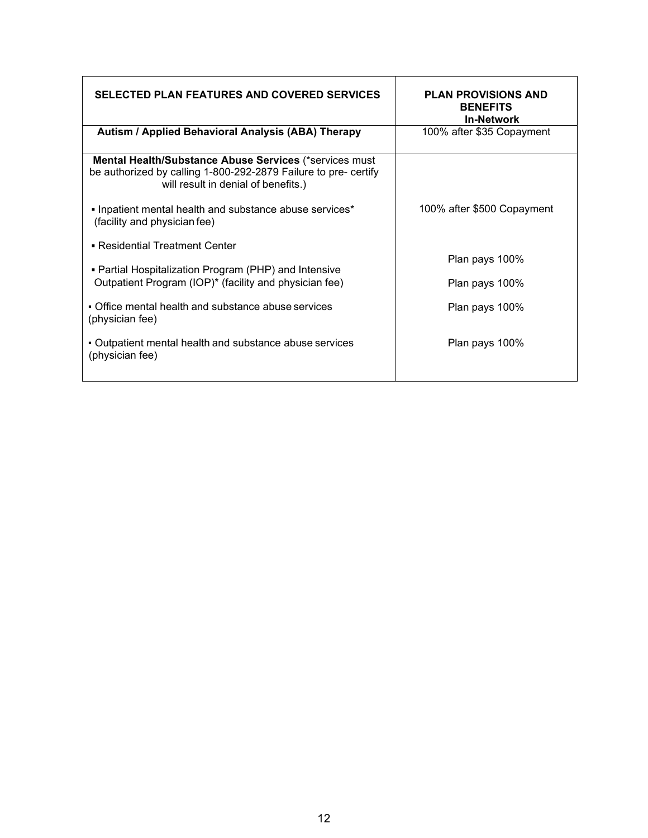| <b>SELECTED PLAN FEATURES AND COVERED SERVICES</b>                                                                                                               | <b>PLAN PROVISIONS AND</b><br><b>BENEFITS</b><br><b>In-Network</b> |
|------------------------------------------------------------------------------------------------------------------------------------------------------------------|--------------------------------------------------------------------|
| Autism / Applied Behavioral Analysis (ABA) Therapy                                                                                                               | 100% after \$35 Copayment                                          |
| Mental Health/Substance Abuse Services (*services must<br>be authorized by calling 1-800-292-2879 Failure to pre- certify<br>will result in denial of benefits.) |                                                                    |
| • Inpatient mental health and substance abuse services*<br>(facility and physician fee)                                                                          | 100% after \$500 Copayment                                         |
| • Residential Treatment Center                                                                                                                                   |                                                                    |
| • Partial Hospitalization Program (PHP) and Intensive                                                                                                            | Plan pays 100%                                                     |
| Outpatient Program (IOP)* (facility and physician fee)                                                                                                           | Plan pays 100%                                                     |
| • Office mental health and substance abuse services<br>(physician fee)                                                                                           | Plan pays 100%                                                     |
| • Outpatient mental health and substance abuse services<br>(physician fee)                                                                                       | Plan pays 100%                                                     |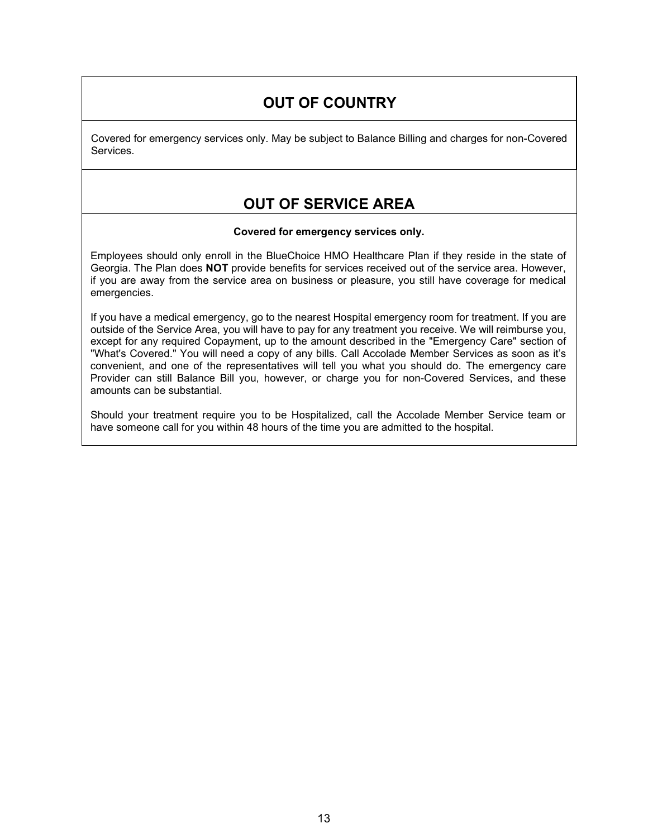# **OUT OF COUNTRY**

Covered for emergency services only. May be subject to Balance Billing and charges for non-Covered Services.

# **OUT OF SERVICE AREA**

#### **Covered for emergency services only.**

Employees should only enroll in the BlueChoice HMO Healthcare Plan if they reside in the state of Georgia. The Plan does **NOT** provide benefits for services received out of the service area. However, if you are away from the service area on business or pleasure, you still have coverage for medical emergencies.

If you have a medical emergency, go to the nearest Hospital emergency room for treatment. If you are outside of the Service Area, you will have to pay for any treatment you receive. We will reimburse you, except for any required Copayment, up to the amount described in the "Emergency Care" section of "What's Covered." You will need a copy of any bills. Call Accolade Member Services as soon as it's convenient, and one of the representatives will tell you what you should do. The emergency care Provider can still Balance Bill you, however, or charge you for non-Covered Services, and these amounts can be substantial.

Should your treatment require you to be Hospitalized, call the Accolade Member Service team or have someone call for you within 48 hours of the time you are admitted to the hospital.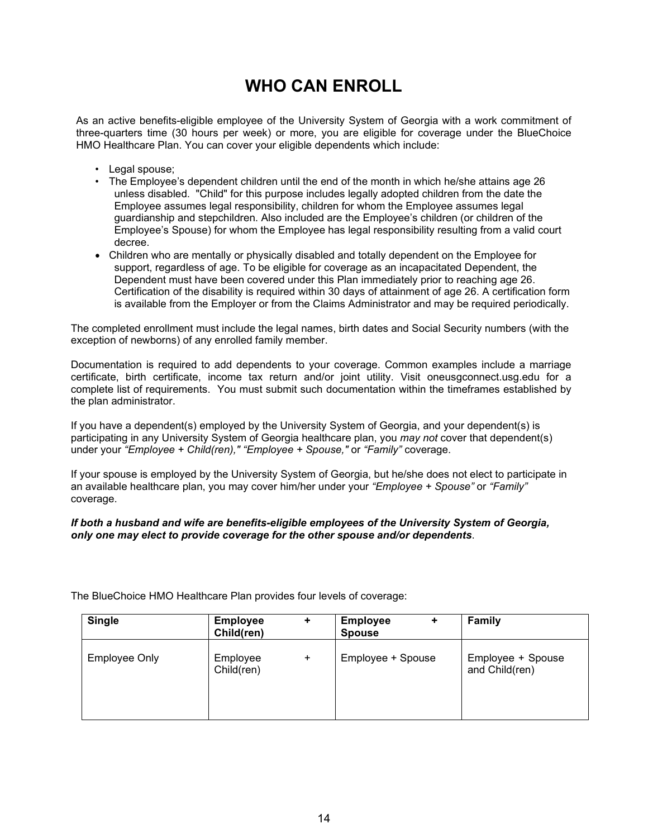# **WHO CAN ENROLL**

<span id="page-15-0"></span>As an active benefits-eligible employee of the University System of Georgia with a work commitment of three-quarters time (30 hours per week) or more, you are eligible for coverage under the BlueChoice HMO Healthcare Plan. You can cover your eligible dependents which include:

- Legal spouse;
- The Employee's dependent children until the end of the month in which he/she attains age 26 unless disabled. "Child" for this purpose includes legally adopted children from the date the Employee assumes legal responsibility, children for whom the Employee assumes legal guardianship and stepchildren. Also included are the Employee's children (or children of the Employee's Spouse) for whom the Employee has legal responsibility resulting from a valid court decree.
- Children who are mentally or physically disabled and totally dependent on the Employee for support, regardless of age. To be eligible for coverage as an incapacitated Dependent, the Dependent must have been covered under this Plan immediately prior to reaching age 26. Certification of the disability is required within 30 days of attainment of age 26. A certification form is available from the Employer or from the Claims Administrator and may be required periodically.

The completed enrollment must include the legal names, birth dates and Social Security numbers (with the exception of newborns) of any enrolled family member.

Documentation is required to add dependents to your coverage. Common examples include a marriage certificate, birth certificate, income tax return and/or joint utility. Visit oneusgconnect.usg.edu for a complete list of requirements. You must submit such documentation within the timeframes established by the plan administrator.

If you have a dependent(s) employed by the University System of Georgia, and your dependent(s) is participating in any University System of Georgia healthcare plan, you *may not* cover that dependent(s) under your *"Employee + Child(ren)," "Employee + Spouse,"* or *"Family"* coverage.

If your spouse is employed by the University System of Georgia, but he/she does not elect to participate in an available healthcare plan, you may cover him/her under your *"Employee + Spouse"* or *"Family"*  coverage.

#### *If both a husband and wife are benefits-eligible employees of the University System of Georgia, only one may elect to provide coverage for the other spouse and/or dependents*.

<span id="page-15-1"></span>

| <b>Single</b>        | <b>Employee</b><br>Child(ren) | $\ddot{}$ | <b>Employee</b><br>٠<br><b>Spouse</b> | Family                              |
|----------------------|-------------------------------|-----------|---------------------------------------|-------------------------------------|
| <b>Employee Only</b> | Employee<br>Child(ren)        | $\ddot{}$ | Employee + Spouse                     | Employee + Spouse<br>and Child(ren) |

The BlueChoice HMO Healthcare Plan provides four levels of coverage: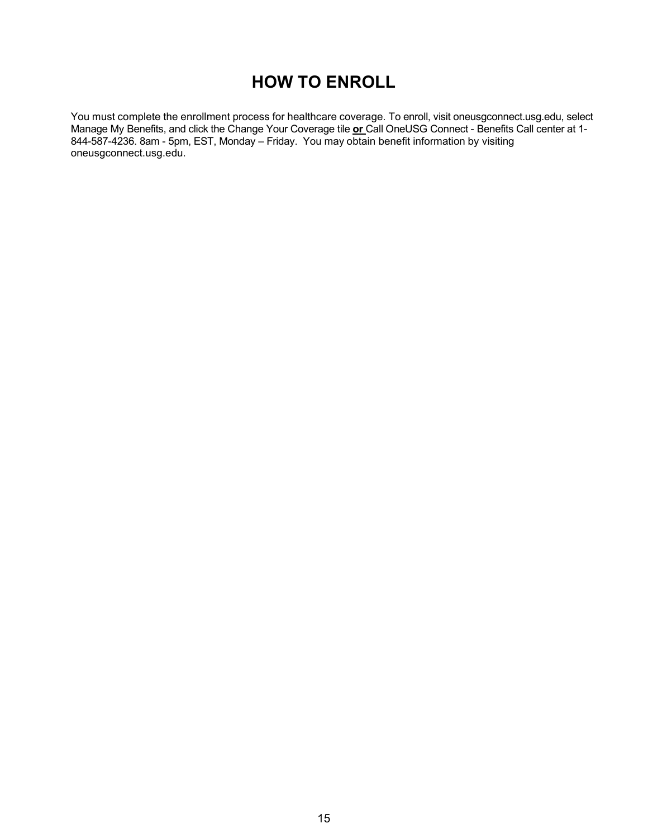# **HOW TO ENROLL**

You must complete the enrollment process for healthcare coverage. To enroll, visit oneusgconnect.usg.edu, select Manage My Benefits, and click the Change Your Coverage tile **or** Call OneUSG Connect - Benefits Call center at 1- 844-587-4236. 8am - 5pm, EST, Monday – Friday. You may obtain benefit information by visiting oneusgconnect.usg.edu.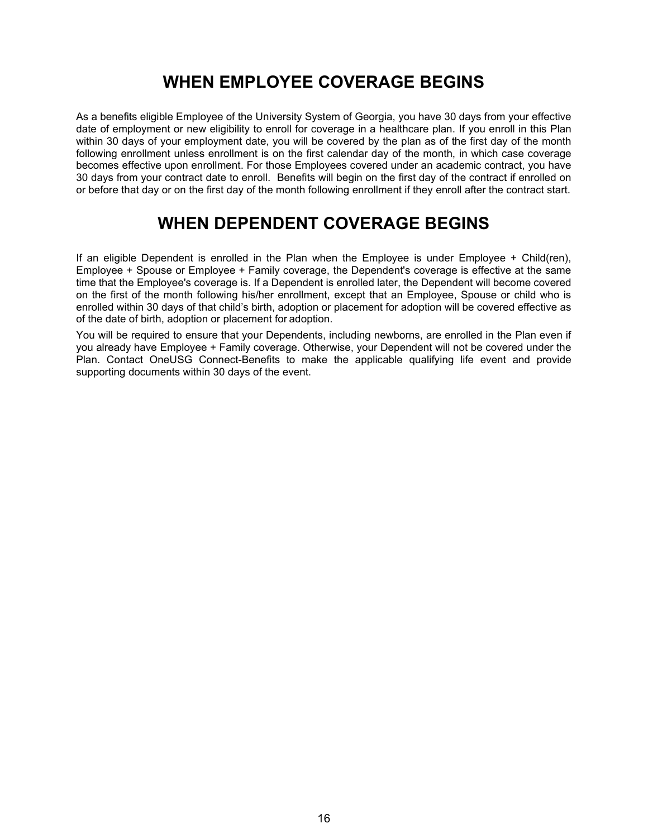# **WHEN EMPLOYEE COVERAGE BEGINS**

<span id="page-17-0"></span>As a benefits eligible Employee of the University System of Georgia, you have 30 days from your effective date of employment or new eligibility to enroll for coverage in a healthcare plan. If you enroll in this Plan within 30 days of your employment date, you will be covered by the plan as of the first day of the month following enrollment unless enrollment is on the first calendar day of the month, in which case coverage becomes effective upon enrollment. For those Employees covered under an academic contract, you have 30 days from your contract date to enroll. Benefits will begin on the first day of the contract if enrolled on or before that day or on the first day of the month following enrollment if they enroll after the contract start.

# **WHEN DEPENDENT COVERAGE BEGINS**

<span id="page-17-1"></span>If an eligible Dependent is enrolled in the Plan when the Employee is under Employee + Child(ren), Employee + Spouse or Employee + Family coverage, the Dependent's coverage is effective at the same time that the Employee's coverage is. If a Dependent is enrolled later, the Dependent will become covered on the first of the month following his/her enrollment, except that an Employee, Spouse or child who is enrolled within 30 days of that child's birth, adoption or placement for adoption will be covered effective as of the date of birth, adoption or placement for adoption.

<span id="page-17-3"></span><span id="page-17-2"></span>You will be required to ensure that your Dependents, including newborns, are enrolled in the Plan even if you already have Employee + Family coverage. Otherwise, your Dependent will not be covered under the Plan. Contact OneUSG Connect-Benefits to make the applicable qualifying life event and provide supporting documents within 30 days of the event.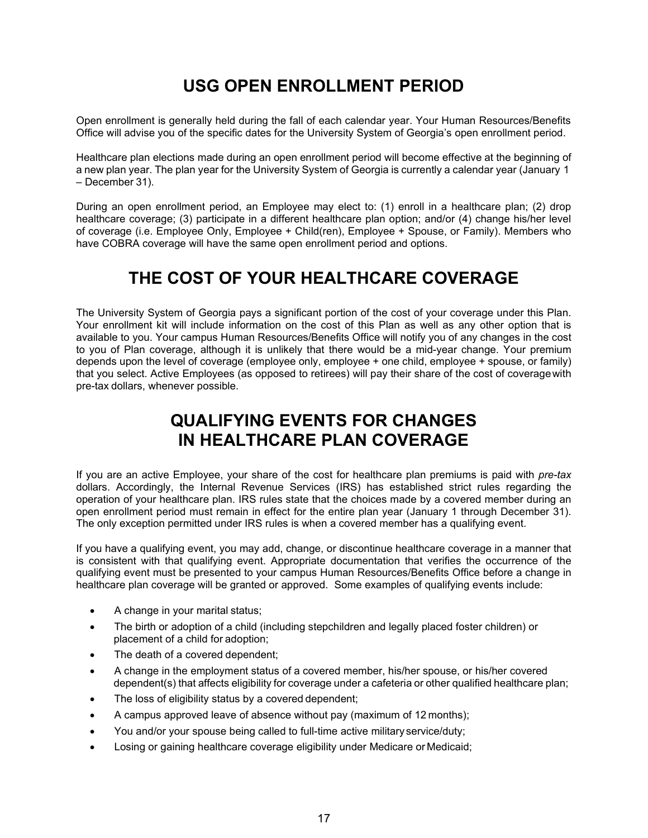# **USG OPEN ENROLLMENT PERIOD**

Open enrollment is generally held during the fall of each calendar year. Your Human Resources/Benefits Office will advise you of the specific dates for the University System of Georgia's open enrollment period.

Healthcare plan elections made during an open enrollment period will become effective at the beginning of a new plan year. The plan year for the University System of Georgia is currently a calendar year (January 1 – December 31).

During an open enrollment period, an Employee may elect to: (1) enroll in a healthcare plan; (2) drop healthcare coverage; (3) participate in a different healthcare plan option; and/or (4) change his/her level of coverage (i.e. Employee Only, Employee + Child(ren), Employee + Spouse, or Family). Members who have COBRA coverage will have the same open enrollment period and options.

# **THE COST OF YOUR HEALTHCARE COVERAGE**

<span id="page-18-0"></span>The University System of Georgia pays a significant portion of the cost of your coverage under this Plan. Your enrollment kit will include information on the cost of this Plan as well as any other option that is available to you. Your campus Human Resources/Benefits Office will notify you of any changes in the cost to you of Plan coverage, although it is unlikely that there would be a mid-year change. Your premium depends upon the level of coverage (employee only, employee + one child, employee + spouse, or family) that you select. Active Employees (as opposed to retirees) will pay their share of the cost of coveragewith pre-tax dollars, whenever possible.

# **QUALIFYING EVENTS FOR CHANGES IN HEALTHCARE PLAN COVERAGE**

<span id="page-18-1"></span>If you are an active Employee, your share of the cost for healthcare plan premiums is paid with *pre-tax*  dollars. Accordingly, the Internal Revenue Services (IRS) has established strict rules regarding the operation of your healthcare plan. IRS rules state that the choices made by a covered member during an open enrollment period must remain in effect for the entire plan year (January 1 through December 31). The only exception permitted under IRS rules is when a covered member has a qualifying event.

If you have a qualifying event, you may add, change, or discontinue healthcare coverage in a manner that is consistent with that qualifying event. Appropriate documentation that verifies the occurrence of the qualifying event must be presented to your campus Human Resources/Benefits Office before a change in healthcare plan coverage will be granted or approved. Some examples of qualifying events include:

- A change in your marital status;
- The birth or adoption of a child (including stepchildren and legally placed foster children) or placement of a child for adoption;
- The death of a covered dependent;
- A change in the employment status of a covered member, his/her spouse, or his/her covered dependent(s) that affects eligibility for coverage under a cafeteria or other qualified healthcare plan;
- The loss of eligibility status by a covered dependent;
- A campus approved leave of absence without pay (maximum of 12 months);
- You and/or your spouse being called to full-time active military service/duty;
- Losing or gaining healthcare coverage eligibility under Medicare or Medicaid;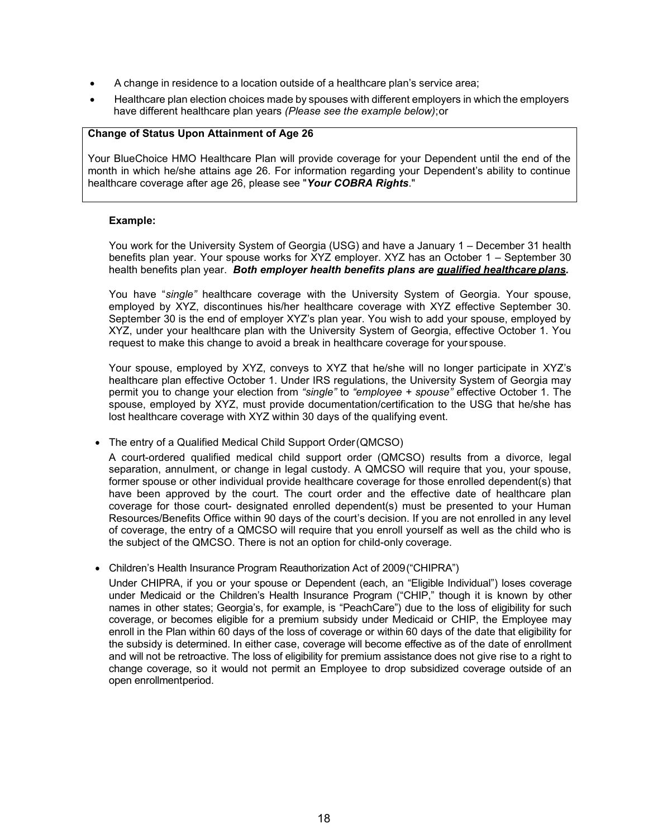- A change in residence to a location outside of a healthcare plan's service area;
- Healthcare plan election choices made by spouses with different employers in which the employers have different healthcare plan years *(Please see the example below)*;or

#### **Change of Status Upon Attainment of Age 26**

Your BlueChoice HMO Healthcare Plan will provide coverage for your Dependent until the end of the month in which he/she attains age 26. For information regarding your Dependent's ability to continue healthcare coverage after age 26, please see "*Your COBRA Rights*."

#### **Example:**

You work for the University System of Georgia (USG) and have a January 1 – December 31 health benefits plan year. Your spouse works for XYZ employer. XYZ has an October 1 – September 30 health benefits plan year. *Both employer health benefits plans are qualified healthcare plans.*

You have "*single"* healthcare coverage with the University System of Georgia. Your spouse, employed by XYZ, discontinues his/her healthcare coverage with XYZ effective September 30. September 30 is the end of employer XYZ's plan year. You wish to add your spouse, employed by XYZ, under your healthcare plan with the University System of Georgia, effective October 1. You request to make this change to avoid a break in healthcare coverage for your spouse.

Your spouse, employed by XYZ, conveys to XYZ that he/she will no longer participate in XYZ's healthcare plan effective October 1. Under IRS regulations, the University System of Georgia may permit you to change your election from *"single"* to *"employee + spouse"* effective October 1. The spouse, employed by XYZ, must provide documentation/certification to the USG that he/she has lost healthcare coverage with XYZ within 30 days of the qualifying event.

• The entry of a Qualified Medical Child Support Order(QMCSO)

A court-ordered qualified medical child support order (QMCSO) results from a divorce, legal separation, annulment, or change in legal custody. A QMCSO will require that you, your spouse, former spouse or other individual provide healthcare coverage for those enrolled dependent(s) that have been approved by the court. The court order and the effective date of healthcare plan coverage for those court- designated enrolled dependent(s) must be presented to your Human Resources/Benefits Office within 90 days of the court's decision. If you are not enrolled in any level of coverage, the entry of a QMCSO will require that you enroll yourself as well as the child who is the subject of the QMCSO. There is not an option for child-only coverage.

• Children's Health Insurance Program Reauthorization Act of 2009("CHIPRA")

Under CHIPRA, if you or your spouse or Dependent (each, an "Eligible Individual") loses coverage under Medicaid or the Children's Health Insurance Program ("CHIP," though it is known by other names in other states; Georgia's, for example, is "PeachCare") due to the loss of eligibility for such coverage, or becomes eligible for a premium subsidy under Medicaid or CHIP, the Employee may enroll in the Plan within 60 days of the loss of coverage or within 60 days of the date that eligibility for the subsidy is determined. In either case, coverage will become effective as of the date of enrollment and will not be retroactive. The loss of eligibility for premium assistance does not give rise to a right to change coverage, so it would not permit an Employee to drop subsidized coverage outside of an open enrollmentperiod.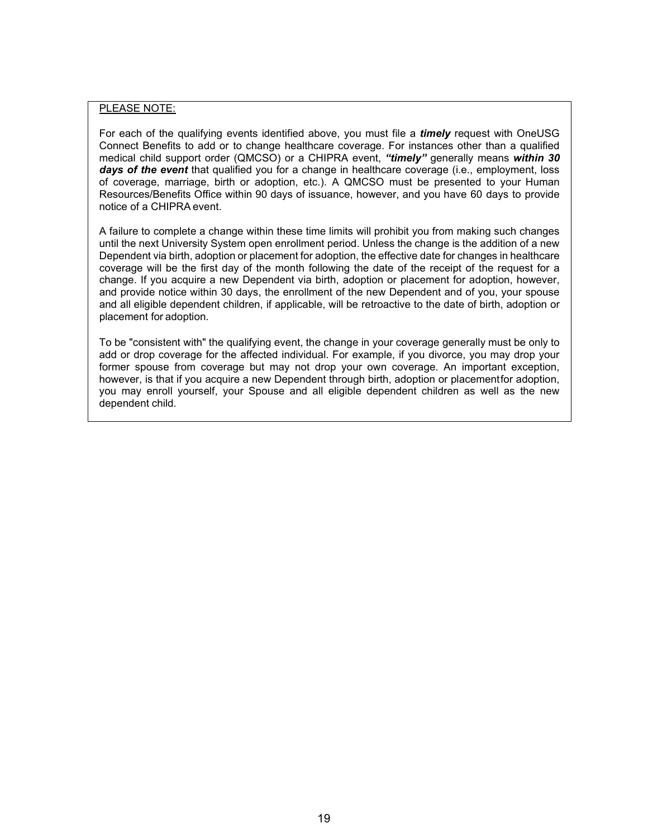#### PLEASE NOTE:

For each of the qualifying events identified above, you must file a *timely* request with OneUSG Connect Benefits to add or to change healthcare coverage. For instances other than a qualified medical child support order (QMCSO) or a CHIPRA event, *"timely"* generally means *within 30*  days of the event that qualified you for a change in healthcare coverage (i.e., employment, loss of coverage, marriage, birth or adoption, etc.). A QMCSO must be presented to your Human Resources/Benefits Office within 90 days of issuance, however, and you have 60 days to provide notice of a CHIPRA event.

A failure to complete a change within these time limits will prohibit you from making such changes until the next University System open enrollment period. Unless the change is the addition of a new Dependent via birth, adoption or placement for adoption, the effective date for changes in healthcare coverage will be the first day of the month following the date of the receipt of the request for a change. If you acquire a new Dependent via birth, adoption or placement for adoption, however, and provide notice within 30 days, the enrollment of the new Dependent and of you, your spouse and all eligible dependent children, if applicable, will be retroactive to the date of birth, adoption or placement for adoption.

To be "consistent with" the qualifying event, the change in your coverage generally must be only to add or drop coverage for the affected individual. For example, if you divorce, you may drop your former spouse from coverage but may not drop your own coverage. An important exception, however, is that if you acquire a new Dependent through birth, adoption or placementfor adoption, you may enroll yourself, your Spouse and all eligible dependent children as well as the new dependent child.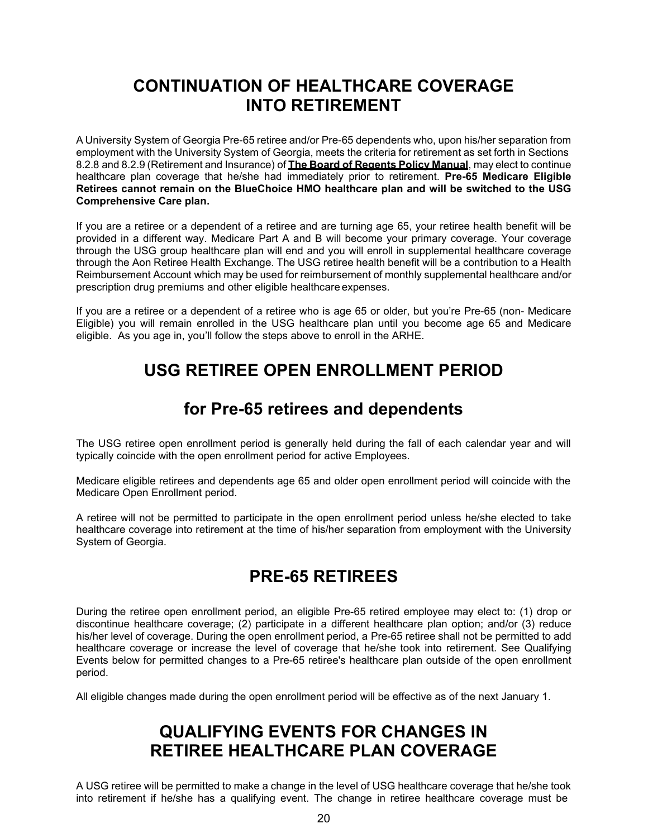# **CONTINUATION OF HEALTHCARE COVERAGE INTO RETIREMENT**

<span id="page-21-0"></span>A University System of Georgia Pre-65 retiree and/or Pre-65 dependents who, upon his/her separation from employment with the University System of Georgia, meets the criteria for retirement as set forth in Sections 8.2.8 and 8.2.9 (Retirement and Insurance) of **The Board of Regents Policy Manual**, may elect to continue healthcare plan coverage that he/she had immediately prior to retirement. **Pre-65 Medicare Eligible Retirees cannot remain on the BlueChoice HMO healthcare plan and will be switched to the USG Comprehensive Care plan.**

If you are a retiree or a dependent of a retiree and are turning age 65, your retiree health benefit will be provided in a different way. Medicare Part A and B will become your primary coverage. Your coverage through the USG group healthcare plan will end and you will enroll in supplemental healthcare coverage through the Aon Retiree Health Exchange. The USG retiree health benefit will be a contribution to a Health Reimbursement Account which may be used for reimbursement of monthly supplemental healthcare and/or prescription drug premiums and other eligible healthcare expenses.

<span id="page-21-1"></span>If you are a retiree or a dependent of a retiree who is age 65 or older, but you're Pre-65 (non- Medicare Eligible) you will remain enrolled in the USG healthcare plan until you become age 65 and Medicare eligible. As you age in, you'll follow the steps above to enroll in the ARHE.

# **USG RETIREE OPEN ENROLLMENT PERIOD**

# **for Pre-65 retirees and dependents**

<span id="page-21-2"></span>The USG retiree open enrollment period is generally held during the fall of each calendar year and will typically coincide with the open enrollment period for active Employees.

Medicare eligible retirees and dependents age 65 and older open enrollment period will coincide with the Medicare Open Enrollment period.

A retiree will not be permitted to participate in the open enrollment period unless he/she elected to take healthcare coverage into retirement at the time of his/her separation from employment with the University System of Georgia.

# **PRE-65 RETIREES**

During the retiree open enrollment period, an eligible Pre-65 retired employee may elect to: (1) drop or discontinue healthcare coverage; (2) participate in a different healthcare plan option; and/or (3) reduce his/her level of coverage. During the open enrollment period, a Pre-65 retiree shall not be permitted to add healthcare coverage or increase the level of coverage that he/she took into retirement. See Qualifying Events below for permitted changes to a Pre-65 retiree's healthcare plan outside of the open enrollment period.

<span id="page-21-3"></span>All eligible changes made during the open enrollment period will be effective as of the next January 1.

# **QUALIFYING EVENTS FOR CHANGES IN RETIREE HEALTHCARE PLAN COVERAGE**

A USG retiree will be permitted to make a change in the level of USG healthcare coverage that he/she took into retirement if he/she has a qualifying event. The change in retiree healthcare coverage must be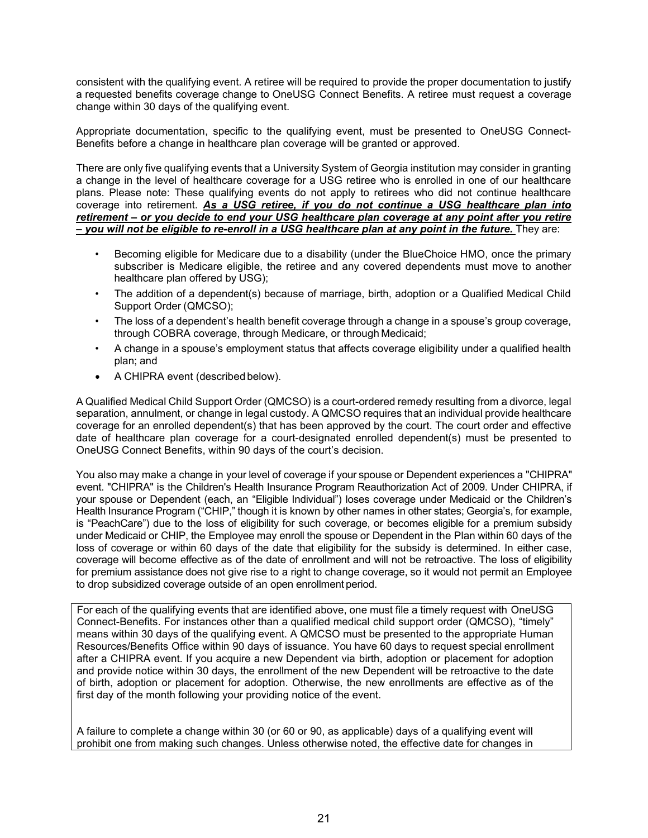consistent with the qualifying event. A retiree will be required to provide the proper documentation to justify a requested benefits coverage change to OneUSG Connect Benefits. A retiree must request a coverage change within 30 days of the qualifying event.

Appropriate documentation, specific to the qualifying event, must be presented to OneUSG Connect-Benefits before a change in healthcare plan coverage will be granted or approved.

There are only five qualifying events that a University System of Georgia institution may consider in granting a change in the level of healthcare coverage for a USG retiree who is enrolled in one of our healthcare plans. Please note: These qualifying events do not apply to retirees who did not continue healthcare coverage into retirement. *As a USG retiree, if you do not continue a USG healthcare plan into retirement – or you decide to end your USG healthcare plan coverage at any point after you retire – you will not be eligible to re-enroll in a USG healthcare plan at any point in the future.* They are:

- Becoming eligible for Medicare due to a disability (under the BlueChoice HMO, once the primary subscriber is Medicare eligible, the retiree and any covered dependents must move to another healthcare plan offered by USG);
- The addition of a dependent(s) because of marriage, birth, adoption or a Qualified Medical Child Support Order (QMCSO);
- The loss of a dependent's health benefit coverage through a change in a spouse's group coverage, through COBRA coverage, through Medicare, or through Medicaid;
- A change in a spouse's employment status that affects coverage eligibility under a qualified health plan; and
- A CHIPRA event (described below).

A Qualified Medical Child Support Order (QMCSO) is a court-ordered remedy resulting from a divorce, legal separation, annulment, or change in legal custody. A QMCSO requires that an individual provide healthcare coverage for an enrolled dependent(s) that has been approved by the court. The court order and effective date of healthcare plan coverage for a court-designated enrolled dependent(s) must be presented to OneUSG Connect Benefits, within 90 days of the court's decision.

You also may make a change in your level of coverage if your spouse or Dependent experiences a "CHIPRA" event. "CHIPRA" is the Children's Health Insurance Program Reauthorization Act of 2009. Under CHIPRA, if your spouse or Dependent (each, an "Eligible Individual") loses coverage under Medicaid or the Children's Health Insurance Program ("CHIP," though it is known by other names in other states; Georgia's, for example, is "PeachCare") due to the loss of eligibility for such coverage, or becomes eligible for a premium subsidy under Medicaid or CHIP, the Employee may enroll the spouse or Dependent in the Plan within 60 days of the loss of coverage or within 60 days of the date that eligibility for the subsidy is determined. In either case, coverage will become effective as of the date of enrollment and will not be retroactive. The loss of eligibility for premium assistance does not give rise to a right to change coverage, so it would not permit an Employee to drop subsidized coverage outside of an open enrollment period.

For each of the qualifying events that are identified above, one must file a timely request with OneUSG Connect-Benefits. For instances other than a qualified medical child support order (QMCSO), "timely" means within 30 days of the qualifying event. A QMCSO must be presented to the appropriate Human Resources/Benefits Office within 90 days of issuance. You have 60 days to request special enrollment after a CHIPRA event. If you acquire a new Dependent via birth, adoption or placement for adoption and provide notice within 30 days, the enrollment of the new Dependent will be retroactive to the date of birth, adoption or placement for adoption. Otherwise, the new enrollments are effective as of the first day of the month following your providing notice of the event.

A failure to complete a change within 30 (or 60 or 90, as applicable) days of a qualifying event will prohibit one from making such changes. Unless otherwise noted, the effective date for changes in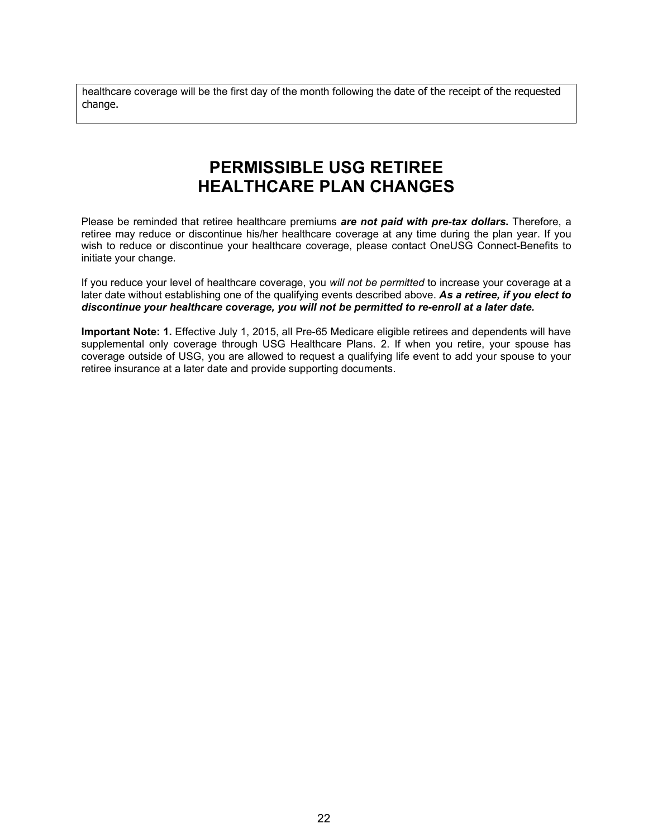healthcare coverage will be the first day of the month following the date of the receipt of the requested change.

# **PERMISSIBLE USG RETIREE HEALTHCARE PLAN CHANGES**

<span id="page-23-0"></span>Please be reminded that retiree healthcare premiums *are not paid with pre-tax dollars***.** Therefore, a retiree may reduce or discontinue his/her healthcare coverage at any time during the plan year. If you wish to reduce or discontinue your healthcare coverage, please contact OneUSG Connect-Benefits to initiate your change.

If you reduce your level of healthcare coverage, you *will not be permitted* to increase your coverage at a later date without establishing one of the qualifying events described above. *As a retiree, if you elect to discontinue your healthcare coverage, you will not be permitted to re-enroll at a later date.*

<span id="page-23-1"></span>**Important Note: 1.** Effective July 1, 2015, all Pre-65 Medicare eligible retirees and dependents will have supplemental only coverage through USG Healthcare Plans. 2. If when you retire, your spouse has coverage outside of USG, you are allowed to request a qualifying life event to add your spouse to your retiree insurance at a later date and provide supporting documents.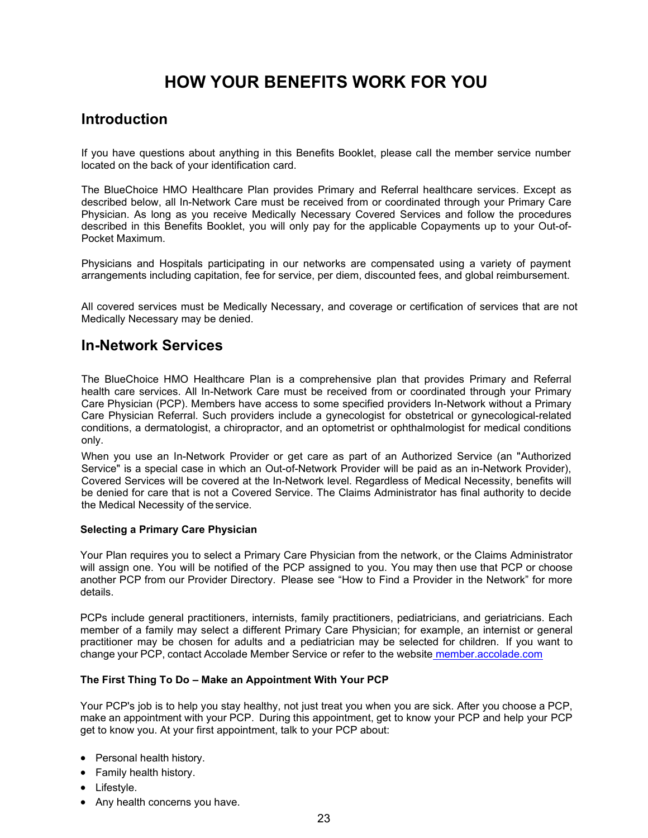# **HOW YOUR BENEFITS WORK FOR YOU**

## <span id="page-24-0"></span>**Introduction**

If you have questions about anything in this Benefits Booklet, please call the member service number located on the back of your identification card.

The BlueChoice HMO Healthcare Plan provides Primary and Referral healthcare services. Except as described below, all In-Network Care must be received from or coordinated through your Primary Care Physician. As long as you receive Medically Necessary Covered Services and follow the procedures described in this Benefits Booklet, you will only pay for the applicable Copayments up to your Out-of-Pocket Maximum.

Physicians and Hospitals participating in our networks are compensated using a variety of payment arrangements including capitation, fee for service, per diem, discounted fees, and global reimbursement.

All covered services must be Medically Necessary, and coverage or certification of services that are not Medically Necessary may be denied.

## **In-Network Services**

The BlueChoice HMO Healthcare Plan is a comprehensive plan that provides Primary and Referral health care services. All In-Network Care must be received from or coordinated through your Primary Care Physician (PCP). Members have access to some specified providers In-Network without a Primary Care Physician Referral. Such providers include a gynecologist for obstetrical or gynecological-related conditions, a dermatologist, a chiropractor, and an optometrist or ophthalmologist for medical conditions only.

When you use an In-Network Provider or get care as part of an Authorized Service (an "Authorized Service" is a special case in which an Out-of-Network Provider will be paid as an in-Network Provider), Covered Services will be covered at the In-Network level. Regardless of Medical Necessity, benefits will be denied for care that is not a Covered Service. The Claims Administrator has final authority to decide the Medical Necessity of the service.

#### **Selecting a Primary Care Physician**

Your Plan requires you to select a Primary Care Physician from the network, or the Claims Administrator will assign one. You will be notified of the PCP assigned to you. You may then use that PCP or choose another PCP from our Provider Directory. Please see "How to Find a Provider in the Network" for more details.

PCPs include general practitioners, internists, family practitioners, pediatricians, and geriatricians. Each member of a family may select a different Primary Care Physician; for example, an internist or general practitioner may be chosen for adults and a pediatrician may be selected for children. If you want to change your PCP, contact Accolade Member Service or refer to the website member.accolade.com

#### **The First Thing To Do – Make an Appointment With Your PCP**

Your PCP's job is to help you stay healthy, not just treat you when you are sick. After you choose a PCP, make an appointment with your PCP. During this appointment, get to know your PCP and help your PCP get to know you. At your first appointment, talk to your PCP about:

- Personal health history.
- Family health history.
- Lifestyle.
- Any health concerns you have.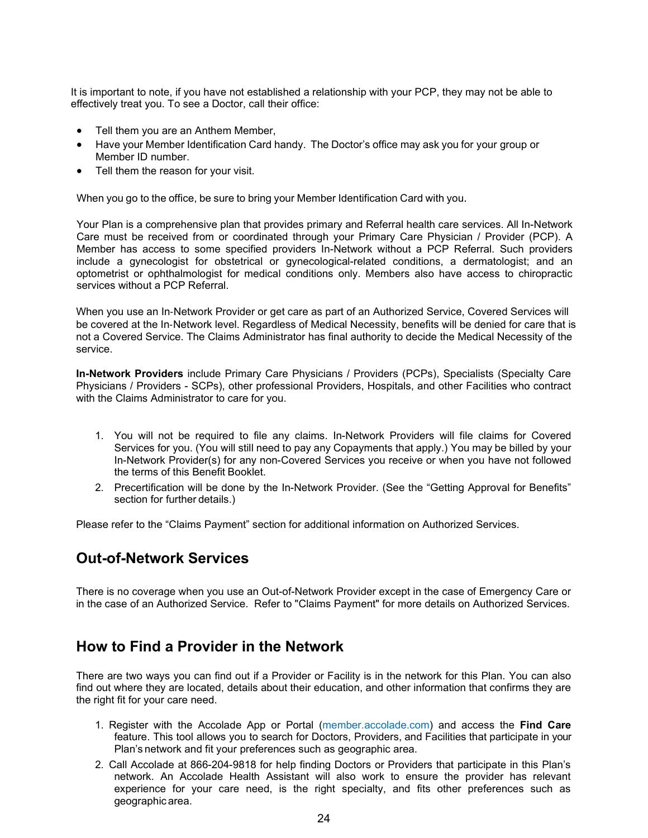It is important to note, if you have not established a relationship with your PCP, they may not be able to effectively treat you. To see a Doctor, call their office:

- Tell them you are an Anthem Member,
- Have your Member Identification Card handy. The Doctor's office may ask you for your group or Member ID number.
- Tell them the reason for your visit.

When you go to the office, be sure to bring your Member Identification Card with you.

Your Plan is a comprehensive plan that provides primary and Referral health care services. All In-Network Care must be received from or coordinated through your Primary Care Physician / Provider (PCP). A Member has access to some specified providers In-Network without a PCP Referral. Such providers include a gynecologist for obstetrical or gynecological-related conditions, a dermatologist; and an optometrist or ophthalmologist for medical conditions only. Members also have access to chiropractic services without a PCP Referral.

When you use an In‐Network Provider or get care as part of an Authorized Service, Covered Services will be covered at the In‐Network level. Regardless of Medical Necessity, benefits will be denied for care that is not a Covered Service. The Claims Administrator has final authority to decide the Medical Necessity of the service.

**In-Network Providers** include Primary Care Physicians / Providers (PCPs), Specialists (Specialty Care Physicians / Providers - SCPs), other professional Providers, Hospitals, and other Facilities who contract with the Claims Administrator to care for you.

- 1. You will not be required to file any claims. In-Network Providers will file claims for Covered Services for you. (You will still need to pay any Copayments that apply.) You may be billed by your In-Network Provider(s) for any non-Covered Services you receive or when you have not followed the terms of this Benefit Booklet.
- 2. Precertification will be done by the In-Network Provider. (See the "Getting Approval for Benefits" section for further details.)

Please refer to the "Claims Payment" section for additional information on Authorized Services.

## <span id="page-25-0"></span>**Out-of-Network Services**

<span id="page-25-1"></span>There is no coverage when you use an Out-of-Network Provider except in the case of Emergency Care or in the case of an Authorized Service. Refer to "Claims Payment" for more details on Authorized Services.

## **How to Find a Provider in the Network**

There are two ways you can find out if a Provider or Facility is in the network for this Plan. You can also find out where they are located, details about their education, and other information that confirms they are the right fit for your care need.

- 1. Register with the Accolade App or Portal (member.accolade.com) and access the **Find Care** feature. This tool allows you to search for Doctors, Providers, and Facilities that participate in your Plan's network and fit your preferences such as geographic area.
- 2. Call Accolade at 866-204-9818 for help finding Doctors or Providers that participate in this Plan's network. An Accolade Health Assistant will also work to ensure the provider has relevant experience for your care need, is the right specialty, and fits other preferences such as geographic area.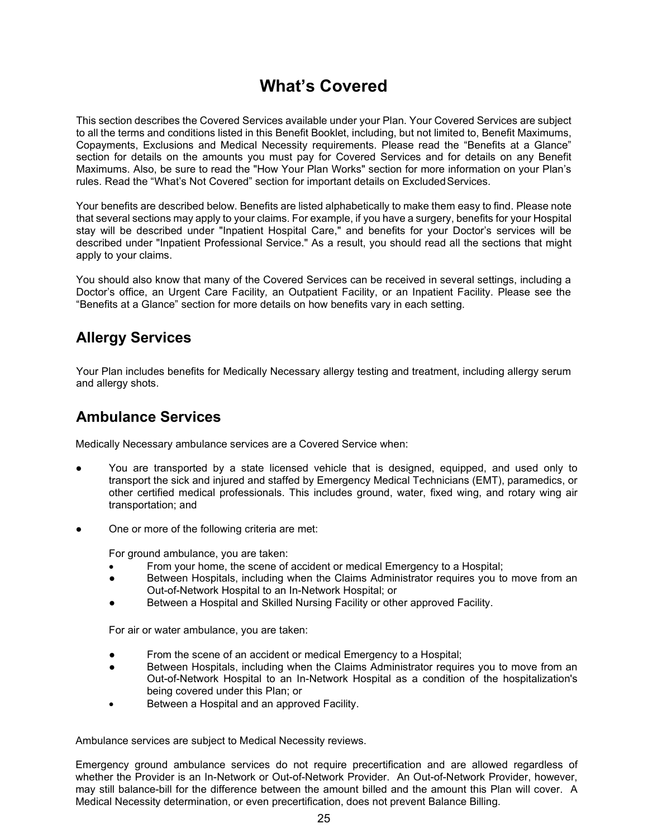# **What's Covered**

<span id="page-26-0"></span>This section describes the Covered Services available under your Plan. Your Covered Services are subject to all the terms and conditions listed in this Benefit Booklet, including, but not limited to, Benefit Maximums, Copayments, Exclusions and Medical Necessity requirements. Please read the "Benefits at a Glance" section for details on the amounts you must pay for Covered Services and for details on any Benefit Maximums. Also, be sure to read the "How Your Plan Works" section for more information on your Plan's rules. Read the "What's Not Covered" section for important details on Excluded Services.

Your benefits are described below. Benefits are listed alphabetically to make them easy to find. Please note that several sections may apply to your claims. For example, if you have a surgery, benefits for your Hospital stay will be described under "Inpatient Hospital Care," and benefits for your Doctor's services will be described under "Inpatient Professional Service." As a result, you should read all the sections that might apply to your claims.

You should also know that many of the Covered Services can be received in several settings, including a Doctor's office, an Urgent Care Facility*,* an Outpatient Facility, or an Inpatient Facility. Please see the "Benefits at a Glance" section for more details on how benefits vary in each setting.

## <span id="page-26-1"></span>**Allergy Services**

Your Plan includes benefits for Medically Necessary allergy testing and treatment, including allergy serum and allergy shots.

## <span id="page-26-2"></span>**Ambulance Services**

Medically Necessary ambulance services are a Covered Service when:

- You are transported by a state licensed vehicle that is designed, equipped, and used only to transport the sick and injured and staffed by Emergency Medical Technicians (EMT), paramedics, or other certified medical professionals. This includes ground, water, fixed wing, and rotary wing air transportation; and
- One or more of the following criteria are met:

For ground ambulance, you are taken:

- From your home, the scene of accident or medical Emergency to a Hospital;
- Between Hospitals, including when the Claims Administrator requires you to move from an Out-of-Network Hospital to an In-Network Hospital; or
- Between a Hospital and Skilled Nursing Facility or other approved Facility.

For air or water ambulance, you are taken:

- From the scene of an accident or medical Emergency to a Hospital;
- Between Hospitals, including when the Claims Administrator requires you to move from an Out-of-Network Hospital to an In-Network Hospital as a condition of the hospitalization's being covered under this Plan; or
- Between a Hospital and an approved Facility.

Ambulance services are subject to Medical Necessity reviews.

Emergency ground ambulance services do not require precertification and are allowed regardless of whether the Provider is an In-Network or Out-of-Network Provider. An Out-of-Network Provider, however, may still balance-bill for the difference between the amount billed and the amount this Plan will cover. A Medical Necessity determination, or even precertification, does not prevent Balance Billing.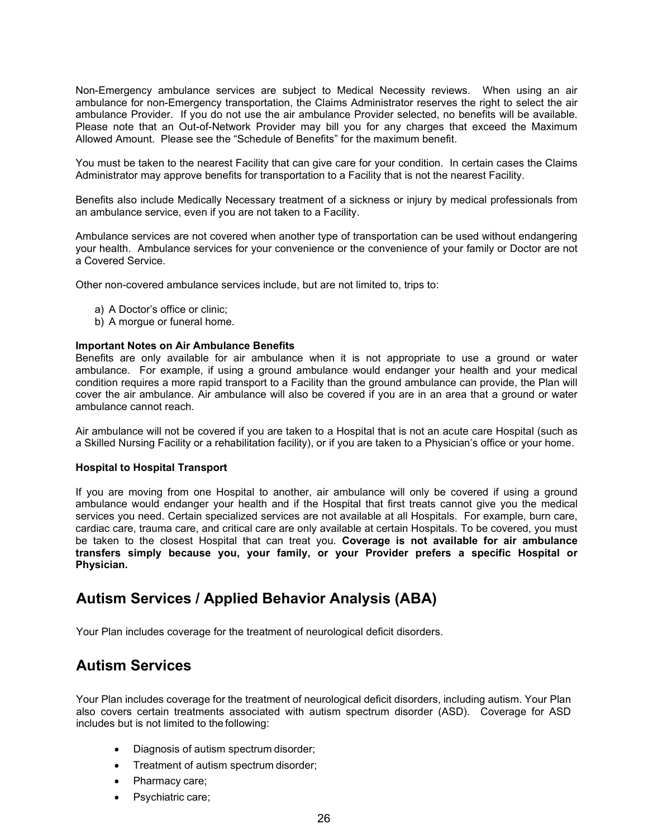Non-Emergency ambulance services are subject to Medical Necessity reviews. When using an air ambulance for non-Emergency transportation, the Claims Administrator reserves the right to select the air ambulance Provider. If you do not use the air ambulance Provider selected, no benefits will be available. Please note that an Out-of-Network Provider may bill you for any charges that exceed the Maximum Allowed Amount. Please see the "Schedule of Benefits" for the maximum benefit.

You must be taken to the nearest Facility that can give care for your condition. In certain cases the Claims Administrator may approve benefits for transportation to a Facility that is not the nearest Facility.

Benefits also include Medically Necessary treatment of a sickness or injury by medical professionals from an ambulance service, even if you are not taken to a Facility.

Ambulance services are not covered when another type of transportation can be used without endangering your health. Ambulance services for your convenience or the convenience of your family or Doctor are not a Covered Service.

Other non-covered ambulance services include, but are not limited to, trips to:

- a) A Doctor's office or clinic;
- b) A morgue or funeral home.

#### **Important Notes on Air Ambulance Benefits**

Benefits are only available for air ambulance when it is not appropriate to use a ground or water ambulance. For example, if using a ground ambulance would endanger your health and your medical condition requires a more rapid transport to a Facility than the ground ambulance can provide, the Plan will cover the air ambulance. Air ambulance will also be covered if you are in an area that a ground or water ambulance cannot reach.

Air ambulance will not be covered if you are taken to a Hospital that is not an acute care Hospital (such as a Skilled Nursing Facility or a rehabilitation facility), or if you are taken to a Physician's office or your home.

#### **Hospital to Hospital Transport**

If you are moving from one Hospital to another, air ambulance will only be covered if using a ground ambulance would endanger your health and if the Hospital that first treats cannot give you the medical services you need. Certain specialized services are not available at all Hospitals. For example, burn care, cardiac care, trauma care, and critical care are only available at certain Hospitals. To be covered, you must be taken to the closest Hospital that can treat you. **Coverage is not available for air ambulance transfers simply because you, your family, or your Provider prefers a specific Hospital or Physician.**

## <span id="page-27-0"></span>**Autism Services / Applied Behavior Analysis (ABA)**

Your Plan includes coverage for the treatment of neurological deficit disorders.

#### <span id="page-27-1"></span>**Autism Services**

Your Plan includes coverage for the treatment of neurological deficit disorders, including autism. Your Plan also covers certain treatments associated with autism spectrum disorder (ASD). Coverage for ASD includes but is not limited to the following:

- Diagnosis of autism spectrum disorder;
- Treatment of autism spectrum disorder;
- Pharmacy care;
- Psychiatric care;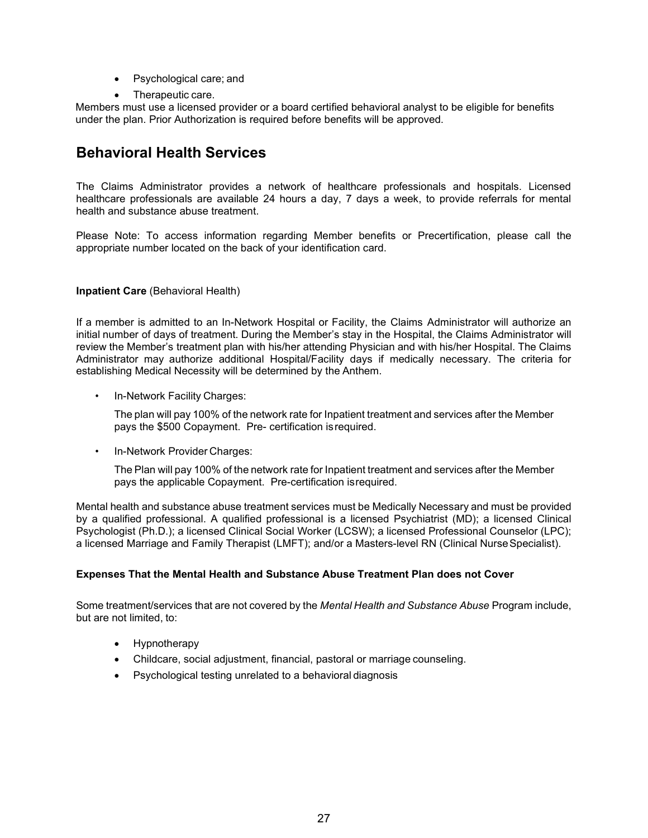- Psychological care; and
- Therapeutic care.

Members must use a licensed provider or a board certified behavioral analyst to be eligible for benefits under the plan. Prior Authorization is required before benefits will be approved.

## <span id="page-28-0"></span>**Behavioral Health Services**

The Claims Administrator provides a network of healthcare professionals and hospitals. Licensed healthcare professionals are available 24 hours a day, 7 days a week, to provide referrals for mental health and substance abuse treatment.

Please Note: To access information regarding Member benefits or Precertification, please call the appropriate number located on the back of your identification card.

#### **Inpatient Care** (Behavioral Health)

If a member is admitted to an In-Network Hospital or Facility, the Claims Administrator will authorize an initial number of days of treatment. During the Member's stay in the Hospital, the Claims Administrator will review the Member's treatment plan with his/her attending Physician and with his/her Hospital. The Claims Administrator may authorize additional Hospital/Facility days if medically necessary. The criteria for establishing Medical Necessity will be determined by the Anthem.

• In-Network Facility Charges:

The plan will pay 100% of the network rate for Inpatient treatment and services after the Member pays the \$500 Copayment. Pre- certification isrequired.

• In-Network Provider Charges:

The Plan will pay 100% of the network rate for Inpatient treatment and services after the Member pays the applicable Copayment. Pre-certification isrequired.

Mental health and substance abuse treatment services must be Medically Necessary and must be provided by a qualified professional. A qualified professional is a licensed Psychiatrist (MD); a licensed Clinical Psychologist (Ph.D.); a licensed Clinical Social Worker (LCSW); a licensed Professional Counselor (LPC); a licensed Marriage and Family Therapist (LMFT); and/or a Masters-level RN (Clinical NurseSpecialist).

#### **Expenses That the Mental Health and Substance Abuse Treatment Plan does not Cover**

Some treatment/services that are not covered by the *Mental Health and Substance Abuse* Program include, but are not limited, to:

- Hypnotherapy
- Childcare, social adjustment, financial, pastoral or marriage counseling.
- Psychological testing unrelated to a behavioral diagnosis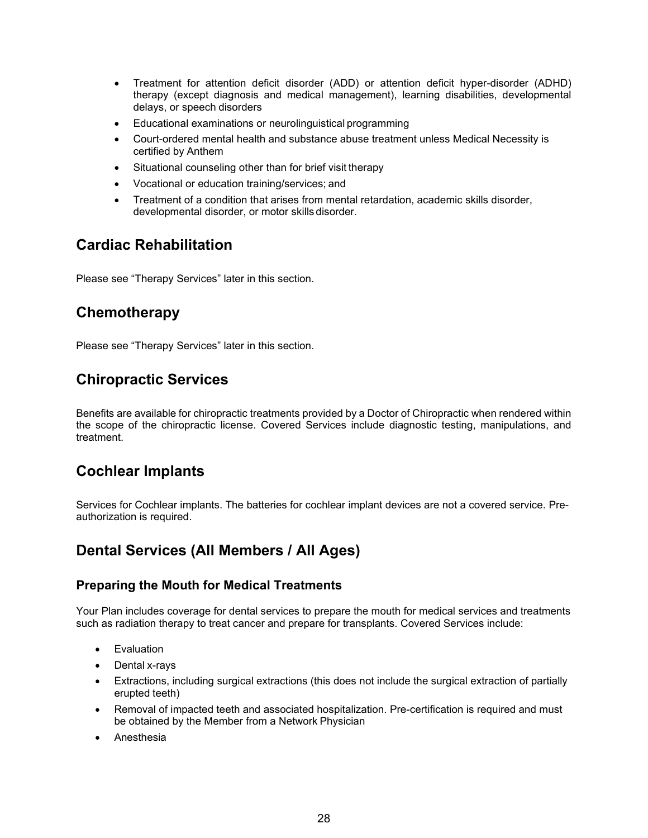- Treatment for attention deficit disorder (ADD) or attention deficit hyper-disorder (ADHD) therapy (except diagnosis and medical management), learning disabilities, developmental delays, or speech disorders
- Educational examinations or neurolinguistical programming
- Court-ordered mental health and substance abuse treatment unless Medical Necessity is certified by Anthem
- Situational counseling other than for brief visit therapy
- Vocational or education training/services; and
- Treatment of a condition that arises from mental retardation, academic skills disorder, developmental disorder, or motor skills disorder.

### <span id="page-29-0"></span>**Cardiac Rehabilitation**

Please see "Therapy Services" later in this section.

## <span id="page-29-1"></span>**Chemotherapy**

Please see "Therapy Services" later in this section.

## <span id="page-29-2"></span>**Chiropractic Services**

Benefits are available for chiropractic treatments provided by a Doctor of Chiropractic when rendered within the scope of the chiropractic license. Covered Services include diagnostic testing, manipulations, and treatment.

## <span id="page-29-3"></span>**Cochlear Implants**

Services for Cochlear implants. The batteries for cochlear implant devices are not a covered service. Preauthorization is required.

## <span id="page-29-4"></span>**Dental Services (All Members / All Ages)**

#### <span id="page-29-5"></span>**Preparing the Mouth for Medical Treatments**

Your Plan includes coverage for dental services to prepare the mouth for medical services and treatments such as radiation therapy to treat cancer and prepare for transplants. Covered Services include:

- Evaluation
- Dental x-rays
- Extractions, including surgical extractions (this does not include the surgical extraction of partially erupted teeth)
- Removal of impacted teeth and associated hospitalization. Pre-certification is required and must be obtained by the Member from a Network Physician
- Anesthesia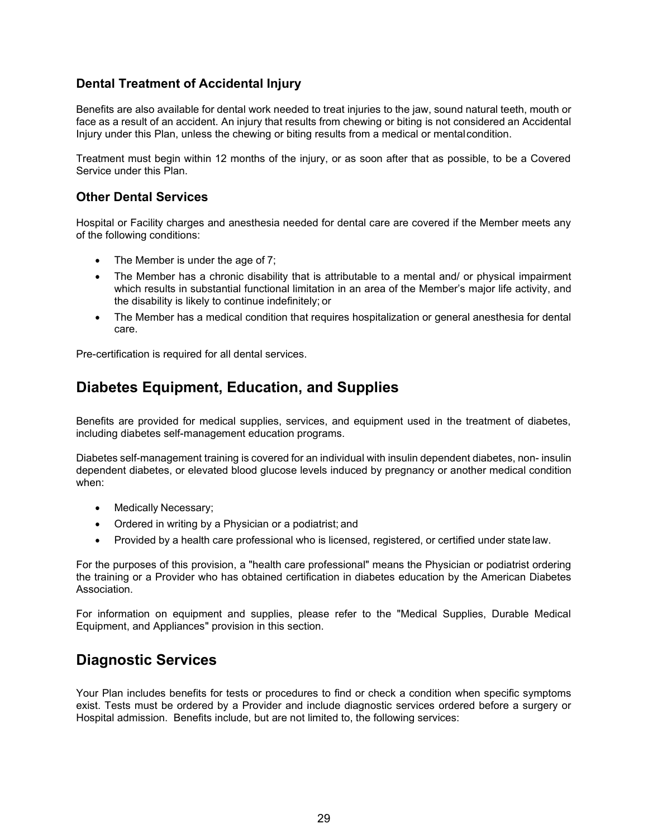#### <span id="page-30-0"></span>**Dental Treatment of Accidental Injury**

Benefits are also available for dental work needed to treat injuries to the jaw, sound natural teeth, mouth or face as a result of an accident. An injury that results from chewing or biting is not considered an Accidental Injury under this Plan, unless the chewing or biting results from a medical or mentalcondition.

Treatment must begin within 12 months of the injury, or as soon after that as possible, to be a Covered Service under this Plan.

#### <span id="page-30-1"></span>**Other Dental Services**

Hospital or Facility charges and anesthesia needed for dental care are covered if the Member meets any of the following conditions:

- The Member is under the age of 7;
- The Member has a chronic disability that is attributable to a mental and/ or physical impairment which results in substantial functional limitation in an area of the Member's major life activity, and the disability is likely to continue indefinitely; or
- The Member has a medical condition that requires hospitalization or general anesthesia for dental care.

Pre-certification is required for all dental services.

## <span id="page-30-2"></span>**Diabetes Equipment, Education, and Supplies**

Benefits are provided for medical supplies, services, and equipment used in the treatment of diabetes, including diabetes self-management education programs.

Diabetes self-management training is covered for an individual with insulin dependent diabetes, non- insulin dependent diabetes, or elevated blood glucose levels induced by pregnancy or another medical condition when:

- Medically Necessary;
- Ordered in writing by a Physician or a podiatrist; and
- Provided by a health care professional who is licensed, registered, or certified under state law.

For the purposes of this provision, a "health care professional" means the Physician or podiatrist ordering the training or a Provider who has obtained certification in diabetes education by the American Diabetes Association.

For information on equipment and supplies, please refer to the "Medical Supplies, Durable Medical Equipment, and Appliances" provision in this section.

## <span id="page-30-3"></span>**Diagnostic Services**

Your Plan includes benefits for tests or procedures to find or check a condition when specific symptoms exist. Tests must be ordered by a Provider and include diagnostic services ordered before a surgery or Hospital admission. Benefits include, but are not limited to, the following services: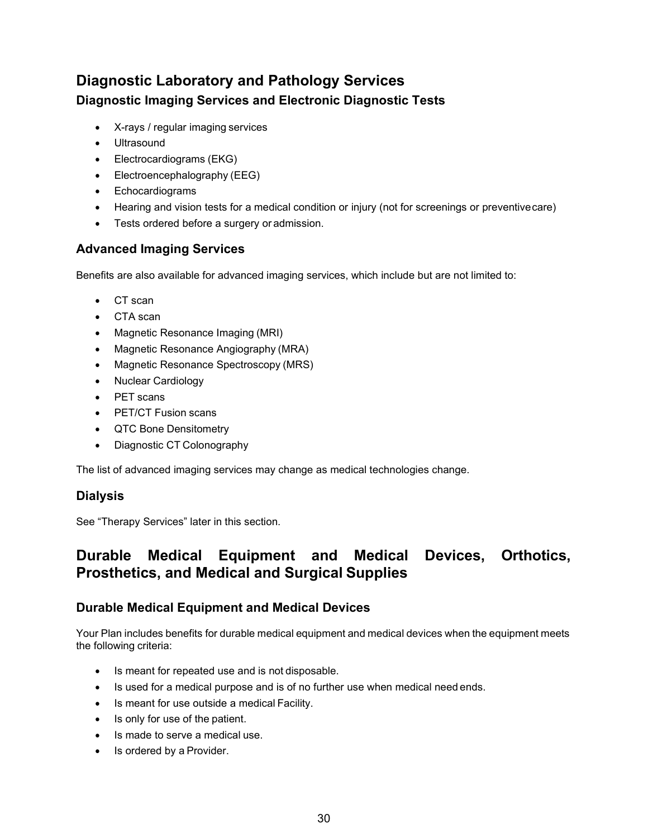# <span id="page-31-1"></span><span id="page-31-0"></span>**Diagnostic Laboratory and Pathology Services Diagnostic Imaging Services and Electronic Diagnostic Tests**

- X-rays / regular imaging services
- Ultrasound
- Electrocardiograms (EKG)
- Electroencephalography (EEG)
- Echocardiograms
- Hearing and vision tests for a medical condition or injury (not for screenings or preventivecare)
- Tests ordered before a surgery or admission.

#### <span id="page-31-2"></span>**Advanced Imaging Services**

Benefits are also available for advanced imaging services, which include but are not limited to:

- CT scan
- CTA scan
- Magnetic Resonance Imaging (MRI)
- Magnetic Resonance Angiography (MRA)
- [Magnetic Resonance Spectroscopy](http://en.wikipedia.org/wiki/In_vivo_magnetic_resonance_spectroscopy) (MRS)
- Nuclear Cardiology
- PET scans
- PET/CT Fusion scans
- QTC Bone Densitometry
- Diagnostic CT Colonography

The list of advanced imaging services may change as medical technologies change.

#### <span id="page-31-3"></span>**Dialysis**

See "Therapy Services" later in this section.

## <span id="page-31-4"></span>**Durable Medical Equipment and Medical Devices, Orthotics, Prosthetics, and Medical and Surgical Supplies**

#### <span id="page-31-5"></span>**Durable Medical Equipment and Medical Devices**

Your Plan includes benefits for durable medical equipment and medical devices when the equipment meets the following criteria:

- Is meant for repeated use and is not disposable.
- Is used for a medical purpose and is of no further use when medical need ends.
- Is meant for use outside a medical Facility.
- Is only for use of the patient.
- Is made to serve a medical use.
- Is ordered by a Provider.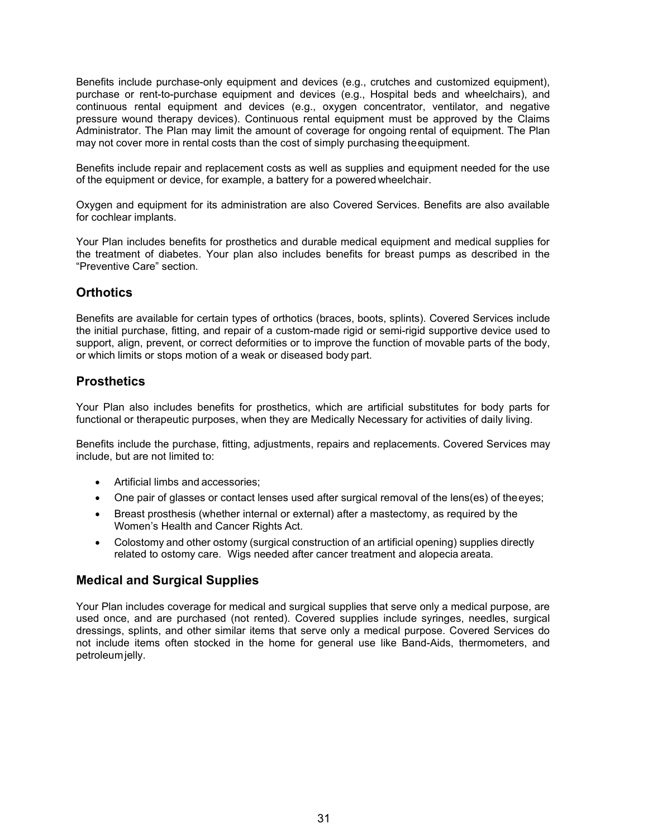Benefits include purchase-only equipment and devices (e.g., crutches and customized equipment), purchase or rent-to-purchase equipment and devices (e.g., Hospital beds and wheelchairs), and continuous rental equipment and devices (e.g., oxygen concentrator, ventilator, and negative pressure wound therapy devices). Continuous rental equipment must be approved by the Claims Administrator. The Plan may limit the amount of coverage for ongoing rental of equipment. The Plan may not cover more in rental costs than the cost of simply purchasing theequipment.

Benefits include repair and replacement costs as well as supplies and equipment needed for the use of the equipment or device, for example, a battery for a powered wheelchair.

Oxygen and equipment for its administration are also Covered Services. Benefits are also available for cochlear implants.

Your Plan includes benefits for prosthetics and durable medical equipment and medical supplies for the treatment of diabetes. Your plan also includes benefits for breast pumps as described in the "Preventive Care" section.

#### <span id="page-32-0"></span>**Orthotics**

Benefits are available for certain types of orthotics (braces, boots, splints). Covered Services include the initial purchase, fitting, and repair of a custom-made rigid or semi-rigid supportive device used to support, align, prevent, or correct deformities or to improve the function of movable parts of the body, or which limits or stops motion of a weak or diseased body part.

#### <span id="page-32-1"></span>**Prosthetics**

Your Plan also includes benefits for prosthetics, which are artificial substitutes for body parts for functional or therapeutic purposes, when they are Medically Necessary for activities of daily living.

Benefits include the purchase, fitting, adjustments, repairs and replacements. Covered Services may include, but are not limited to:

- Artificial limbs and accessories;
- One pair of glasses or contact lenses used after surgical removal of the lens(es) of theeyes;
- Breast prosthesis (whether internal or external) after a mastectomy, as required by the Women's Health and Cancer Rights Act.
- Colostomy and other ostomy (surgical construction of an artificial opening) supplies directly related to ostomy care. Wigs needed after cancer treatment and alopecia areata.

#### <span id="page-32-2"></span>**Medical and Surgical Supplies**

Your Plan includes coverage for medical and surgical supplies that serve only a medical purpose, are used once, and are purchased (not rented). Covered supplies include syringes, needles, surgical dressings, splints, and other similar items that serve only a medical purpose. Covered Services do not include items often stocked in the home for general use like Band-Aids, thermometers, and petroleumjelly.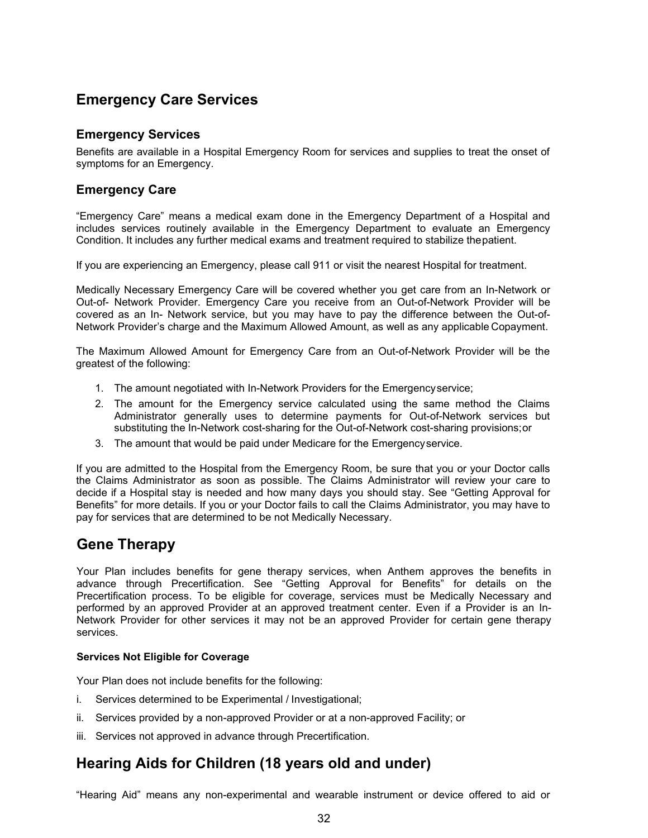## <span id="page-33-0"></span>**Emergency Care Services**

#### <span id="page-33-1"></span>**Emergency Services**

Benefits are available in a Hospital Emergency Room for services and supplies to treat the onset of symptoms for an Emergency.

#### <span id="page-33-2"></span>**Emergency Care**

"Emergency Care" means a medical exam done in the Emergency Department of a Hospital and includes services routinely available in the Emergency Department to evaluate an Emergency Condition. It includes any further medical exams and treatment required to stabilize thepatient.

If you are experiencing an Emergency, please call 911 or visit the nearest Hospital for treatment.

Medically Necessary Emergency Care will be covered whether you get care from an In-Network or Out-of- Network Provider. Emergency Care you receive from an Out-of-Network Provider will be covered as an In- Network service, but you may have to pay the difference between the Out-of-Network Provider's charge and the Maximum Allowed Amount, as well as any applicable Copayment.

The Maximum Allowed Amount for Emergency Care from an Out-of-Network Provider will be the greatest of the following:

- 1. The amount negotiated with In-Network Providers for the Emergencyservice;
- 2. The amount for the Emergency service calculated using the same method the Claims Administrator generally uses to determine payments for Out-of-Network services but substituting the In-Network cost-sharing for the Out-of-Network cost-sharing provisions;or
- 3. The amount that would be paid under Medicare for the Emergencyservice.

If you are admitted to the Hospital from the Emergency Room, be sure that you or your Doctor calls the Claims Administrator as soon as possible. The Claims Administrator will review your care to decide if a Hospital stay is needed and how many days you should stay. See "Getting Approval for Benefits" for more details. If you or your Doctor fails to call the Claims Administrator, you may have to pay for services that are determined to be not Medically Necessary.

## **Gene Therapy**

Your Plan includes benefits for gene therapy services, when Anthem approves the benefits in advance through Precertification. See "Getting Approval for Benefits" for details on the Precertification process. To be eligible for coverage, services must be Medically Necessary and performed by an approved Provider at an approved treatment center. Even if a Provider is an In-Network Provider for other services it may not be an approved Provider for certain gene therapy services.

#### **Services Not Eligible for Coverage**

Your Plan does not include benefits for the following:

- i. Services determined to be Experimental / Investigational;
- ii. Services provided by a non-approved Provider or at a non-approved Facility; or
- iii. Services not approved in advance through Precertification.

## **Hearing Aids for Children (18 years old and under)**

"Hearing Aid" means any non-experimental and wearable instrument or device offered to aid or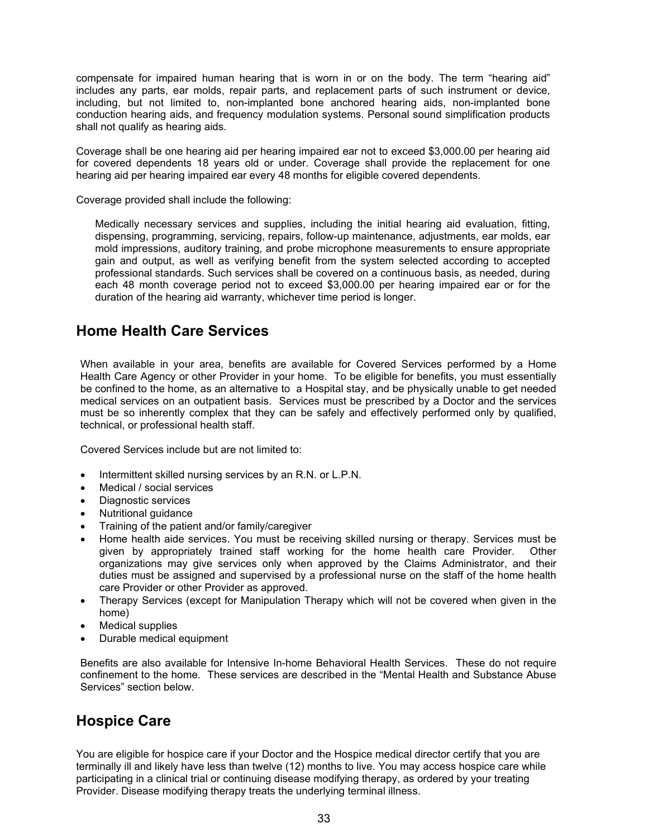compensate for impaired human hearing that is worn in or on the body. The term "hearing aid" includes any parts, ear molds, repair parts, and replacement parts of such instrument or device, including, but not limited to, non-implanted bone anchored hearing aids, non-implanted bone conduction hearing aids, and frequency modulation systems. Personal sound simplification products shall not qualify as hearing aids.

Coverage shall be one hearing aid per hearing impaired ear not to exceed \$3,000.00 per hearing aid for covered dependents 18 years old or under. Coverage shall provide the replacement for one hearing aid per hearing impaired ear every 48 months for eligible covered dependents.

Coverage provided shall include the following:

Medically necessary services and supplies, including the initial hearing aid evaluation, fitting, dispensing, programming, servicing, repairs, follow-up maintenance, adjustments, ear molds, ear mold impressions, auditory training, and probe microphone measurements to ensure appropriate gain and output, as well as verifying benefit from the system selected according to accepted professional standards. Such services shall be covered on a continuous basis, as needed, during each 48 month coverage period not to exceed \$3,000.00 per hearing impaired ear or for the duration of the hearing aid warranty, whichever time period is longer.

## <span id="page-34-0"></span>**Home Health Care Services**

When available in your area, benefits are available for Covered Services performed by a Home Health Care Agency or other Provider in your home. To be eligible for benefits, you must essentially be confined to the home, as an alternative to a Hospital stay, and be physically unable to get needed medical services on an outpatient basis. Services must be prescribed by a Doctor and the services must be so inherently complex that they can be safely and effectively performed only by qualified, technical, or professional health staff.

Covered Services include but are not limited to:

- Intermittent skilled nursing services by an R.N. or L.P.N.
- Medical / social services
- Diagnostic services
- Nutritional guidance
- Training of the patient and/or family/caregiver
- Home health aide services. You must be receiving skilled nursing or therapy. Services must be given by appropriately trained staff working for the home health care Provider. Other organizations may give services only when approved by the Claims Administrator, and their duties must be assigned and supervised by a professional nurse on the staff of the home health care Provider or other Provider as approved.
- Therapy Services (except for Manipulation Therapy which will not be covered when given in the home)
- Medical supplies
- Durable medical equipment

Benefits are also available for Intensive In-home Behavioral Health Services. These do not require confinement to the home. These services are described in the "Mental Health and Substance Abuse Services" section below.

## <span id="page-34-1"></span>**Hospice Care**

You are eligible for hospice care if your Doctor and the Hospice medical director certify that you are terminally ill and likely have less than twelve (12) months to live. You may access hospice care while participating in a clinical trial or continuing disease modifying therapy, as ordered by your treating Provider. Disease modifying therapy treats the underlying terminal illness.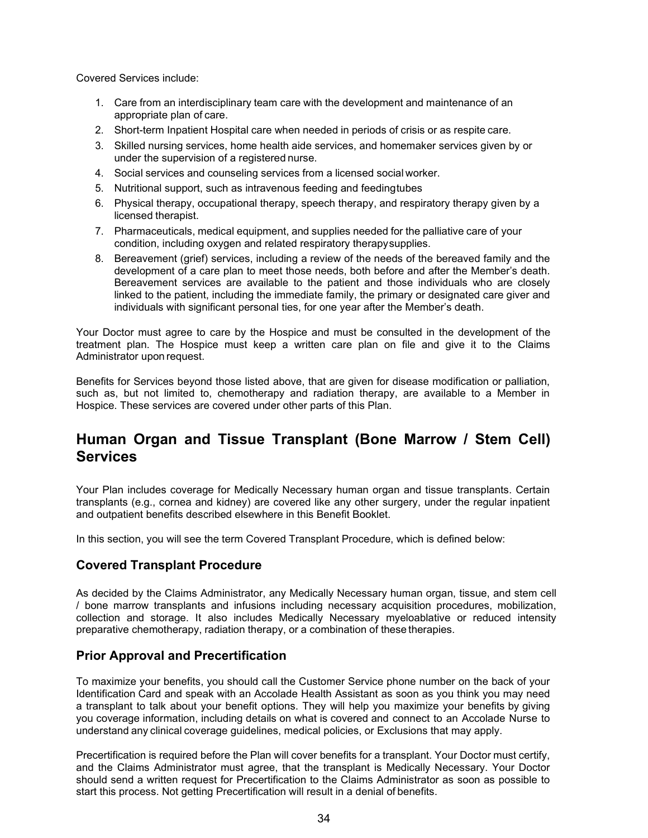Covered Services include:

- 1. Care from an interdisciplinary team care with the development and maintenance of an appropriate plan of care.
- 2. Short-term Inpatient Hospital care when needed in periods of crisis or as respite care.
- 3. Skilled nursing services, home health aide services, and homemaker services given by or under the supervision of a registered nurse.
- 4. Social services and counseling services from a licensed social worker.
- 5. Nutritional support, such as intravenous feeding and feedingtubes
- 6. Physical therapy, occupational therapy, speech therapy, and respiratory therapy given by a licensed therapist.
- 7. Pharmaceuticals, medical equipment, and supplies needed for the palliative care of your condition, including oxygen and related respiratory therapysupplies.
- 8. Bereavement (grief) services, including a review of the needs of the bereaved family and the development of a care plan to meet those needs, both before and after the Member's death. Bereavement services are available to the patient and those individuals who are closely linked to the patient, including the immediate family, the primary or designated care giver and individuals with significant personal ties, for one year after the Member's death.

Your Doctor must agree to care by the Hospice and must be consulted in the development of the treatment plan. The Hospice must keep a written care plan on file and give it to the Claims Administrator upon request.

Benefits for Services beyond those listed above, that are given for disease modification or palliation, such as, but not limited to, chemotherapy and radiation therapy, are available to a Member in Hospice. These services are covered under other parts of this Plan.

## <span id="page-35-0"></span>**Human Organ and Tissue Transplant (Bone Marrow / Stem Cell) Services**

Your Plan includes coverage for Medically Necessary human organ and tissue transplants. Certain transplants (e.g., cornea and kidney) are covered like any other surgery, under the regular inpatient and outpatient benefits described elsewhere in this Benefit Booklet.

In this section, you will see the term Covered Transplant Procedure, which is defined below:

#### <span id="page-35-1"></span>**Covered Transplant Procedure**

As decided by the Claims Administrator, any Medically Necessary human organ, tissue, and stem cell / bone marrow transplants and infusions including necessary acquisition procedures, mobilization, collection and storage. It also includes Medically Necessary myeloablative or reduced intensity preparative chemotherapy, radiation therapy, or a combination of these therapies.

#### <span id="page-35-2"></span>**Prior Approval and Precertification**

To maximize your benefits, you should call the Customer Service phone number on the back of your Identification Card and speak with an Accolade Health Assistant as soon as you think you may need a transplant to talk about your benefit options. They will help you maximize your benefits by giving you coverage information, including details on what is covered and connect to an Accolade Nurse to understand any clinical coverage guidelines, medical policies, or Exclusions that may apply.

Precertification is required before the Plan will cover benefits for a transplant. Your Doctor must certify, and the Claims Administrator must agree, that the transplant is Medically Necessary. Your Doctor should send a written request for Precertification to the Claims Administrator as soon as possible to start this process. Not getting Precertification will result in a denial of benefits.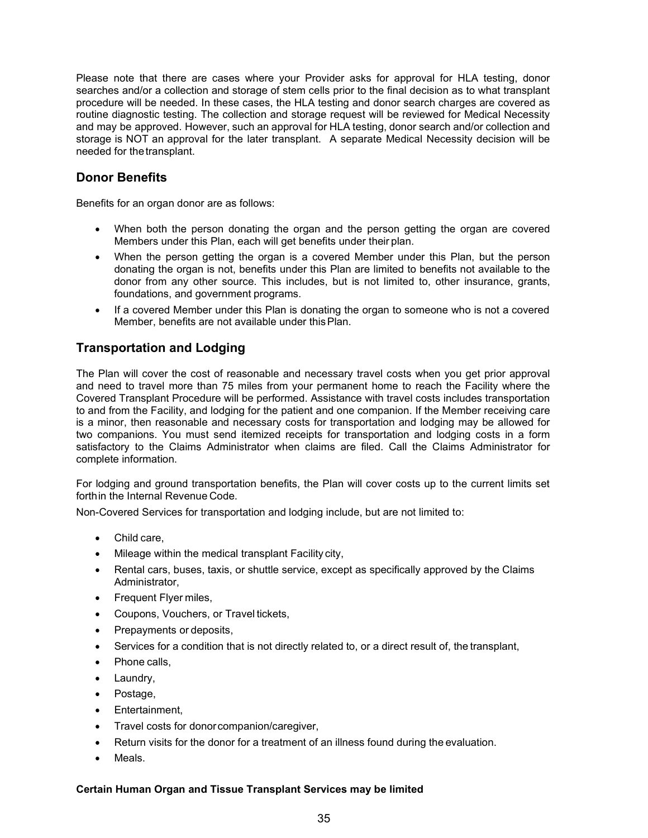Please note that there are cases where your Provider asks for approval for HLA testing, donor searches and/or a collection and storage of stem cells prior to the final decision as to what transplant procedure will be needed. In these cases, the HLA testing and donor search charges are covered as routine diagnostic testing. The collection and storage request will be reviewed for Medical Necessity and may be approved. However, such an approval for HLA testing, donor search and/or collection and storage is NOT an approval for the later transplant. A separate Medical Necessity decision will be needed for thetransplant.

#### **Donor Benefits**

Benefits for an organ donor are as follows:

- When both the person donating the organ and the person getting the organ are covered Members under this Plan, each will get benefits under their plan.
- When the person getting the organ is a covered Member under this Plan, but the person donating the organ is not, benefits under this Plan are limited to benefits not available to the donor from any other source. This includes, but is not limited to, other insurance, grants, foundations, and government programs.
- If a covered Member under this Plan is donating the organ to someone who is not a covered Member, benefits are not available under thisPlan.

#### **Transportation and Lodging**

The Plan will cover the cost of reasonable and necessary travel costs when you get prior approval and need to travel more than 75 miles from your permanent home to reach the Facility where the Covered Transplant Procedure will be performed. Assistance with travel costs includes transportation to and from the Facility, and lodging for the patient and one companion. If the Member receiving care is a minor, then reasonable and necessary costs for transportation and lodging may be allowed for two companions. You must send itemized receipts for transportation and lodging costs in a form satisfactory to the Claims Administrator when claims are filed. Call the Claims Administrator for complete information.

For lodging and ground transportation benefits, the Plan will cover costs up to the current limits set forthin the Internal Revenue Code.

Non-Covered Services for transportation and lodging include, but are not limited to:

- Child care,
- Mileage within the medical transplant Facility city,
- Rental cars, buses, taxis, or shuttle service, except as specifically approved by the Claims Administrator,
- Frequent Flyer miles,
- Coupons, Vouchers, or Travel tickets,
- Prepayments or deposits,
- Services for a condition that is not directly related to, or a direct result of, the transplant,
- Phone calls,
- Laundry,
- Postage,
- Entertainment,
- Travel costs for donorcompanion/caregiver,
- Return visits for the donor for a treatment of an illness found during the evaluation.
- Meals.

#### **Certain Human Organ and Tissue Transplant Services may be limited**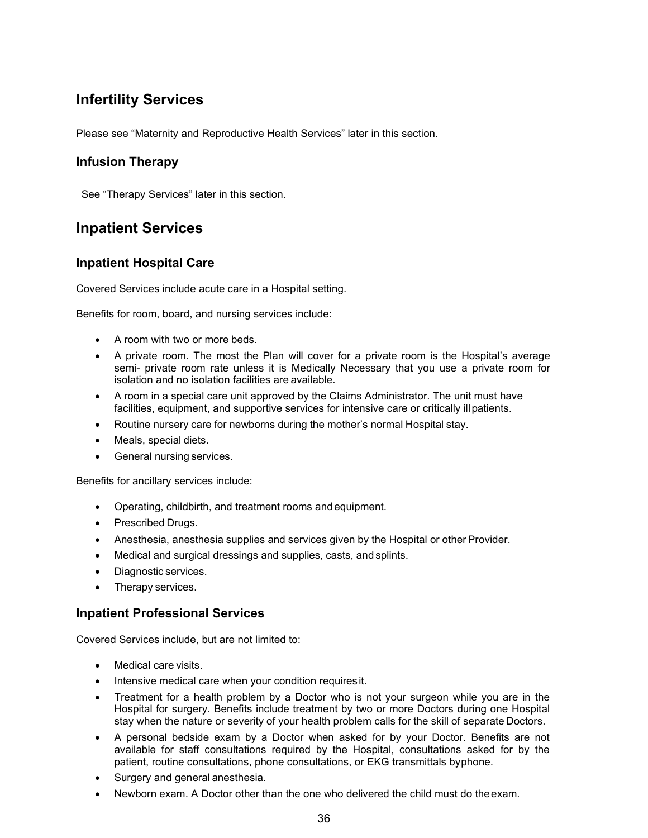## **Infertility Services**

Please see "Maternity and Reproductive Health Services" later in this section.

### **Infusion Therapy**

See "Therapy Services" later in this section.

### **Inpatient Services**

#### **Inpatient Hospital Care**

Covered Services include acute care in a Hospital setting.

Benefits for room, board, and nursing services include:

- A room with two or more beds.
- A private room. The most the Plan will cover for a private room is the Hospital's average semi- private room rate unless it is Medically Necessary that you use a private room for isolation and no isolation facilities are available.
- A room in a special care unit approved by the Claims Administrator. The unit must have facilities, equipment, and supportive services for intensive care or critically illpatients.
- Routine nursery care for newborns during the mother's normal Hospital stay.
- Meals, special diets.
- General nursing services.

Benefits for ancillary services include:

- Operating, childbirth, and treatment rooms andequipment.
- Prescribed Drugs.
- Anesthesia, anesthesia supplies and services given by the Hospital or other Provider.
- Medical and surgical dressings and supplies, casts, and splints.
- Diagnostic services.
- Therapy services.

#### **Inpatient Professional Services**

Covered Services include, but are not limited to:

- Medical care visits.
- Intensive medical care when your condition requiresit.
- Treatment for a health problem by a Doctor who is not your surgeon while you are in the Hospital for surgery. Benefits include treatment by two or more Doctors during one Hospital stay when the nature or severity of your health problem calls for the skill of separate Doctors.
- A personal bedside exam by a Doctor when asked for by your Doctor. Benefits are not available for staff consultations required by the Hospital, consultations asked for by the patient, routine consultations, phone consultations, or EKG transmittals byphone.
- Surgery and general anesthesia.
- Newborn exam. A Doctor other than the one who delivered the child must do theexam.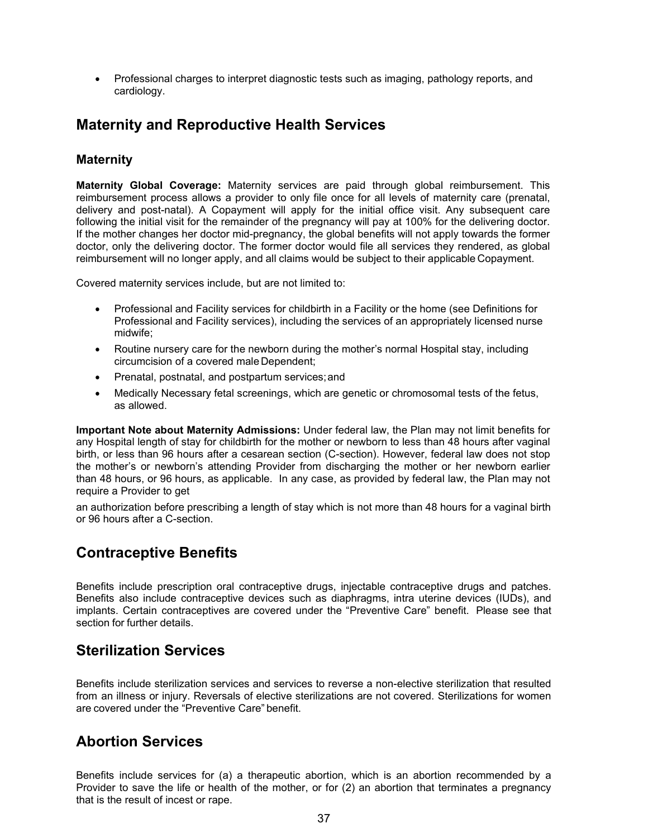• Professional charges to interpret diagnostic tests such as imaging, pathology reports, and cardiology.

### **Maternity and Reproductive Health Services**

#### **Maternity**

**Maternity Global Coverage:** Maternity services are paid through global reimbursement. This reimbursement process allows a provider to only file once for all levels of maternity care (prenatal, delivery and post-natal). A Copayment will apply for the initial office visit. Any subsequent care following the initial visit for the remainder of the pregnancy will pay at 100% for the delivering doctor. If the mother changes her doctor mid-pregnancy, the global benefits will not apply towards the former doctor, only the delivering doctor. The former doctor would file all services they rendered, as global reimbursement will no longer apply, and all claims would be subject to their applicable Copayment.

Covered maternity services include, but are not limited to:

- Professional and Facility services for childbirth in a Facility or the home (see Definitions for Professional and Facility services), including the services of an appropriately licensed nurse midwife;
- Routine nursery care for the newborn during the mother's normal Hospital stay, including circumcision of a covered male Dependent;
- Prenatal, postnatal, and postpartum services;and
- Medically Necessary fetal screenings, which are genetic or chromosomal tests of the fetus, as allowed.

**Important Note about Maternity Admissions:** Under federal law, the Plan may not limit benefits for any Hospital length of stay for childbirth for the mother or newborn to less than 48 hours after vaginal birth, or less than 96 hours after a cesarean section (C-section). However, federal law does not stop the mother's or newborn's attending Provider from discharging the mother or her newborn earlier than 48 hours, or 96 hours, as applicable. In any case, as provided by federal law, the Plan may not require a Provider to get

an authorization before prescribing a length of stay which is not more than 48 hours for a vaginal birth or 96 hours after a C-section.

### **Contraceptive Benefits**

Benefits include prescription oral contraceptive drugs, injectable contraceptive drugs and patches. Benefits also include contraceptive devices such as diaphragms, intra uterine devices (IUDs), and implants. Certain contraceptives are covered under the "Preventive Care" benefit. Please see that section for further details.

### **Sterilization Services**

Benefits include sterilization services and services to reverse a non-elective sterilization that resulted from an illness or injury. Reversals of elective sterilizations are not covered. Sterilizations for women are covered under the "Preventive Care" benefit.

### **Abortion Services**

Benefits include services for (a) a therapeutic abortion, which is an abortion recommended by a Provider to save the life or health of the mother, or for (2) an abortion that terminates a pregnancy that is the result of incest or rape.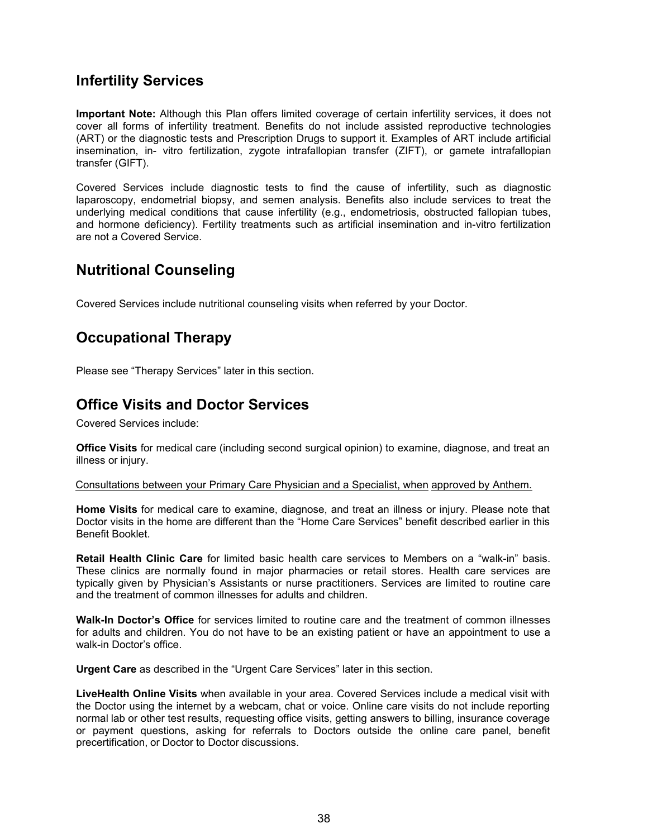### **Infertility Services**

**Important Note:** Although this Plan offers limited coverage of certain infertility services, it does not cover all forms of infertility treatment. Benefits do not include assisted reproductive technologies (ART) or the diagnostic tests and Prescription Drugs to support it. Examples of ART include artificial insemination, in- vitro fertilization, zygote intrafallopian transfer (ZIFT), or gamete intrafallopian transfer (GIFT).

Covered Services include diagnostic tests to find the cause of infertility, such as diagnostic laparoscopy, endometrial biopsy, and semen analysis. Benefits also include services to treat the underlying medical conditions that cause infertility (e.g., endometriosis, obstructed fallopian tubes, and hormone deficiency). Fertility treatments such as artificial insemination and in-vitro fertilization are not a Covered Service.

### **Nutritional Counseling**

Covered Services include nutritional counseling visits when referred by your Doctor.

### **Occupational Therapy**

Please see "Therapy Services" later in this section.

### **Office Visits and Doctor Services**

Covered Services include:

**Office Visits** for medical care (including second surgical opinion) to examine, diagnose, and treat an illness or injury.

Consultations between your Primary Care Physician and a Specialist, when approved by Anthem.

**Home Visits** for medical care to examine, diagnose, and treat an illness or injury. Please note that Doctor visits in the home are different than the "Home Care Services" benefit described earlier in this Benefit Booklet.

**Retail Health Clinic Care** for limited basic health care services to Members on a "walk-in" basis. These clinics are normally found in major pharmacies or retail stores. Health care services are typically given by Physician's Assistants or nurse practitioners. Services are limited to routine care and the treatment of common illnesses for adults and children.

**Walk-In Doctor's Office** for services limited to routine care and the treatment of common illnesses for adults and children. You do not have to be an existing patient or have an appointment to use a walk-in Doctor's office.

**Urgent Care** as described in the "Urgent Care Services" later in this section.

**LiveHealth Online Visits** when available in your area. Covered Services include a medical visit with the Doctor using the internet by a webcam, chat or voice. Online care visits do not include reporting normal lab or other test results, requesting office visits, getting answers to billing, insurance coverage or payment questions, asking for referrals to Doctors outside the online care panel, benefit precertification, or Doctor to Doctor discussions.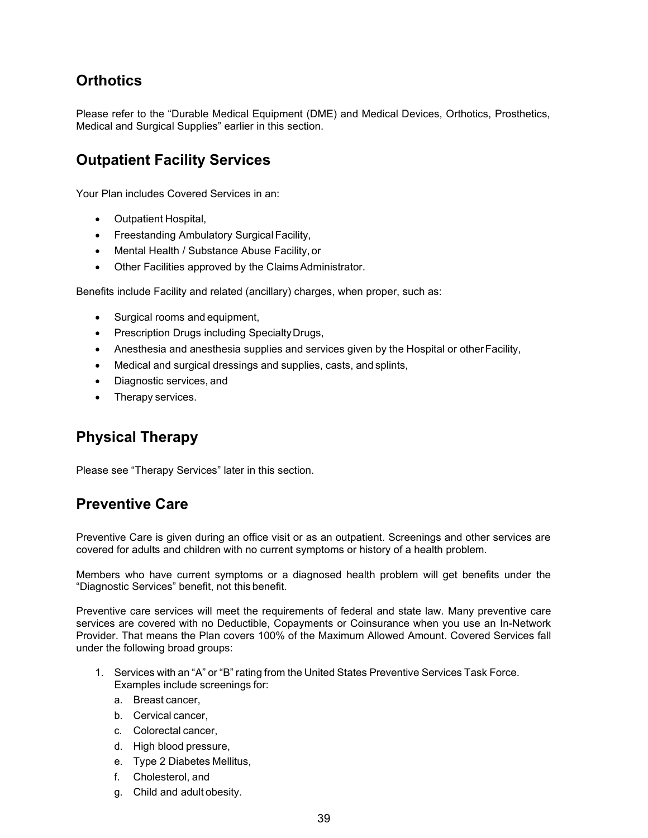## **Orthotics**

Please refer to the "Durable Medical Equipment (DME) and Medical Devices, Orthotics, Prosthetics, Medical and Surgical Supplies" earlier in this section.

### **Outpatient Facility Services**

Your Plan includes Covered Services in an:

- Outpatient Hospital,
- Freestanding Ambulatory Surgical Facility,
- Mental Health / Substance Abuse Facility, or
- Other Facilities approved by the ClaimsAdministrator.

Benefits include Facility and related (ancillary) charges, when proper, such as:

- Surgical rooms and equipment,
- Prescription Drugs including SpecialtyDrugs,
- Anesthesia and anesthesia supplies and services given by the Hospital or other Facility,
- Medical and surgical dressings and supplies, casts, and splints,
- Diagnostic services, and
- Therapy services.

### **Physical Therapy**

Please see "Therapy Services" later in this section.

### **Preventive Care**

Preventive Care is given during an office visit or as an outpatient. Screenings and other services are covered for adults and children with no current symptoms or history of a health problem.

Members who have current symptoms or a diagnosed health problem will get benefits under the "Diagnostic Services" benefit, not this benefit.

Preventive care services will meet the requirements of federal and state law. Many preventive care services are covered with no Deductible, Copayments or Coinsurance when you use an In-Network Provider. That means the Plan covers 100% of the Maximum Allowed Amount. Covered Services fall under the following broad groups:

- 1. Services with an "A" or "B" rating from the United States Preventive Services Task Force. Examples include screenings for:
	- a. Breast cancer,
	- b. Cervical cancer,
	- c. Colorectal cancer,
	- d. High blood pressure,
	- e. Type 2 Diabetes Mellitus,
	- f. Cholesterol, and
	- g. Child and adult obesity.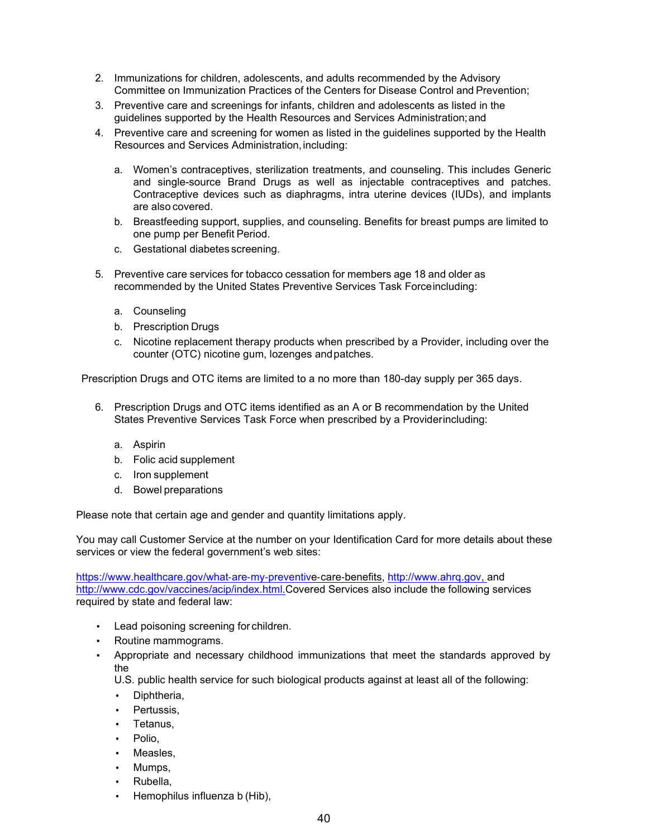- 2. Immunizations for children, adolescents, and adults recommended by the Advisory Committee on Immunization Practices of the Centers for Disease Control and Prevention;
- 3. Preventive care and screenings for infants, children and adolescents as listed in the guidelines supported by the Health Resources and Services Administration;and
- 4. Preventive care and screening for women as listed in the guidelines supported by the Health Resources and Services Administration, including:
	- a. Women's contraceptives, sterilization treatments, and counseling. This includes Generic and single-source Brand Drugs as well as injectable contraceptives and patches. Contraceptive devices such as diaphragms, intra uterine devices (IUDs), and implants are also covered.
	- b. Breastfeeding support, supplies, and counseling. Benefits for breast pumps are limited to one pump per Benefit Period.
	- c. Gestational diabetes screening.
- 5. Preventive care services for tobacco cessation for members age 18 and older as recommended by the United States Preventive Services Task Forceincluding:
	- a. Counseling
	- b. Prescription Drugs
	- c. Nicotine replacement therapy products when prescribed by a Provider, including over the counter (OTC) nicotine gum, lozenges andpatches.

Prescription Drugs and OTC items are limited to a no more than 180-day supply per 365 days.

- 6. Prescription Drugs and OTC items identified as an A or B recommendation by the United States Preventive Services Task Force when prescribed by a Providerincluding:
	- a. Aspirin
	- b. Folic acid supplement
	- c. Iron supplement
	- d. Bowel preparations

Please note that certain age and gender and quantity limitations apply.

You may call Customer Service at the number on your Identification Card for more details about these services or view the federal government's web sites:

[https://www.healthcare.gov/what](http://www.healthcare.gov/what)‐are‐my‐preventive‐care‐benefits, [http://www.ahrq.gov, a](http://www.ahrq.gov/)nd [http://www.cdc.gov/vaccines/acip/index.html.C](http://www.cdc.gov/vaccines/acip/index.html)overed Services also include the following services required by state and federal law:

- Lead poisoning screening for children.
- Routine mammograms.
- Appropriate and necessary childhood immunizations that meet the standards approved by the

U.S. public health service for such biological products against at least all of the following:

- Diphtheria,
- Pertussis.
- Tetanus,
- Polio.
- Measles.
- Mumps,
- Rubella,
- Hemophilus influenza b (Hib),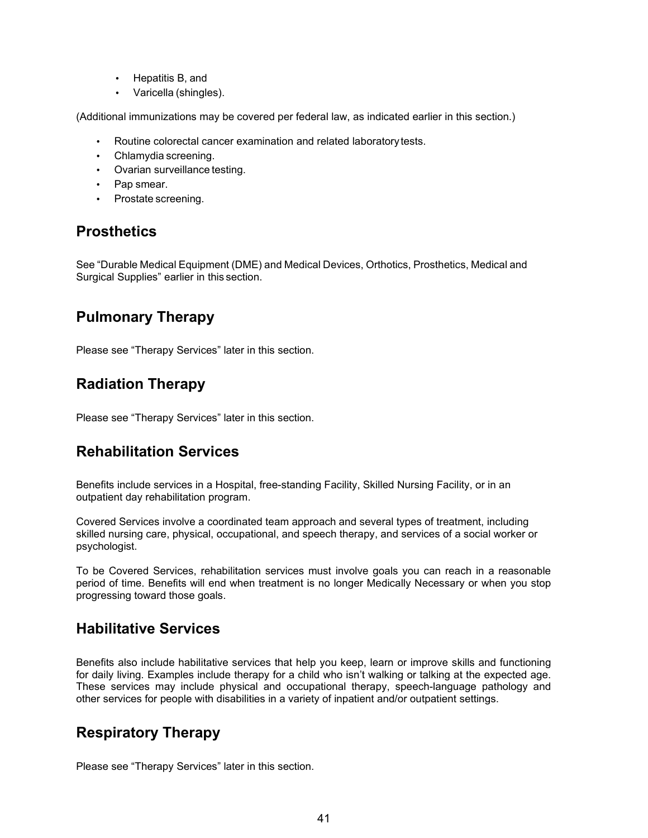- Hepatitis B, and
- Varicella (shingles).

(Additional immunizations may be covered per federal law, as indicated earlier in this section.)

- Routine colorectal cancer examination and related laboratory tests.
- Chlamydia screening.
- Ovarian surveillance testing.
- Pap smear.
- Prostate screening.

### **Prosthetics**

See "Durable Medical Equipment (DME) and Medical Devices, Orthotics, Prosthetics, Medical and Surgical Supplies" earlier in this section.

### **Pulmonary Therapy**

Please see "Therapy Services" later in this section.

### **Radiation Therapy**

Please see "Therapy Services" later in this section.

### **Rehabilitation Services**

Benefits include services in a Hospital, free-standing Facility, Skilled Nursing Facility, or in an outpatient day rehabilitation program.

Covered Services involve a coordinated team approach and several types of treatment, including skilled nursing care, physical, occupational, and speech therapy, and services of a social worker or psychologist.

To be Covered Services, rehabilitation services must involve goals you can reach in a reasonable period of time. Benefits will end when treatment is no longer Medically Necessary or when you stop progressing toward those goals.

### **Habilitative Services**

Benefits also include habilitative services that help you keep, learn or improve skills and functioning for daily living. Examples include therapy for a child who isn't walking or talking at the expected age. These services may include physical and occupational therapy, speech-language pathology and other services for people with disabilities in a variety of inpatient and/or outpatient settings.

### **Respiratory Therapy**

Please see "Therapy Services" later in this section.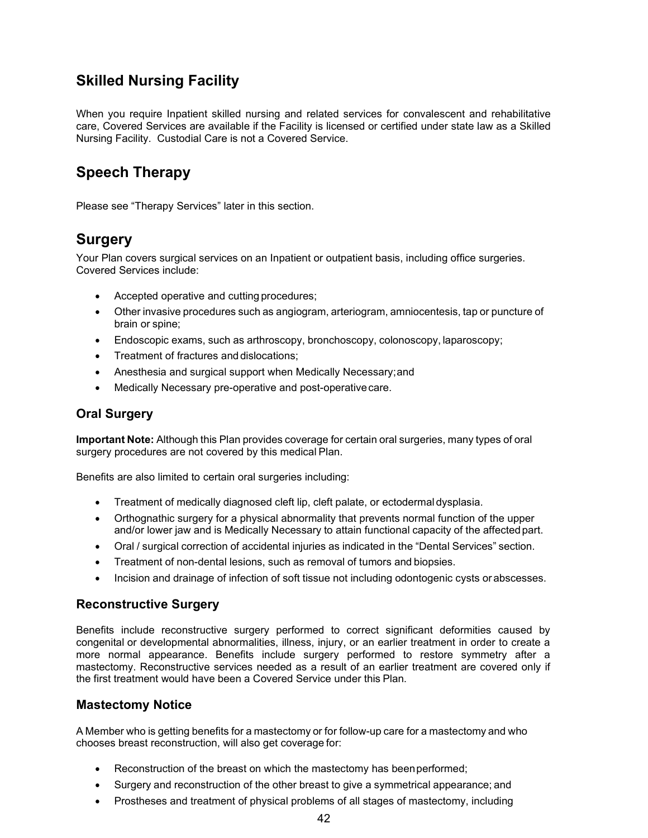## **Skilled Nursing Facility**

When you require Inpatient skilled nursing and related services for convalescent and rehabilitative care, Covered Services are available if the Facility is licensed or certified under state law as a Skilled Nursing Facility. Custodial Care is not a Covered Service.

## **Speech Therapy**

Please see "Therapy Services" later in this section.

## **Surgery**

Your Plan covers surgical services on an Inpatient or outpatient basis, including office surgeries. Covered Services include:

- Accepted operative and cutting procedures;
- Other invasive procedures such as angiogram, arteriogram, amniocentesis, tap or puncture of brain or spine;
- Endoscopic exams, such as arthroscopy, bronchoscopy, colonoscopy, laparoscopy;
- Treatment of fractures and dislocations;
- Anesthesia and surgical support when Medically Necessary;and
- Medically Necessary pre-operative and post-operativecare.

### **Oral Surgery**

**Important Note:** Although this Plan provides coverage for certain oral surgeries, many types of oral surgery procedures are not covered by this medical Plan.

Benefits are also limited to certain oral surgeries including:

- Treatment of medically diagnosed cleft lip, cleft palate, or ectodermal dysplasia.
- Orthognathic surgery for a physical abnormality that prevents normal function of the upper and/or lower jaw and is Medically Necessary to attain functional capacity of the affectedpart.
- Oral / surgical correction of accidental injuries as indicated in the "Dental Services" section.
- Treatment of non-dental lesions, such as removal of tumors and biopsies.
- Incision and drainage of infection of soft tissue not including odontogenic cysts or abscesses.

### **Reconstructive Surgery**

Benefits include reconstructive surgery performed to correct significant deformities caused by congenital or developmental abnormalities, illness, injury, or an earlier treatment in order to create a more normal appearance. Benefits include surgery performed to restore symmetry after a mastectomy. Reconstructive services needed as a result of an earlier treatment are covered only if the first treatment would have been a Covered Service under this Plan.

#### **Mastectomy Notice**

A Member who is getting benefits for a mastectomy or for follow-up care for a mastectomy and who chooses breast reconstruction, will also get coverage for:

- Reconstruction of the breast on which the mastectomy has beenperformed;
- Surgery and reconstruction of the other breast to give a symmetrical appearance; and
- Prostheses and treatment of physical problems of all stages of mastectomy, including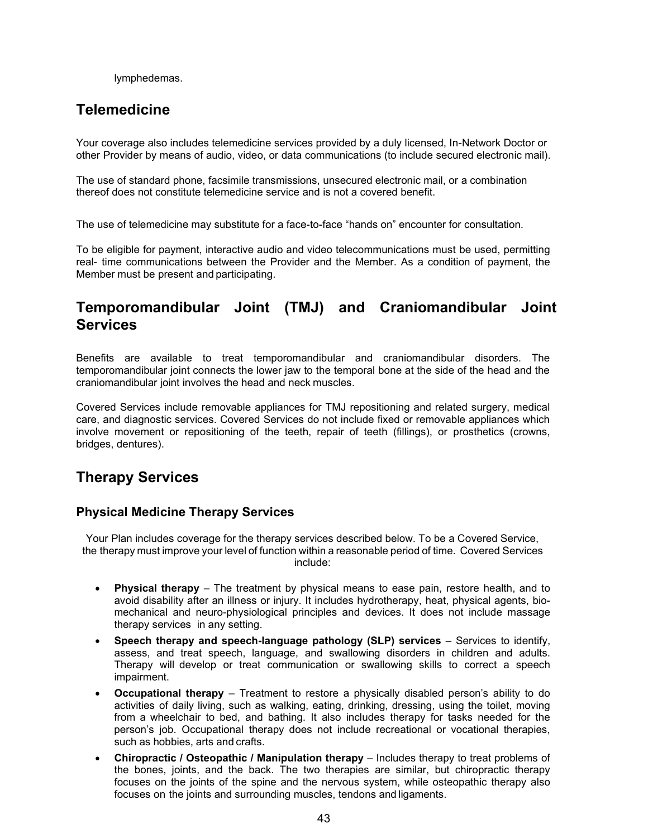lymphedemas.

### **Telemedicine**

Your coverage also includes telemedicine services provided by a duly licensed, In-Network Doctor or other Provider by means of audio, video, or data communications (to include secured electronic mail).

The use of standard phone, facsimile transmissions, unsecured electronic mail, or a combination thereof does not constitute telemedicine service and is not a covered benefit.

The use of telemedicine may substitute for a face-to-face "hands on" encounter for consultation.

To be eligible for payment, interactive audio and video telecommunications must be used, permitting real- time communications between the Provider and the Member. As a condition of payment, the Member must be present and participating.

### **Temporomandibular Joint (TMJ) and Craniomandibular Joint Services**

Benefits are available to treat temporomandibular and craniomandibular disorders. The temporomandibular joint connects the lower jaw to the temporal bone at the side of the head and the craniomandibular joint involves the head and neck muscles.

Covered Services include removable appliances for TMJ repositioning and related surgery, medical care, and diagnostic services. Covered Services do not include fixed or removable appliances which involve movement or repositioning of the teeth, repair of teeth (fillings), or prosthetics (crowns, bridges, dentures).

### **Therapy Services**

#### **Physical Medicine Therapy Services**

Your Plan includes coverage for the therapy services described below. To be a Covered Service, the therapy must improve your level of function within a reasonable period of time. Covered Services include:

- **Physical therapy**  The treatment by physical means to ease pain, restore health, and to avoid disability after an illness or injury. It includes hydrotherapy, heat, physical agents, biomechanical and neuro-physiological principles and devices. It does not include massage therapy services in any setting.
- **Speech therapy and speech-language pathology (SLP) services** Services to identify, assess, and treat speech, language, and swallowing disorders in children and adults. Therapy will develop or treat communication or swallowing skills to correct a speech impairment.
- **Occupational therapy** Treatment to restore a physically disabled person's ability to do activities of daily living, such as walking, eating, drinking, dressing, using the toilet, moving from a wheelchair to bed, and bathing. It also includes therapy for tasks needed for the person's job. Occupational therapy does not include recreational or vocational therapies, such as hobbies, arts and crafts.
- **Chiropractic / Osteopathic / Manipulation therapy**  Includes therapy to treat problems of the bones, joints, and the back. The two therapies are similar, but chiropractic therapy focuses on the joints of the spine and the nervous system, while osteopathic therapy also focuses on the joints and surrounding muscles, tendons and ligaments.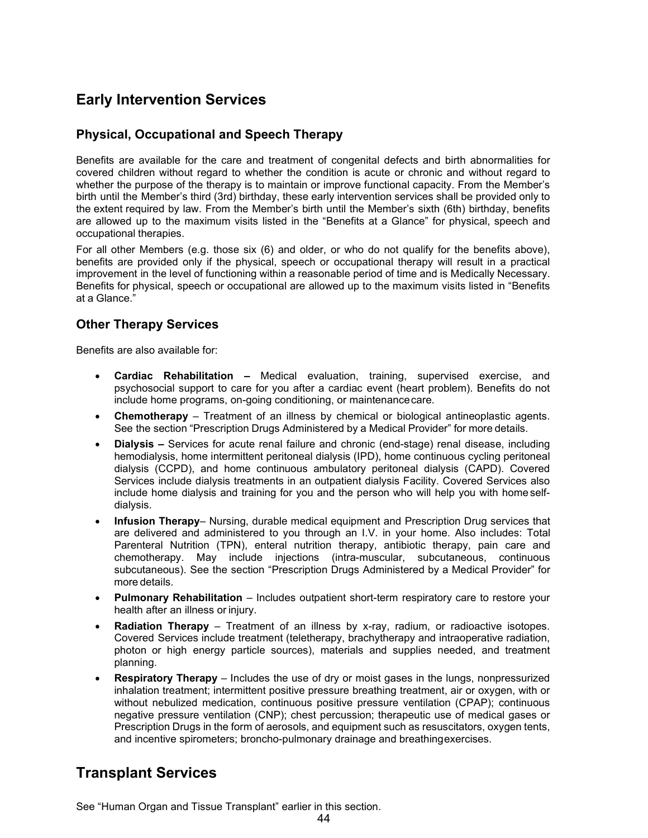## **Early Intervention Services**

### **Physical, Occupational and Speech Therapy**

Benefits are available for the care and treatment of congenital defects and birth abnormalities for covered children without regard to whether the condition is acute or chronic and without regard to whether the purpose of the therapy is to maintain or improve functional capacity. From the Member's birth until the Member's third (3rd) birthday, these early intervention services shall be provided only to the extent required by law. From the Member's birth until the Member's sixth (6th) birthday, benefits are allowed up to the maximum visits listed in the "Benefits at a Glance" for physical, speech and occupational therapies.

For all other Members (e.g. those six (6) and older, or who do not qualify for the benefits above), benefits are provided only if the physical, speech or occupational therapy will result in a practical improvement in the level of functioning within a reasonable period of time and is Medically Necessary. Benefits for physical, speech or occupational are allowed up to the maximum visits listed in "Benefits at a Glance."

### **Other Therapy Services**

Benefits are also available for:

- **Cardiac Rehabilitation –** Medical evaluation, training, supervised exercise, and psychosocial support to care for you after a cardiac event (heart problem). Benefits do not include home programs, on-going conditioning, or maintenancecare.
- **Chemotherapy**  Treatment of an illness by chemical or biological antineoplastic agents. See the section "Prescription Drugs Administered by a Medical Provider" for more details.
- **Dialysis –** Services for acute renal failure and chronic (end-stage) renal disease, including hemodialysis, home intermittent peritoneal dialysis (IPD), home continuous cycling peritoneal dialysis (CCPD), and home continuous ambulatory peritoneal dialysis (CAPD). Covered Services include dialysis treatments in an outpatient dialysis Facility. Covered Services also include home dialysis and training for you and the person who will help you with home selfdialysis.
- **Infusion Therapy** Nursing, durable medical equipment and Prescription Drug services that are delivered and administered to you through an I.V. in your home. Also includes: Total Parenteral Nutrition (TPN), enteral nutrition therapy, antibiotic therapy, pain care and chemotherapy. May include injections (intra-muscular, subcutaneous, continuous subcutaneous). See the section "Prescription Drugs Administered by a Medical Provider" for more details.
- **Pulmonary Rehabilitation** Includes outpatient short-term respiratory care to restore your health after an illness or injury.
- **Radiation Therapy**  Treatment of an illness by x-ray, radium, or radioactive isotopes. Covered Services include treatment (teletherapy, brachytherapy and intraoperative radiation, photon or high energy particle sources), materials and supplies needed, and treatment planning.
- **Respiratory Therapy**  Includes the use of dry or moist gases in the lungs, nonpressurized inhalation treatment; intermittent positive pressure breathing treatment, air or oxygen, with or without nebulized medication, continuous positive pressure ventilation (CPAP); continuous negative pressure ventilation (CNP); chest percussion; therapeutic use of medical gases or Prescription Drugs in the form of aerosols, and equipment such as resuscitators, oxygen tents, and incentive spirometers; broncho-pulmonary drainage and breathingexercises.

### **Transplant Services**

See "Human Organ and Tissue Transplant" earlier in this section.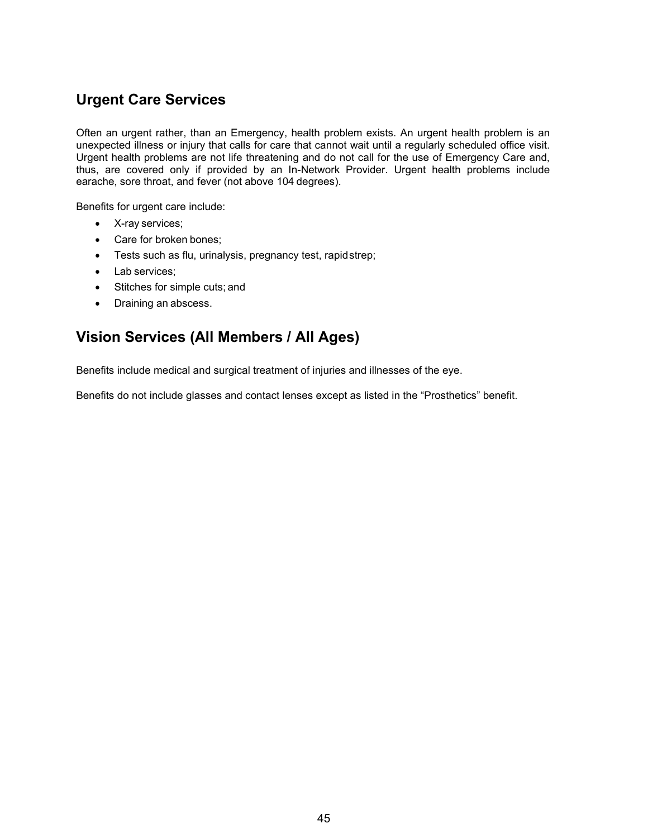## **Urgent Care Services**

Often an urgent rather, than an Emergency, health problem exists. An urgent health problem is an unexpected illness or injury that calls for care that cannot wait until a regularly scheduled office visit. Urgent health problems are not life threatening and do not call for the use of Emergency Care and, thus, are covered only if provided by an In-Network Provider. Urgent health problems include earache, sore throat, and fever (not above 104 degrees).

Benefits for urgent care include:

- X-ray services;
- Care for broken bones;
- Tests such as flu, urinalysis, pregnancy test, rapidstrep;
- Lab services;
- Stitches for simple cuts; and
- Draining an abscess.

### **Vision Services (All Members / All Ages)**

Benefits include medical and surgical treatment of injuries and illnesses of the eye.

Benefits do not include glasses and contact lenses except as listed in the "Prosthetics" benefit.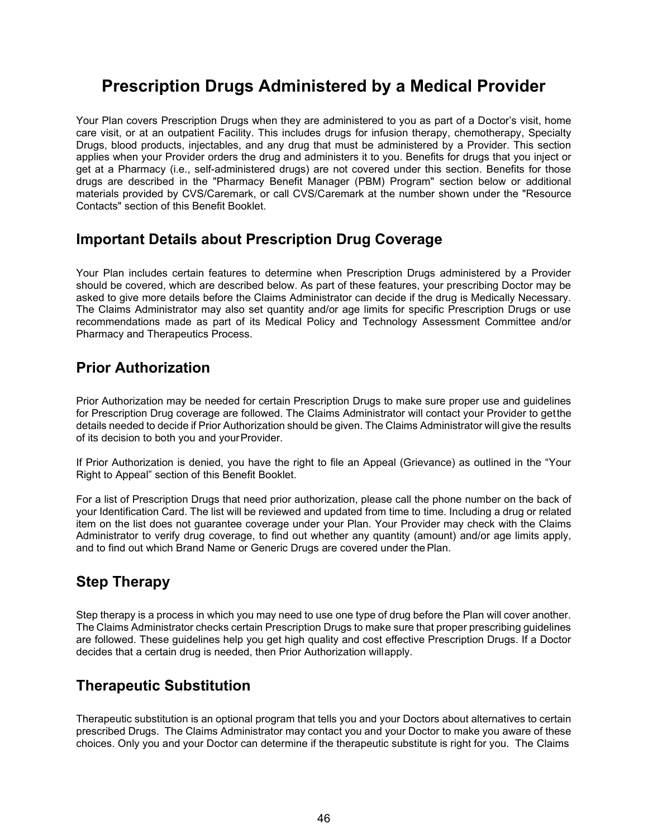# **Prescription Drugs Administered by a Medical Provider**

Your Plan covers Prescription Drugs when they are administered to you as part of a Doctor's visit, home care visit, or at an outpatient Facility. This includes drugs for infusion therapy, chemotherapy, Specialty Drugs, blood products, injectables, and any drug that must be administered by a Provider. This section applies when your Provider orders the drug and administers it to you. Benefits for drugs that you inject or get at a Pharmacy (i.e., self-administered drugs) are not covered under this section. Benefits for those drugs are described in the "Pharmacy Benefit Manager (PBM) Program" section below or additional materials provided by CVS/Caremark, or call CVS/Caremark at the number shown under the "Resource Contacts" section of this Benefit Booklet.

### **Important Details about Prescription Drug Coverage**

Your Plan includes certain features to determine when Prescription Drugs administered by a Provider should be covered, which are described below. As part of these features, your prescribing Doctor may be asked to give more details before the Claims Administrator can decide if the drug is Medically Necessary. The Claims Administrator may also set quantity and/or age limits for specific Prescription Drugs or use recommendations made as part of its Medical Policy and Technology Assessment Committee and/or Pharmacy and Therapeutics Process.

### **Prior Authorization**

Prior Authorization may be needed for certain Prescription Drugs to make sure proper use and guidelines for Prescription Drug coverage are followed. The Claims Administrator will contact your Provider to getthe details needed to decide if Prior Authorization should be given. The Claims Administrator will give the results of its decision to both you and yourProvider.

If Prior Authorization is denied, you have the right to file an Appeal (Grievance) as outlined in the "Your Right to Appeal" section of this Benefit Booklet.

For a list of Prescription Drugs that need prior authorization, please call the phone number on the back of your Identification Card. The list will be reviewed and updated from time to time. Including a drug or related item on the list does not guarantee coverage under your Plan. Your Provider may check with the Claims Administrator to verify drug coverage, to find out whether any quantity (amount) and/or age limits apply, and to find out which Brand Name or Generic Drugs are covered under thePlan.

### **Step Therapy**

Step therapy is a process in which you may need to use one type of drug before the Plan will cover another. The Claims Administrator checks certain Prescription Drugs to make sure that proper prescribing guidelines are followed. These guidelines help you get high quality and cost effective Prescription Drugs. If a Doctor decides that a certain drug is needed, then Prior Authorization willapply.

### **Therapeutic Substitution**

Therapeutic substitution is an optional program that tells you and your Doctors about alternatives to certain prescribed Drugs. The Claims Administrator may contact you and your Doctor to make you aware of these choices. Only you and your Doctor can determine if the therapeutic substitute is right for you. The Claims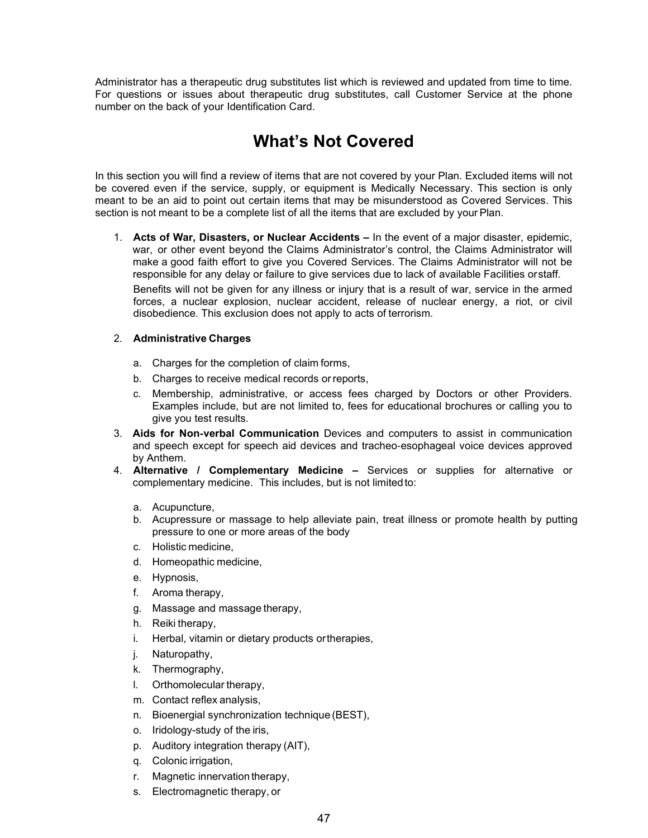Administrator has a therapeutic drug substitutes list which is reviewed and updated from time to time. For questions or issues about therapeutic drug substitutes, call Customer Service at the phone number on the back of your Identification Card.

# **What's Not Covered**

In this section you will find a review of items that are not covered by your Plan. Excluded items will not be covered even if the service, supply, or equipment is Medically Necessary. This section is only meant to be an aid to point out certain items that may be misunderstood as Covered Services. This section is not meant to be a complete list of all the items that are excluded by your Plan.

1. **Acts of War, Disasters, or Nuclear Accidents –** In the event of a major disaster, epidemic, war, or other event beyond the Claims Administrator's control, the Claims Administrator will make a good faith effort to give you Covered Services. The Claims Administrator will not be responsible for any delay or failure to give services due to lack of available Facilities orstaff.

Benefits will not be given for any illness or injury that is a result of war, service in the armed forces, a nuclear explosion, nuclear accident, release of nuclear energy, a riot, or civil disobedience. This exclusion does not apply to acts of terrorism.

#### 2. **Administrative Charges**

- a. Charges for the completion of claim forms,
- b. Charges to receive medical records orreports,
- c. Membership, administrative, or access fees charged by Doctors or other Providers. Examples include, but are not limited to, fees for educational brochures or calling you to give you test results.
- 3. **Aids for Non**‐**verbal Communication** Devices and computers to assist in communication and speech except for speech aid devices and tracheo‐esophageal voice devices approved by Anthem.
- 4. **Alternative / Complementary Medicine –** Services or supplies for alternative or complementary medicine. This includes, but is not limitedto:
	- a. Acupuncture,
	- b. Acupressure or massage to help alleviate pain, treat illness or promote health by putting pressure to one or more areas of the body
	- c. Holistic medicine,
	- d. Homeopathic medicine,
	- e. Hypnosis,
	- f. Aroma therapy,
	- g. Massage and massage therapy,
	- h. Reiki therapy,
	- i. Herbal, vitamin or dietary products ortherapies,
	- j. Naturopathy,
	- k. Thermography,
	- l. Orthomolecular therapy,
	- m. Contact reflex analysis,
	- n. Bioenergial synchronization technique (BEST),
	- o. Iridology-study of the iris,
	- p. Auditory integration therapy (AIT),
	- q. Colonic irrigation,
	- r. Magnetic innervation therapy,
	- s. Electromagnetic therapy, or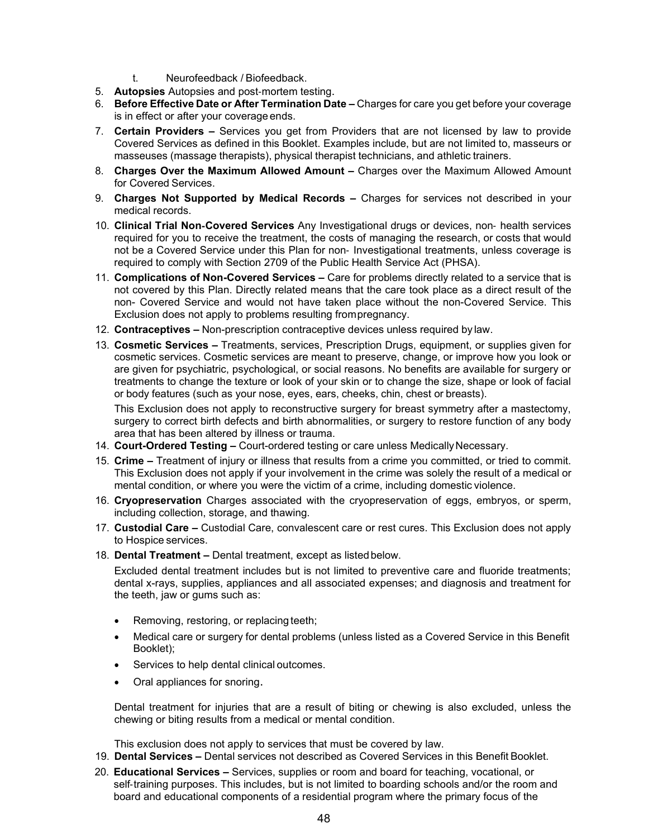- t. Neurofeedback / Biofeedback.
- 5. **Autopsies** Autopsies and post‐mortem testing.
- 6. **Before Effective Date or After Termination Date –** Charges for care you get before your coverage is in effect or after your coverage ends.
- 7. **Certain Providers –** Services you get from Providers that are not licensed by law to provide Covered Services as defined in this Booklet. Examples include, but are not limited to, masseurs or masseuses (massage therapists), physical therapist technicians, and athletic trainers.
- 8. **Charges Over the Maximum Allowed Amount –** Charges over the Maximum Allowed Amount for Covered Services.
- 9. **Charges Not Supported by Medical Records –** Charges for services not described in your medical records.
- 10. **Clinical Trial Non**‐**Covered Services** Any Investigational drugs or devices, non‐ health services required for you to receive the treatment, the costs of managing the research, or costs that would not be a Covered Service under this Plan for non‐ Investigational treatments, unless coverage is required to comply with Section 2709 of the Public Health Service Act (PHSA).
- 11. **Complications of Non-Covered Services –** Care for problems directly related to a service that is not covered by this Plan. Directly related means that the care took place as a direct result of the non- Covered Service and would not have taken place without the non-Covered Service. This Exclusion does not apply to problems resulting frompregnancy.
- 12. **Contraceptives –** Non-prescription contraceptive devices unless required by law.
- 13. **Cosmetic Services –** Treatments, services, Prescription Drugs, equipment, or supplies given for cosmetic services. Cosmetic services are meant to preserve, change, or improve how you look or are given for psychiatric, psychological, or social reasons. No benefits are available for surgery or treatments to change the texture or look of your skin or to change the size, shape or look of facial or body features (such as your nose, eyes, ears, cheeks, chin, chest or breasts).

This Exclusion does not apply to reconstructive surgery for breast symmetry after a mastectomy, surgery to correct birth defects and birth abnormalities, or surgery to restore function of any body area that has been altered by illness or trauma.

- 14. **Court-Ordered Testing –** Court-ordered testing or care unless Medically Necessary.
- 15. **Crime –** Treatment of injury or illness that results from a crime you committed, or tried to commit. This Exclusion does not apply if your involvement in the crime was solely the result of a medical or mental condition, or where you were the victim of a crime, including domestic violence.
- 16. **Cryopreservation** Charges associated with the cryopreservation of eggs, embryos, or sperm, including collection, storage, and thawing.
- 17. **Custodial Care –** Custodial Care, convalescent care or rest cures. This Exclusion does not apply to Hospice services.
- 18. **Dental Treatment –** Dental treatment, except as listedbelow.

Excluded dental treatment includes but is not limited to preventive care and fluoride treatments; dental x-rays, supplies, appliances and all associated expenses; and diagnosis and treatment for the teeth, jaw or gums such as:

- Removing, restoring, or replacing teeth;
- Medical care or surgery for dental problems (unless listed as a Covered Service in this Benefit Booklet);
- Services to help dental clinical outcomes.
- Oral appliances for snoring.

Dental treatment for injuries that are a result of biting or chewing is also excluded, unless the chewing or biting results from a medical or mental condition.

This exclusion does not apply to services that must be covered by law.

- 19. **Dental Services –** Dental services not described as Covered Services in this Benefit Booklet.
- 20. **Educational Services –** Services, supplies or room and board for teaching, vocational, or self-training purposes. This includes, but is not limited to boarding schools and/or the room and board and educational components of a residential program where the primary focus of the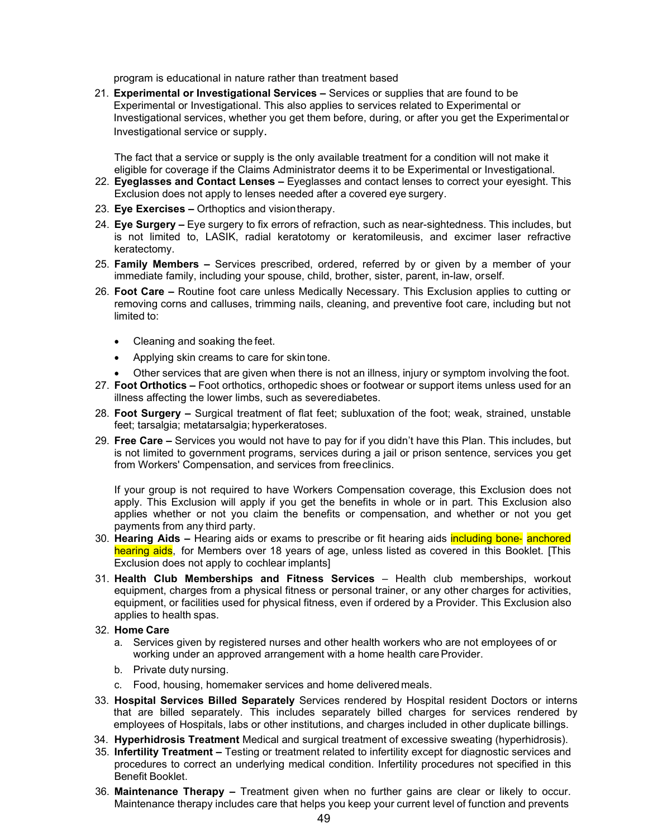program is educational in nature rather than treatment based

21. **Experimental or Investigational Services –** Services or supplies that are found to be Experimental or Investigational. This also applies to services related to Experimental or Investigational services, whether you get them before, during, or after you get the Experimentalor Investigational service or supply.

The fact that a service or supply is the only available treatment for a condition will not make it eligible for coverage if the Claims Administrator deems it to be Experimental or Investigational.

- 22. **Eyeglasses and Contact Lenses –** Eyeglasses and contact lenses to correct your eyesight. This Exclusion does not apply to lenses needed after a covered eye surgery.
- 23. **Eye Exercises –** Orthoptics and visiontherapy.
- 24. **Eye Surgery –** Eye surgery to fix errors of refraction, such as near-sightedness. This includes, but is not limited to, LASIK, radial keratotomy or keratomileusis, and excimer laser refractive keratectomy.
- 25. **Family Members –** Services prescribed, ordered, referred by or given by a member of your immediate family, including your spouse, child, brother, sister, parent, in-law, orself.
- 26. **Foot Care –** Routine foot care unless Medically Necessary. This Exclusion applies to cutting or removing corns and calluses, trimming nails, cleaning, and preventive foot care, including but not limited to:
	- Cleaning and soaking the feet.
	- Applying skin creams to care for skintone.
	- Other services that are given when there is not an illness, injury or symptom involving the foot.
- 27. **Foot Orthotics –** Foot orthotics, orthopedic shoes or footwear or support items unless used for an illness affecting the lower limbs, such as severediabetes.
- 28. **Foot Surgery –** Surgical treatment of flat feet; subluxation of the foot; weak, strained, unstable feet; tarsalgia; metatarsalgia; hyperkeratoses.
- 29. **Free Care –** Services you would not have to pay for if you didn't have this Plan. This includes, but is not limited to government programs, services during a jail or prison sentence, services you get from Workers' Compensation, and services from freeclinics.

If your group is not required to have Workers Compensation coverage, this Exclusion does not apply. This Exclusion will apply if you get the benefits in whole or in part. This Exclusion also applies whether or not you claim the benefits or compensation, and whether or not you get payments from any third party.

- 30. **Hearing Aids –** Hearing aids or exams to prescribe or fit hearing aids including bone‐ anchored hearing aids, for Members over 18 years of age, unless listed as covered in this Booklet. [This Exclusion does not apply to cochlear implants]
- 31. **Health Club Memberships and Fitness Services**  Health club memberships, workout equipment, charges from a physical fitness or personal trainer, or any other charges for activities, equipment, or facilities used for physical fitness, even if ordered by a Provider. This Exclusion also applies to health spas.
- 32. **Home Care**
	- a. Services given by registered nurses and other health workers who are not employees of or working under an approved arrangement with a home health care Provider.
	- b. Private duty nursing.
	- c. Food, housing, homemaker services and home delivered meals.
- 33. **Hospital Services Billed Separately** Services rendered by Hospital resident Doctors or interns that are billed separately. This includes separately billed charges for services rendered by employees of Hospitals, labs or other institutions, and charges included in other duplicate billings.
- 34. **Hyperhidrosis Treatment** Medical and surgical treatment of excessive sweating (hyperhidrosis).
- 35. **Infertility Treatment –** Testing or treatment related to infertility except for diagnostic services and procedures to correct an underlying medical condition. Infertility procedures not specified in this Benefit Booklet.
- 36. **Maintenance Therapy –** Treatment given when no further gains are clear or likely to occur. Maintenance therapy includes care that helps you keep your current level of function and prevents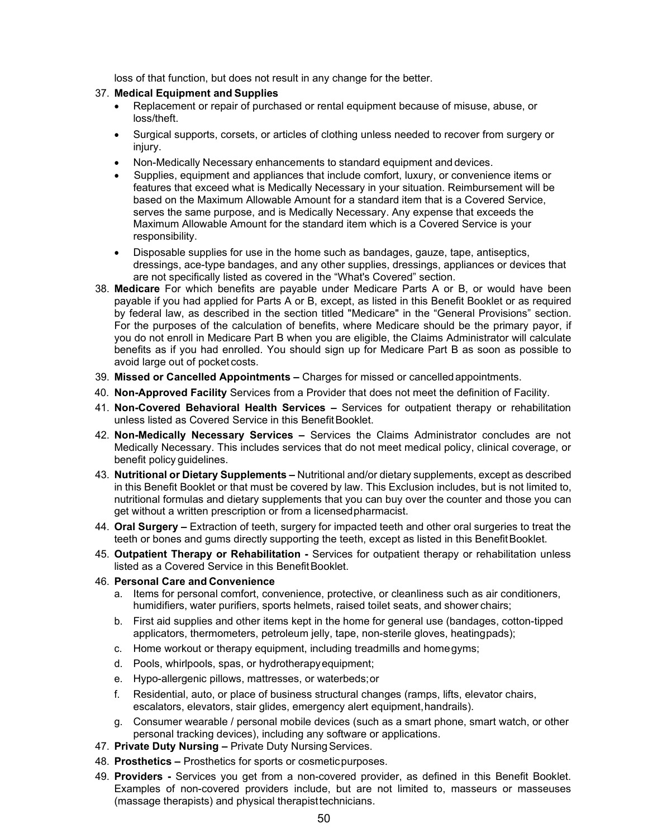loss of that function, but does not result in any change for the better.

- 37. **Medical Equipment and Supplies**
	- Replacement or repair of purchased or rental equipment because of misuse, abuse, or loss/theft.
	- Surgical supports, corsets, or articles of clothing unless needed to recover from surgery or injury.
	- Non-Medically Necessary enhancements to standard equipment and devices.
	- Supplies, equipment and appliances that include comfort, luxury, or convenience items or features that exceed what is Medically Necessary in your situation. Reimbursement will be based on the Maximum Allowable Amount for a standard item that is a Covered Service, serves the same purpose, and is Medically Necessary. Any expense that exceeds the Maximum Allowable Amount for the standard item which is a Covered Service is your responsibility.
	- Disposable supplies for use in the home such as bandages, gauze, tape, antiseptics, dressings, ace-type bandages, and any other supplies, dressings, appliances or devices that are not specifically listed as covered in the "What's Covered" section.
- 38. **Medicare** For which benefits are payable under Medicare Parts A or B, or would have been payable if you had applied for Parts A or B, except, as listed in this Benefit Booklet or as required by federal law, as described in the section titled "Medicare" in the "General Provisions" section. For the purposes of the calculation of benefits, where Medicare should be the primary payor, if you do not enroll in Medicare Part B when you are eligible, the Claims Administrator will calculate benefits as if you had enrolled. You should sign up for Medicare Part B as soon as possible to avoid large out of pocket costs.
- 39. **Missed or Cancelled Appointments –** Charges for missed or cancelledappointments.
- 40. **Non-Approved Facility** Services from a Provider that does not meet the definition of Facility.
- 41. **Non-Covered Behavioral Health Services –** Services for outpatient therapy or rehabilitation unless listed as Covered Service in this Benefit Booklet.
- 42. **Non-Medically Necessary Services –** Services the Claims Administrator concludes are not Medically Necessary. This includes services that do not meet medical policy, clinical coverage, or benefit policy guidelines.
- 43. **Nutritional or Dietary Supplements –** Nutritional and/or dietary supplements, except as described in this Benefit Booklet or that must be covered by law. This Exclusion includes, but is not limited to, nutritional formulas and dietary supplements that you can buy over the counter and those you can get without a written prescription or from a licensedpharmacist.
- 44. **Oral Surgery –** Extraction of teeth, surgery for impacted teeth and other oral surgeries to treat the teeth or bones and gums directly supporting the teeth, except as listed in this Benefit Booklet.
- 45. **Outpatient Therapy or Rehabilitation -** Services for outpatient therapy or rehabilitation unless listed as a Covered Service in this Benefit Booklet.
- 46. **Personal Care and Convenience**
	- a. Items for personal comfort, convenience, protective, or cleanliness such as air conditioners, humidifiers, water purifiers, sports helmets, raised toilet seats, and shower chairs;
	- b. First aid supplies and other items kept in the home for general use (bandages, cotton-tipped applicators, thermometers, petroleum jelly, tape, non-sterile gloves, heatingpads);
	- c. Home workout or therapy equipment, including treadmills and homegyms;
	- d. Pools, whirlpools, spas, or hydrotherapyequipment;
	- e. Hypo-allergenic pillows, mattresses, or waterbeds;or
	- f. Residential, auto, or place of business structural changes (ramps, lifts, elevator chairs, escalators, elevators, stair glides, emergency alert equipment,handrails).
	- g. Consumer wearable / personal mobile devices (such as a smart phone, smart watch, or other personal tracking devices), including any software or applications.
- 47. **Private Duty Nursing –** Private Duty Nursing Services.
- 48. **Prosthetics –** Prosthetics for sports or cosmeticpurposes.
- 49. **Providers -** Services you get from a non-covered provider, as defined in this Benefit Booklet. Examples of non-covered providers include, but are not limited to, masseurs or masseuses (massage therapists) and physical therapisttechnicians.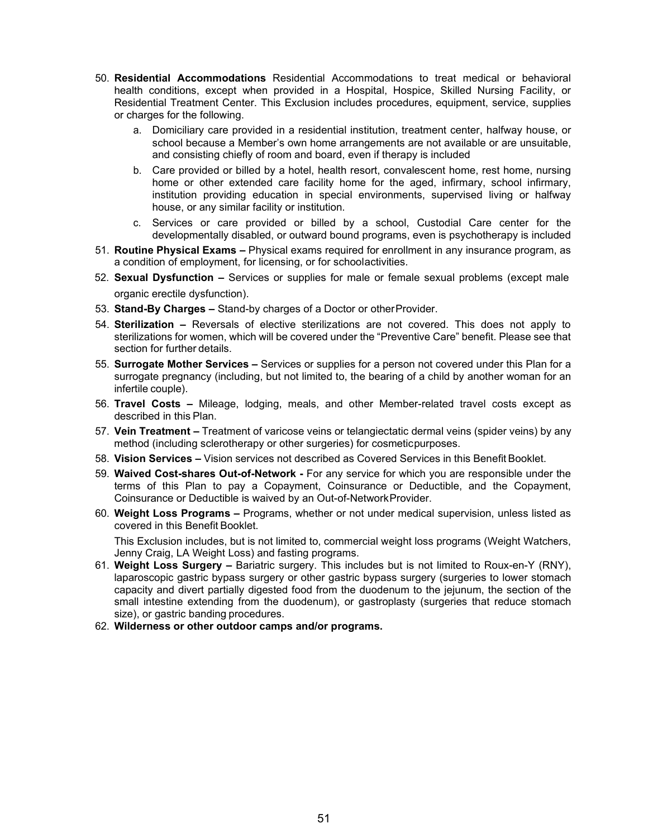- 50. **Residential Accommodations** Residential Accommodations to treat medical or behavioral health conditions, except when provided in a Hospital, Hospice, Skilled Nursing Facility, or Residential Treatment Center. This Exclusion includes procedures, equipment, service, supplies or charges for the following.
	- a. Domiciliary care provided in a residential institution, treatment center, halfway house, or school because a Member's own home arrangements are not available or are unsuitable, and consisting chiefly of room and board, even if therapy is included
	- b. Care provided or billed by a hotel, health resort, convalescent home, rest home, nursing home or other extended care facility home for the aged, infirmary, school infirmary, institution providing education in special environments, supervised living or halfway house, or any similar facility or institution.
	- c. Services or care provided or billed by a school, Custodial Care center for the developmentally disabled, or outward bound programs, even is psychotherapy is included
- 51. **Routine Physical Exams –** Physical exams required for enrollment in any insurance program, as a condition of employment, for licensing, or for schoolactivities.
- 52. **Sexual Dysfunction –** Services or supplies for male or female sexual problems (except male organic erectile dysfunction).
- 53. **Stand-By Charges –** Stand-by charges of a Doctor or otherProvider.
- 54. **Sterilization –** Reversals of elective sterilizations are not covered. This does not apply to sterilizations for women, which will be covered under the "Preventive Care" benefit. Please see that section for further details.
- 55. **Surrogate Mother Services –** Services or supplies for a person not covered under this Plan for a surrogate pregnancy (including, but not limited to, the bearing of a child by another woman for an infertile couple).
- 56. **Travel Costs –** Mileage, lodging, meals, and other Member-related travel costs except as described in this Plan.
- 57. **Vein Treatment –** Treatment of varicose veins or telangiectatic dermal veins (spider veins) by any method (including sclerotherapy or other surgeries) for cosmeticpurposes.
- 58. **Vision Services –** Vision services not described as Covered Services in this Benefit Booklet.
- 59. **Waived Cost-shares Out-of-Network -** For any service for which you are responsible under the terms of this Plan to pay a Copayment, Coinsurance or Deductible, and the Copayment, Coinsurance or Deductible is waived by an Out-of-NetworkProvider.
- 60. **Weight Loss Programs –** Programs, whether or not under medical supervision, unless listed as covered in this Benefit Booklet.

This Exclusion includes, but is not limited to, commercial weight loss programs (Weight Watchers, Jenny Craig, LA Weight Loss) and fasting programs.

- 61. **Weight Loss Surgery –** Bariatric surgery. This includes but is not limited to Roux-en-Y (RNY), laparoscopic gastric bypass surgery or other gastric bypass surgery (surgeries to lower stomach capacity and divert partially digested food from the duodenum to the jejunum, the section of the small intestine extending from the duodenum), or gastroplasty (surgeries that reduce stomach size), or gastric banding procedures.
- 62. **Wilderness or other outdoor camps and/or programs.**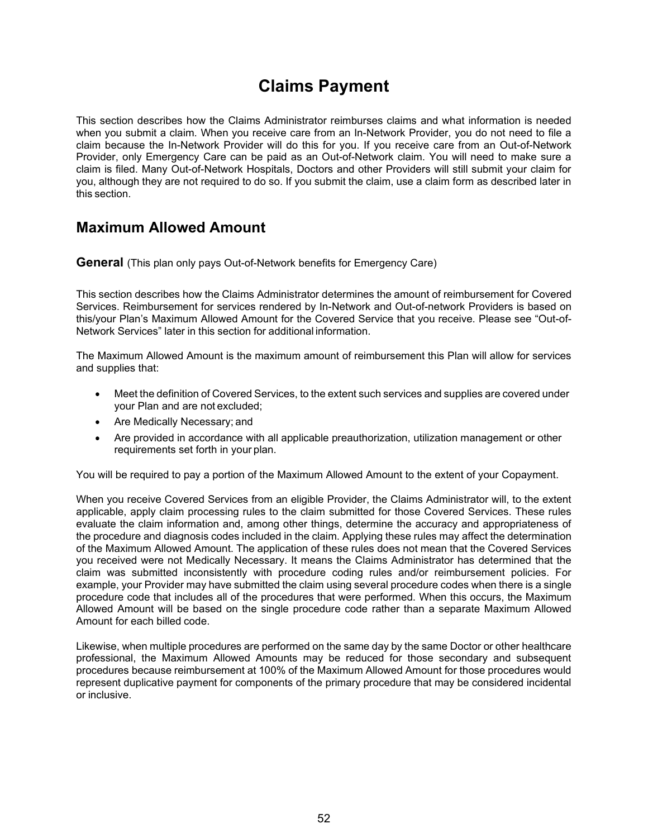# **Claims Payment**

This section describes how the Claims Administrator reimburses claims and what information is needed when you submit a claim. When you receive care from an In-Network Provider, you do not need to file a claim because the In-Network Provider will do this for you. If you receive care from an Out-of-Network Provider, only Emergency Care can be paid as an Out-of-Network claim. You will need to make sure a claim is filed. Many Out-of-Network Hospitals, Doctors and other Providers will still submit your claim for you, although they are not required to do so. If you submit the claim, use a claim form as described later in this section.

### **Maximum Allowed Amount**

**General** (This plan only pays Out-of-Network benefits for Emergency Care)

This section describes how the Claims Administrator determines the amount of reimbursement for Covered Services. Reimbursement for services rendered by In-Network and Out-of-network Providers is based on this/your Plan's Maximum Allowed Amount for the Covered Service that you receive. Please see "Out-of-Network Services" later in this section for additional information.

The Maximum Allowed Amount is the maximum amount of reimbursement this Plan will allow for services and supplies that:

- Meet the definition of Covered Services, to the extent such services and supplies are covered under your Plan and are not excluded;
- Are Medically Necessary; and
- Are provided in accordance with all applicable preauthorization, utilization management or other requirements set forth in your plan.

You will be required to pay a portion of the Maximum Allowed Amount to the extent of your Copayment.

When you receive Covered Services from an eligible Provider, the Claims Administrator will, to the extent applicable, apply claim processing rules to the claim submitted for those Covered Services. These rules evaluate the claim information and, among other things, determine the accuracy and appropriateness of the procedure and diagnosis codes included in the claim. Applying these rules may affect the determination of the Maximum Allowed Amount. The application of these rules does not mean that the Covered Services you received were not Medically Necessary. It means the Claims Administrator has determined that the claim was submitted inconsistently with procedure coding rules and/or reimbursement policies. For example, your Provider may have submitted the claim using several procedure codes when there is a single procedure code that includes all of the procedures that were performed. When this occurs, the Maximum Allowed Amount will be based on the single procedure code rather than a separate Maximum Allowed Amount for each billed code.

Likewise, when multiple procedures are performed on the same day by the same Doctor or other healthcare professional, the Maximum Allowed Amounts may be reduced for those secondary and subsequent procedures because reimbursement at 100% of the Maximum Allowed Amount for those procedures would represent duplicative payment for components of the primary procedure that may be considered incidental or inclusive.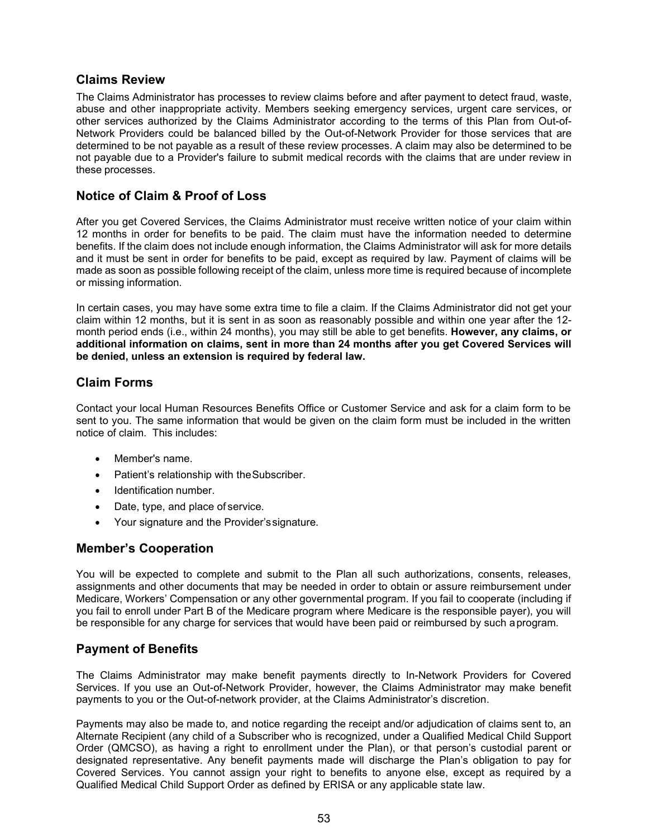#### **Claims Review**

The Claims Administrator has processes to review claims before and after payment to detect fraud, waste, abuse and other inappropriate activity. Members seeking emergency services, urgent care services, or other services authorized by the Claims Administrator according to the terms of this Plan from Out-of-Network Providers could be balanced billed by the Out-of-Network Provider for those services that are determined to be not payable as a result of these review processes. A claim may also be determined to be not payable due to a Provider's failure to submit medical records with the claims that are under review in these processes.

#### **Notice of Claim & Proof of Loss**

After you get Covered Services, the Claims Administrator must receive written notice of your claim within 12 months in order for benefits to be paid. The claim must have the information needed to determine benefits. If the claim does not include enough information, the Claims Administrator will ask for more details and it must be sent in order for benefits to be paid, except as required by law. Payment of claims will be made as soon as possible following receipt of the claim, unless more time is required because of incomplete or missing information.

In certain cases, you may have some extra time to file a claim. If the Claims Administrator did not get your claim within 12 months, but it is sent in as soon as reasonably possible and within one year after the 12 month period ends (i.e., within 24 months), you may still be able to get benefits. **However, any claims, or additional information on claims, sent in more than 24 months after you get Covered Services will be denied, unless an extension is required by federal law.**

### **Claim Forms**

Contact your local Human Resources Benefits Office or Customer Service and ask for a claim form to be sent to you. The same information that would be given on the claim form must be included in the written notice of claim. This includes:

- Member's name.
- Patient's relationship with theSubscriber.
- Identification number.
- Date, type, and place of service.
- Your signature and the Provider'ssignature.

#### **Member's Cooperation**

You will be expected to complete and submit to the Plan all such authorizations, consents, releases, assignments and other documents that may be needed in order to obtain or assure reimbursement under Medicare, Workers' Compensation or any other governmental program. If you fail to cooperate (including if you fail to enroll under Part B of the Medicare program where Medicare is the responsible payer), you will be responsible for any charge for services that would have been paid or reimbursed by such aprogram.

#### **Payment of Benefits**

The Claims Administrator may make benefit payments directly to In-Network Providers for Covered Services. If you use an Out-of-Network Provider, however, the Claims Administrator may make benefit payments to you or the Out-of-network provider, at the Claims Administrator's discretion.

Payments may also be made to, and notice regarding the receipt and/or adjudication of claims sent to, an Alternate Recipient (any child of a Subscriber who is recognized, under a Qualified Medical Child Support Order (QMCSO), as having a right to enrollment under the Plan), or that person's custodial parent or designated representative. Any benefit payments made will discharge the Plan's obligation to pay for Covered Services. You cannot assign your right to benefits to anyone else, except as required by a Qualified Medical Child Support Order as defined by ERISA or any applicable state law.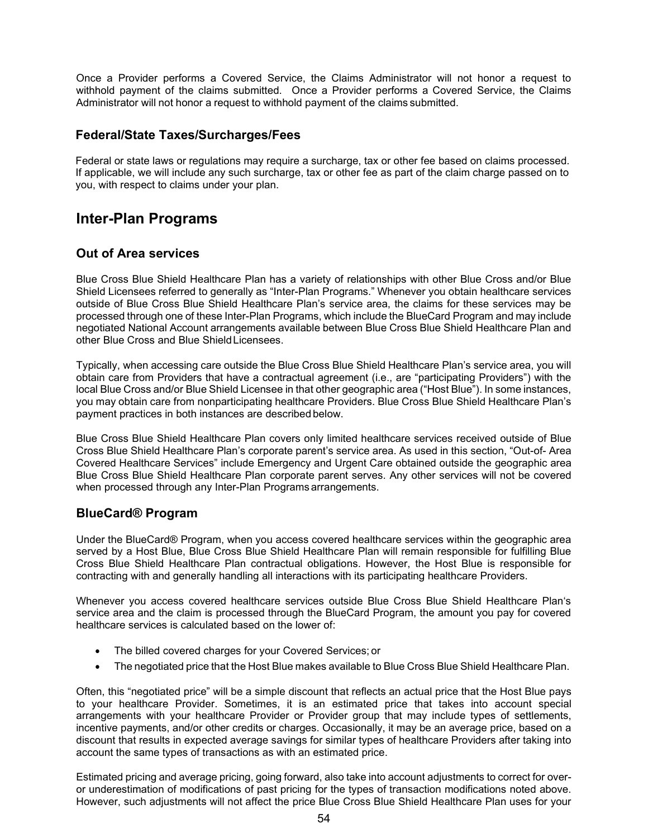Once a Provider performs a Covered Service, the Claims Administrator will not honor a request to withhold payment of the claims submitted. Once a Provider performs a Covered Service, the Claims Administrator will not honor a request to withhold payment of the claims submitted.

#### **Federal/State Taxes/Surcharges/Fees**

Federal or state laws or regulations may require a surcharge, tax or other fee based on claims processed. If applicable, we will include any such surcharge, tax or other fee as part of the claim charge passed on to you, with respect to claims under your plan.

### **Inter-Plan Programs**

#### **Out of Area services**

Blue Cross Blue Shield Healthcare Plan has a variety of relationships with other Blue Cross and/or Blue Shield Licensees referred to generally as "Inter-Plan Programs." Whenever you obtain healthcare services outside of Blue Cross Blue Shield Healthcare Plan's service area, the claims for these services may be processed through one of these Inter-Plan Programs, which include the BlueCard Program and may include negotiated National Account arrangements available between Blue Cross Blue Shield Healthcare Plan and other Blue Cross and Blue ShieldLicensees.

Typically, when accessing care outside the Blue Cross Blue Shield Healthcare Plan's service area, you will obtain care from Providers that have a contractual agreement (i.e., are "participating Providers") with the local Blue Cross and/or Blue Shield Licensee in that other geographic area ("Host Blue"). In some instances, you may obtain care from nonparticipating healthcare Providers. Blue Cross Blue Shield Healthcare Plan's payment practices in both instances are described below.

Blue Cross Blue Shield Healthcare Plan covers only limited healthcare services received outside of Blue Cross Blue Shield Healthcare Plan's corporate parent's service area. As used in this section, "Out-of- Area Covered Healthcare Services" include Emergency and Urgent Care obtained outside the geographic area Blue Cross Blue Shield Healthcare Plan corporate parent serves. Any other services will not be covered when processed through any Inter-Plan Programs arrangements.

### **BlueCard® Program**

Under the BlueCard® Program, when you access covered healthcare services within the geographic area served by a Host Blue, Blue Cross Blue Shield Healthcare Plan will remain responsible for fulfilling Blue Cross Blue Shield Healthcare Plan contractual obligations. However, the Host Blue is responsible for contracting with and generally handling all interactions with its participating healthcare Providers.

Whenever you access covered healthcare services outside Blue Cross Blue Shield Healthcare Plan's service area and the claim is processed through the BlueCard Program, the amount you pay for covered healthcare services is calculated based on the lower of:

- The billed covered charges for your Covered Services; or
- The negotiated price that the Host Blue makes available to Blue Cross Blue Shield Healthcare Plan.

Often, this "negotiated price" will be a simple discount that reflects an actual price that the Host Blue pays to your healthcare Provider. Sometimes, it is an estimated price that takes into account special arrangements with your healthcare Provider or Provider group that may include types of settlements, incentive payments, and/or other credits or charges. Occasionally, it may be an average price, based on a discount that results in expected average savings for similar types of healthcare Providers after taking into account the same types of transactions as with an estimated price.

Estimated pricing and average pricing, going forward, also take into account adjustments to correct for overor underestimation of modifications of past pricing for the types of transaction modifications noted above. However, such adjustments will not affect the price Blue Cross Blue Shield Healthcare Plan uses for your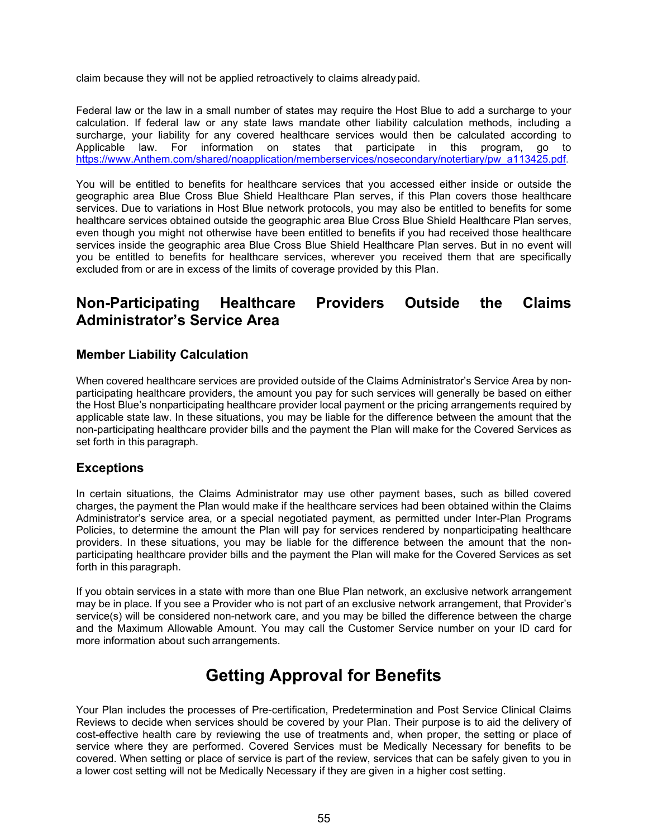claim because they will not be applied retroactively to claims already paid.

Federal law or the law in a small number of states may require the Host Blue to add a surcharge to your calculation. If federal law or any state laws mandate other liability calculation methods, including a surcharge, your liability for any covered healthcare services would then be calculated according to Applicable law. For information on states that participate in this program, go to [https://www.Anthem.com/shared/noapplication/memberservices/nosecondary/notertiary/pw\\_a113425.pdf.](https://www.bcbsga.com/shared/noapplication/memberservices/nosecondary/notertiary/pw_a113425.pdf)

You will be entitled to benefits for healthcare services that you accessed either inside or outside the geographic area Blue Cross Blue Shield Healthcare Plan serves, if this Plan covers those healthcare services. Due to variations in Host Blue network protocols, you may also be entitled to benefits for some healthcare services obtained outside the geographic area Blue Cross Blue Shield Healthcare Plan serves, even though you might not otherwise have been entitled to benefits if you had received those healthcare services inside the geographic area Blue Cross Blue Shield Healthcare Plan serves. But in no event will you be entitled to benefits for healthcare services, wherever you received them that are specifically excluded from or are in excess of the limits of coverage provided by this Plan.

### **Non-Participating Healthcare Providers Outside the Claims Administrator's Service Area**

#### **Member Liability Calculation**

When covered healthcare services are provided outside of the Claims Administrator's Service Area by nonparticipating healthcare providers, the amount you pay for such services will generally be based on either the Host Blue's nonparticipating healthcare provider local payment or the pricing arrangements required by applicable state law. In these situations, you may be liable for the difference between the amount that the non-participating healthcare provider bills and the payment the Plan will make for the Covered Services as set forth in this paragraph.

#### **Exceptions**

In certain situations, the Claims Administrator may use other payment bases, such as billed covered charges, the payment the Plan would make if the healthcare services had been obtained within the Claims Administrator's service area, or a special negotiated payment, as permitted under Inter-Plan Programs Policies, to determine the amount the Plan will pay for services rendered by nonparticipating healthcare providers. In these situations, you may be liable for the difference between the amount that the nonparticipating healthcare provider bills and the payment the Plan will make for the Covered Services as set forth in this paragraph.

If you obtain services in a state with more than one Blue Plan network, an exclusive network arrangement may be in place. If you see a Provider who is not part of an exclusive network arrangement, that Provider's service(s) will be considered non-network care, and you may be billed the difference between the charge and the Maximum Allowable Amount. You may call the Customer Service number on your ID card for more information about such arrangements.

# **Getting Approval for Benefits**

Your Plan includes the processes of Pre-certification, Predetermination and Post Service Clinical Claims Reviews to decide when services should be covered by your Plan. Their purpose is to aid the delivery of cost-effective health care by reviewing the use of treatments and, when proper, the setting or place of service where they are performed. Covered Services must be Medically Necessary for benefits to be covered. When setting or place of service is part of the review, services that can be safely given to you in a lower cost setting will not be Medically Necessary if they are given in a higher cost setting.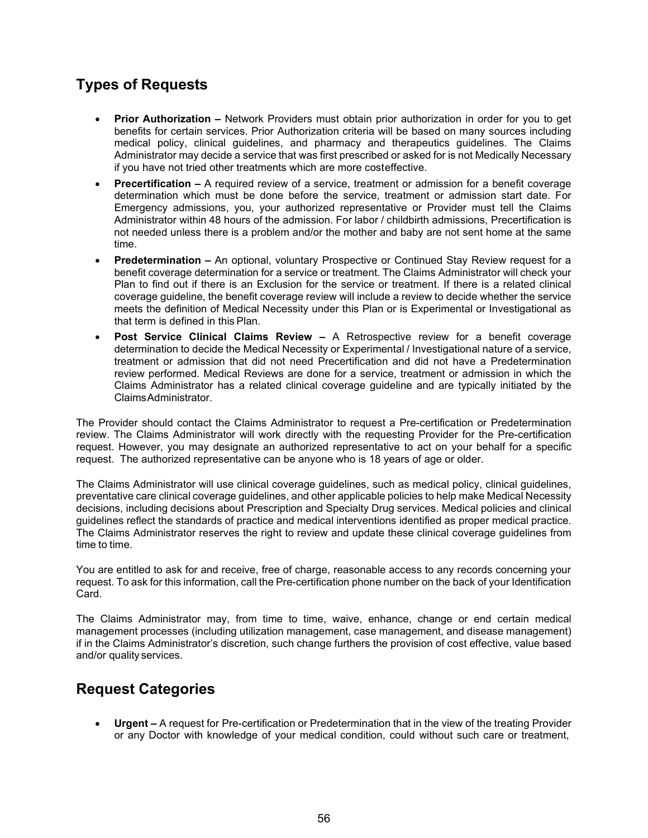### **Types of Requests**

- **Prior Authorization –** Network Providers must obtain prior authorization in order for you to get benefits for certain services. Prior Authorization criteria will be based on many sources including medical policy, clinical guidelines, and pharmacy and therapeutics guidelines. The Claims Administrator may decide a service that was first prescribed or asked for is not Medically Necessary if you have not tried other treatments which are more costeffective.
- **Precertification –** A required review of a service, treatment or admission for a benefit coverage determination which must be done before the service, treatment or admission start date. For Emergency admissions, you, your authorized representative or Provider must tell the Claims Administrator within 48 hours of the admission. For labor / childbirth admissions, Precertification is not needed unless there is a problem and/or the mother and baby are not sent home at the same time.
- **Predetermination –** An optional, voluntary Prospective or Continued Stay Review request for a benefit coverage determination for a service or treatment. The Claims Administrator will check your Plan to find out if there is an Exclusion for the service or treatment. If there is a related clinical coverage guideline, the benefit coverage review will include a review to decide whether the service meets the definition of Medical Necessity under this Plan or is Experimental or Investigational as that term is defined in this Plan.
- **Post Service Clinical Claims Review –** A Retrospective review for a benefit coverage determination to decide the Medical Necessity or Experimental / Investigational nature of a service, treatment or admission that did not need Precertification and did not have a Predetermination review performed. Medical Reviews are done for a service, treatment or admission in which the Claims Administrator has a related clinical coverage guideline and are typically initiated by the ClaimsAdministrator.

The Provider should contact the Claims Administrator to request a Pre-certification or Predetermination review. The Claims Administrator will work directly with the requesting Provider for the Pre-certification request. However, you may designate an authorized representative to act on your behalf for a specific request. The authorized representative can be anyone who is 18 years of age or older.

The Claims Administrator will use clinical coverage guidelines, such as medical policy, clinical guidelines, preventative care clinical coverage guidelines, and other applicable policies to help make Medical Necessity decisions, including decisions about Prescription and Specialty Drug services. Medical policies and clinical guidelines reflect the standards of practice and medical interventions identified as proper medical practice. The Claims Administrator reserves the right to review and update these clinical coverage guidelines from time to time.

You are entitled to ask for and receive, free of charge, reasonable access to any records concerning your request. To ask for this information, call the Pre-certification phone number on the back of your Identification Card.

The Claims Administrator may, from time to time, waive, enhance, change or end certain medical management processes (including utilization management, case management, and disease management) if in the Claims Administrator's discretion, such change furthers the provision of cost effective, value based and/or quality services.

### **Request Categories**

• **Urgent –** A request for Pre-certification or Predetermination that in the view of the treating Provider or any Doctor with knowledge of your medical condition, could without such care or treatment,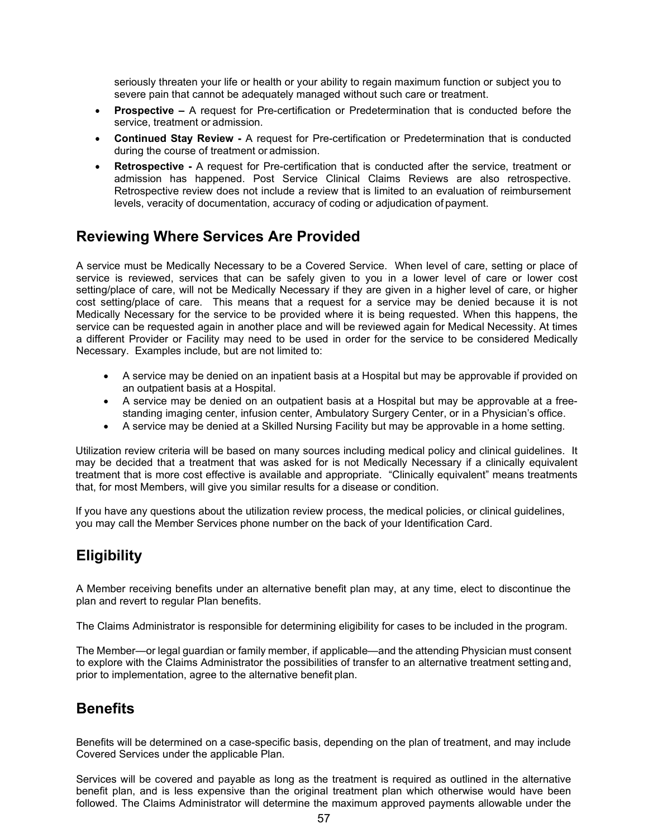seriously threaten your life or health or your ability to regain maximum function or subject you to severe pain that cannot be adequately managed without such care or treatment.

- **Prospective –** A request for Pre-certification or Predetermination that is conducted before the service, treatment or admission.
- **Continued Stay Review -** A request for Pre-certification or Predetermination that is conducted during the course of treatment or admission.
- **Retrospective -** A request for Pre-certification that is conducted after the service, treatment or admission has happened. Post Service Clinical Claims Reviews are also retrospective. Retrospective review does not include a review that is limited to an evaluation of reimbursement levels, veracity of documentation, accuracy of coding or adjudication of payment.

### **Reviewing Where Services Are Provided**

A service must be Medically Necessary to be a Covered Service. When level of care, setting or place of service is reviewed, services that can be safely given to you in a lower level of care or lower cost setting/place of care, will not be Medically Necessary if they are given in a higher level of care, or higher cost setting/place of care. This means that a request for a service may be denied because it is not Medically Necessary for the service to be provided where it is being requested. When this happens, the service can be requested again in another place and will be reviewed again for Medical Necessity. At times a different Provider or Facility may need to be used in order for the service to be considered Medically Necessary. Examples include, but are not limited to:

- A service may be denied on an inpatient basis at a Hospital but may be approvable if provided on an outpatient basis at a Hospital.
- A service may be denied on an outpatient basis at a Hospital but may be approvable at a freestanding imaging center, infusion center, Ambulatory Surgery Center, or in a Physician's office.
- A service may be denied at a Skilled Nursing Facility but may be approvable in a home setting.

Utilization review criteria will be based on many sources including medical policy and clinical guidelines. It may be decided that a treatment that was asked for is not Medically Necessary if a clinically equivalent treatment that is more cost effective is available and appropriate. "Clinically equivalent" means treatments that, for most Members, will give you similar results for a disease or condition.

If you have any questions about the utilization review process, the medical policies, or clinical guidelines, you may call the Member Services phone number on the back of your Identification Card.

### **Eligibility**

A Member receiving benefits under an alternative benefit plan may, at any time, elect to discontinue the plan and revert to regular Plan benefits.

The Claims Administrator is responsible for determining eligibility for cases to be included in the program.

The Member—or legal guardian or family member, if applicable—and the attending Physician must consent to explore with the Claims Administrator the possibilities of transfer to an alternative treatment setting and, prior to implementation, agree to the alternative benefit plan.

### **Benefits**

Benefits will be determined on a case-specific basis, depending on the plan of treatment, and may include Covered Services under the applicable Plan.

Services will be covered and payable as long as the treatment is required as outlined in the alternative benefit plan, and is less expensive than the original treatment plan which otherwise would have been followed. The Claims Administrator will determine the maximum approved payments allowable under the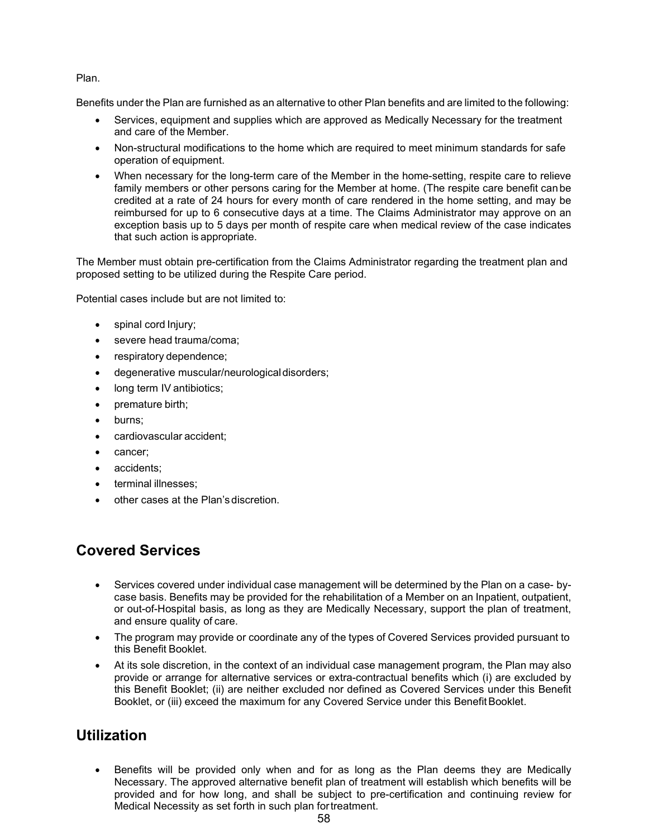#### Plan.

Benefits under the Plan are furnished as an alternative to other Plan benefits and are limited to the following:

- Services, equipment and supplies which are approved as Medically Necessary for the treatment and care of the Member.
- Non-structural modifications to the home which are required to meet minimum standards for safe operation of equipment.
- When necessary for the long-term care of the Member in the home-setting, respite care to relieve family members or other persons caring for the Member at home. (The respite care benefit canbe credited at a rate of 24 hours for every month of care rendered in the home setting, and may be reimbursed for up to 6 consecutive days at a time. The Claims Administrator may approve on an exception basis up to 5 days per month of respite care when medical review of the case indicates that such action is appropriate.

The Member must obtain pre-certification from the Claims Administrator regarding the treatment plan and proposed setting to be utilized during the Respite Care period.

Potential cases include but are not limited to:

- spinal cord Injury;
- severe head trauma/coma;
- respiratory dependence;
- degenerative muscular/neurologicaldisorders;
- long term IV antibiotics;
- premature birth;
- burns;
- cardiovascular accident;
- cancer;
- accidents:
- terminal illnesses;
- other cases at the Plan's discretion.

### **Covered Services**

- Services covered under individual case management will be determined by the Plan on a case- bycase basis. Benefits may be provided for the rehabilitation of a Member on an Inpatient, outpatient, or out-of-Hospital basis, as long as they are Medically Necessary, support the plan of treatment, and ensure quality of care.
- The program may provide or coordinate any of the types of Covered Services provided pursuant to this Benefit Booklet.
- At its sole discretion, in the context of an individual case management program, the Plan may also provide or arrange for alternative services or extra-contractual benefits which (i) are excluded by this Benefit Booklet; (ii) are neither excluded nor defined as Covered Services under this Benefit Booklet, or (iii) exceed the maximum for any Covered Service under this BenefitBooklet.

### **Utilization**

• Benefits will be provided only when and for as long as the Plan deems they are Medically Necessary. The approved alternative benefit plan of treatment will establish which benefits will be provided and for how long, and shall be subject to pre-certification and continuing review for Medical Necessity as set forth in such plan fortreatment.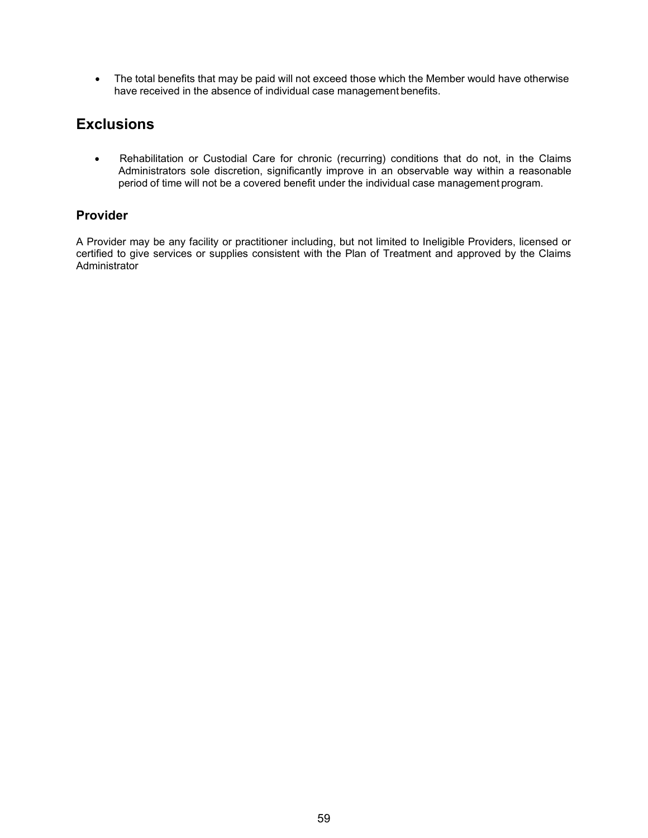• The total benefits that may be paid will not exceed those which the Member would have otherwise have received in the absence of individual case management benefits.

### **Exclusions**

• Rehabilitation or Custodial Care for chronic (recurring) conditions that do not, in the Claims Administrators sole discretion, significantly improve in an observable way within a reasonable period of time will not be a covered benefit under the individual case management program.

### **Provider**

A Provider may be any facility or practitioner including, but not limited to Ineligible Providers, licensed or certified to give services or supplies consistent with the Plan of Treatment and approved by the Claims Administrator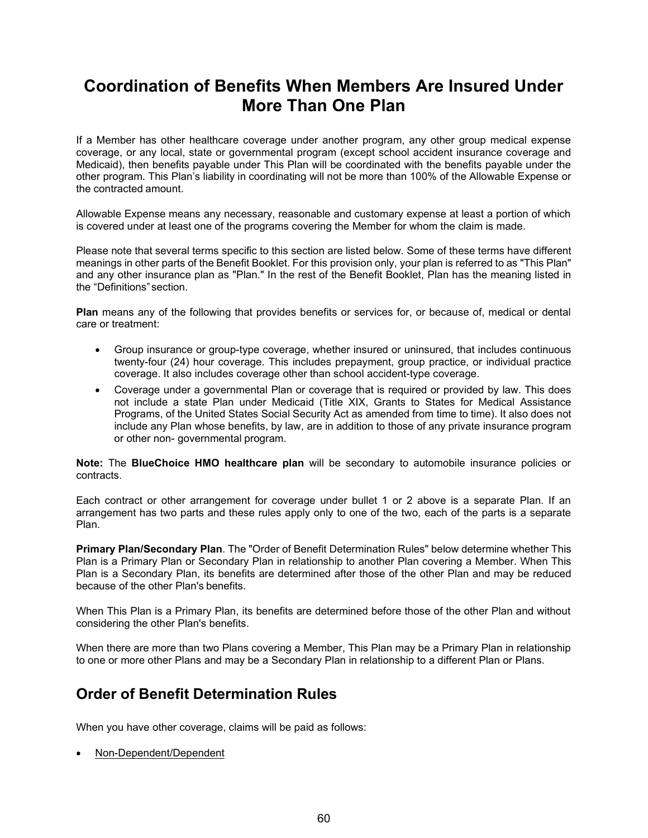# **Coordination of Benefits When Members Are Insured Under More Than One Plan**

If a Member has other healthcare coverage under another program, any other group medical expense coverage, or any local, state or governmental program (except school accident insurance coverage and Medicaid), then benefits payable under This Plan will be coordinated with the benefits payable under the other program. This Plan's liability in coordinating will not be more than 100% of the Allowable Expense or the contracted amount.

Allowable Expense means any necessary, reasonable and customary expense at least a portion of which is covered under at least one of the programs covering the Member for whom the claim is made.

Please note that several terms specific to this section are listed below. Some of these terms have different meanings in other parts of the Benefit Booklet. For this provision only, your plan is referred to as "This Plan" and any other insurance plan as "Plan." In the rest of the Benefit Booklet, Plan has the meaning listed in the "Definitions" section.

**Plan** means any of the following that provides benefits or services for, or because of, medical or dental care or treatment:

- Group insurance or group-type coverage, whether insured or uninsured, that includes continuous twenty-four (24) hour coverage. This includes prepayment, group practice, or individual practice coverage. It also includes coverage other than school accident-type coverage.
- Coverage under a governmental Plan or coverage that is required or provided by law. This does not include a state Plan under Medicaid (Title XIX, Grants to States for Medical Assistance Programs, of the United States Social Security Act as amended from time to time). It also does not include any Plan whose benefits, by law, are in addition to those of any private insurance program or other non- governmental program.

**Note:** The **BlueChoice HMO healthcare plan** will be secondary to automobile insurance policies or contracts.

Each contract or other arrangement for coverage under bullet 1 or 2 above is a separate Plan. If an arrangement has two parts and these rules apply only to one of the two, each of the parts is a separate Plan.

**Primary Plan/Secondary Plan**. The "Order of Benefit Determination Rules" below determine whether This Plan is a Primary Plan or Secondary Plan in relationship to another Plan covering a Member. When This Plan is a Secondary Plan, its benefits are determined after those of the other Plan and may be reduced because of the other Plan's benefits.

When This Plan is a Primary Plan, its benefits are determined before those of the other Plan and without considering the other Plan's benefits.

When there are more than two Plans covering a Member, This Plan may be a Primary Plan in relationship to one or more other Plans and may be a Secondary Plan in relationship to a different Plan or Plans.

### **Order of Benefit Determination Rules**

When you have other coverage, claims will be paid as follows:

• Non-Dependent/Dependent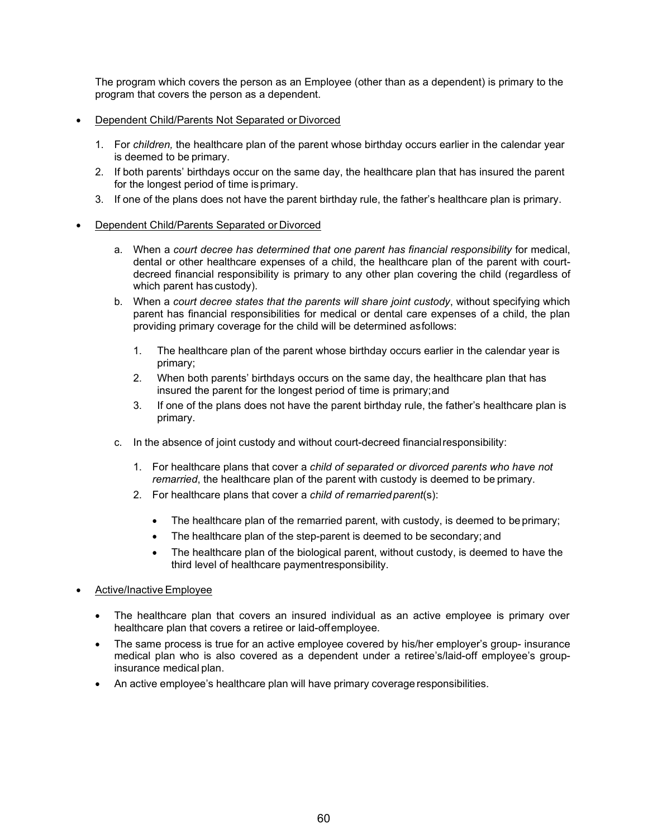The program which covers the person as an Employee (other than as a dependent) is primary to the program that covers the person as a dependent.

- Dependent Child/Parents Not Separated or Divorced
	- 1. For *children,* the healthcare plan of the parent whose birthday occurs earlier in the calendar year is deemed to be primary.
	- 2. If both parents' birthdays occur on the same day, the healthcare plan that has insured the parent for the longest period of time isprimary.
	- 3. If one of the plans does not have the parent birthday rule, the father's healthcare plan is primary.
- Dependent Child/Parents Separated or Divorced
	- a. When a *court decree has determined that one parent has financial responsibility* for medical, dental or other healthcare expenses of a child, the healthcare plan of the parent with courtdecreed financial responsibility is primary to any other plan covering the child (regardless of which parent has custody).
	- b. When a *court decree states that the parents will share joint custody*, without specifying which parent has financial responsibilities for medical or dental care expenses of a child, the plan providing primary coverage for the child will be determined asfollows:
		- 1. The healthcare plan of the parent whose birthday occurs earlier in the calendar year is primary;
		- 2. When both parents' birthdays occurs on the same day, the healthcare plan that has insured the parent for the longest period of time is primary;and
		- 3. If one of the plans does not have the parent birthday rule, the father's healthcare plan is primary.
	- c. In the absence of joint custody and without court-decreed financialresponsibility:
		- 1. For healthcare plans that cover a *child of separated or divorced parents who have not remarried*, the healthcare plan of the parent with custody is deemed to be primary.
		- 2. For healthcare plans that cover a *child of remarriedparent*(s):
			- The healthcare plan of the remarried parent, with custody, is deemed to be primary;
			- The healthcare plan of the step-parent is deemed to be secondary; and
			- The healthcare plan of the biological parent, without custody, is deemed to have the third level of healthcare paymentresponsibility.
- Active/Inactive Employee
	- The healthcare plan that covers an insured individual as an active employee is primary over healthcare plan that covers a retiree or laid-offemployee.
	- The same process is true for an active employee covered by his/her employer's group- insurance medical plan who is also covered as a dependent under a retiree's/laid-off employee's groupinsurance medical plan.
	- An active employee's healthcare plan will have primary coverage responsibilities.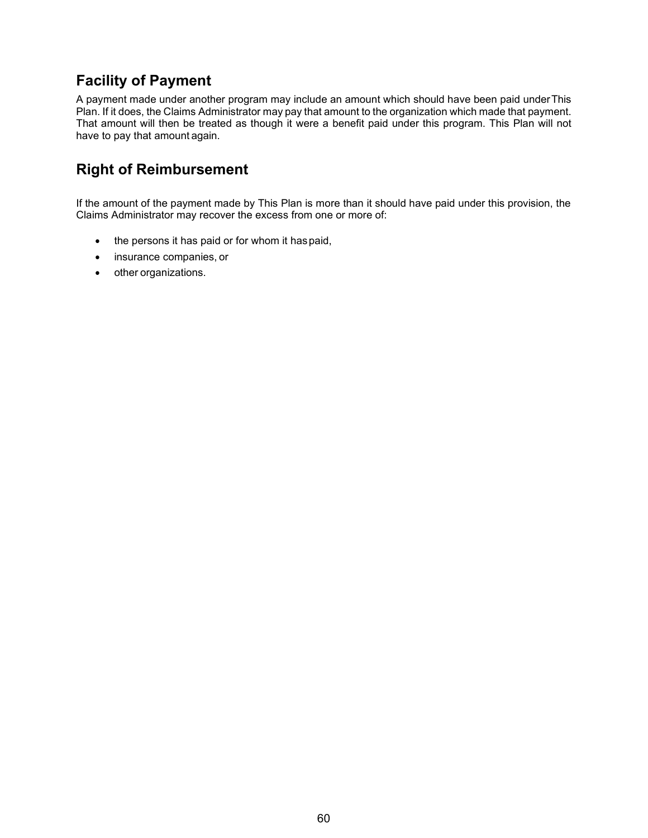## **Facility of Payment**

A payment made under another program may include an amount which should have been paid underThis Plan. If it does, the Claims Administrator may pay that amount to the organization which made that payment. That amount will then be treated as though it were a benefit paid under this program. This Plan will not have to pay that amount again.

## **Right of Reimbursement**

If the amount of the payment made by This Plan is more than it should have paid under this provision, the Claims Administrator may recover the excess from one or more of:

- the persons it has paid or for whom it haspaid,
- insurance companies, or
- other organizations.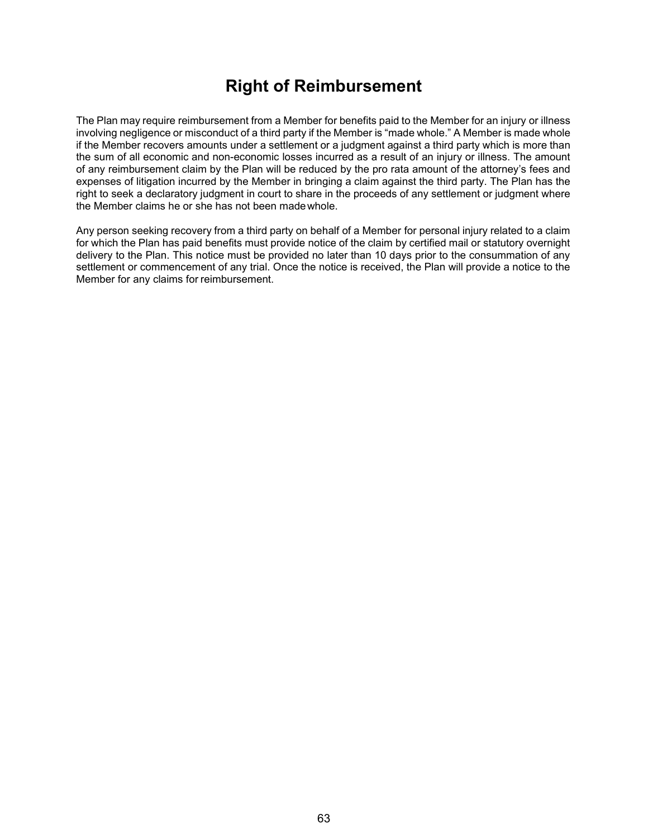## **Right of Reimbursement**

The Plan may require reimbursement from a Member for benefits paid to the Member for an injury or illness involving negligence or misconduct of a third party if the Member is "made whole." A Member is made whole if the Member recovers amounts under a settlement or a judgment against a third party which is more than the sum of all economic and non-economic losses incurred as a result of an injury or illness. The amount of any reimbursement claim by the Plan will be reduced by the pro rata amount of the attorney's fees and expenses of litigation incurred by the Member in bringing a claim against the third party. The Plan has the right to seek a declaratory judgment in court to share in the proceeds of any settlement or judgment where the Member claims he or she has not been madewhole.

Any person seeking recovery from a third party on behalf of a Member for personal injury related to a claim for which the Plan has paid benefits must provide notice of the claim by certified mail or statutory overnight delivery to the Plan. This notice must be provided no later than 10 days prior to the consummation of any settlement or commencement of any trial. Once the notice is received, the Plan will provide a notice to the Member for any claims for reimbursement.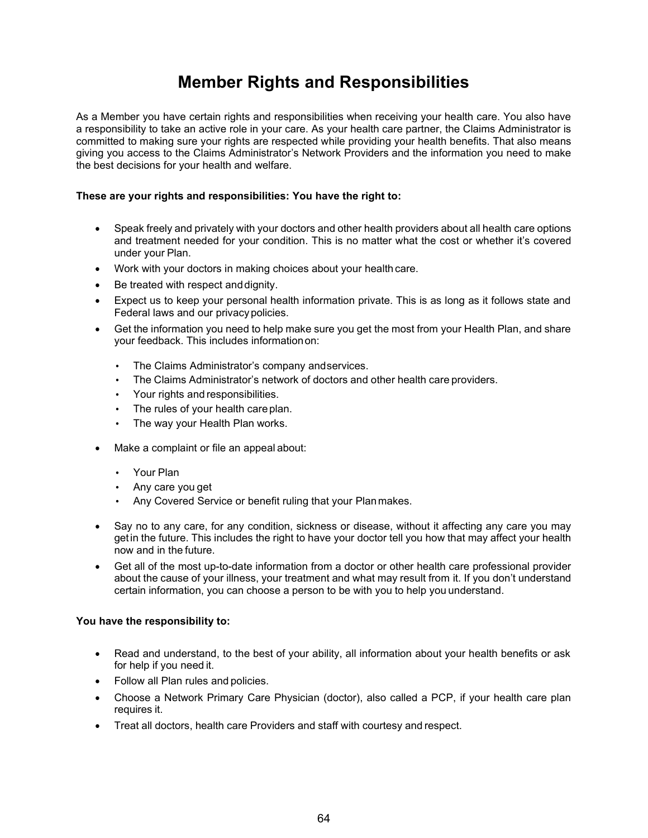# **Member Rights and Responsibilities**

As a Member you have certain rights and responsibilities when receiving your health care. You also have a responsibility to take an active role in your care. As your health care partner, the Claims Administrator is committed to making sure your rights are respected while providing your health benefits. That also means giving you access to the Claims Administrator's Network Providers and the information you need to make the best decisions for your health and welfare.

#### **These are your rights and responsibilities: You have the right to:**

- Speak freely and privately with your doctors and other health providers about all health care options and treatment needed for your condition. This is no matter what the cost or whether it's covered under your Plan.
- Work with your doctors in making choices about your health care.
- Be treated with respect and dignity.
- Expect us to keep your personal health information private. This is as long as it follows state and Federal laws and our privacypolicies.
- Get the information you need to help make sure you get the most from your Health Plan, and share your feedback. This includes informationon:
	- The Claims Administrator's company andservices.
	- The Claims Administrator's network of doctors and other health care providers.
	- Your rights and responsibilities.
	- The rules of your health careplan.
	- The way your Health Plan works.
- Make a complaint or file an appeal about:
	- Your Plan
	- Any care you get
	- Any Covered Service or benefit ruling that your Planmakes.
- Say no to any care, for any condition, sickness or disease, without it affecting any care you may getin the future. This includes the right to have your doctor tell you how that may affect your health now and in the future.
- Get all of the most up-to-date information from a doctor or other health care professional provider about the cause of your illness, your treatment and what may result from it. If you don't understand certain information, you can choose a person to be with you to help you understand.

#### **You have the responsibility to:**

- Read and understand, to the best of your ability, all information about your health benefits or ask for help if you need it.
- Follow all Plan rules and policies.
- Choose a Network Primary Care Physician (doctor), also called a PCP, if your health care plan requires it.
- Treat all doctors, health care Providers and staff with courtesy and respect.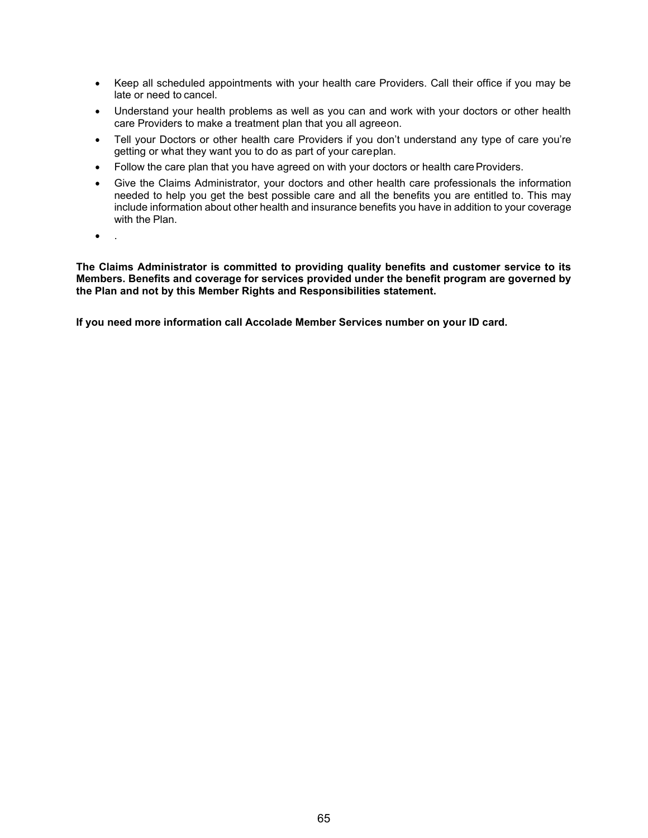- Keep all scheduled appointments with your health care Providers. Call their office if you may be late or need to cancel.
- Understand your health problems as well as you can and work with your doctors or other health care Providers to make a treatment plan that you all agreeon.
- Tell your Doctors or other health care Providers if you don't understand any type of care you're getting or what they want you to do as part of your careplan.
- Follow the care plan that you have agreed on with your doctors or health care Providers.
- Give the Claims Administrator, your doctors and other health care professionals the information needed to help you get the best possible care and all the benefits you are entitled to. This may include information about other health and insurance benefits you have in addition to your coverage with the Plan.
- .

**The Claims Administrator is committed to providing quality benefits and customer service to its Members. Benefits and coverage for services provided under the benefit program are governed by the Plan and not by this Member Rights and Responsibilities statement.**

**If you need more information call Accolade Member Services number on your ID card.**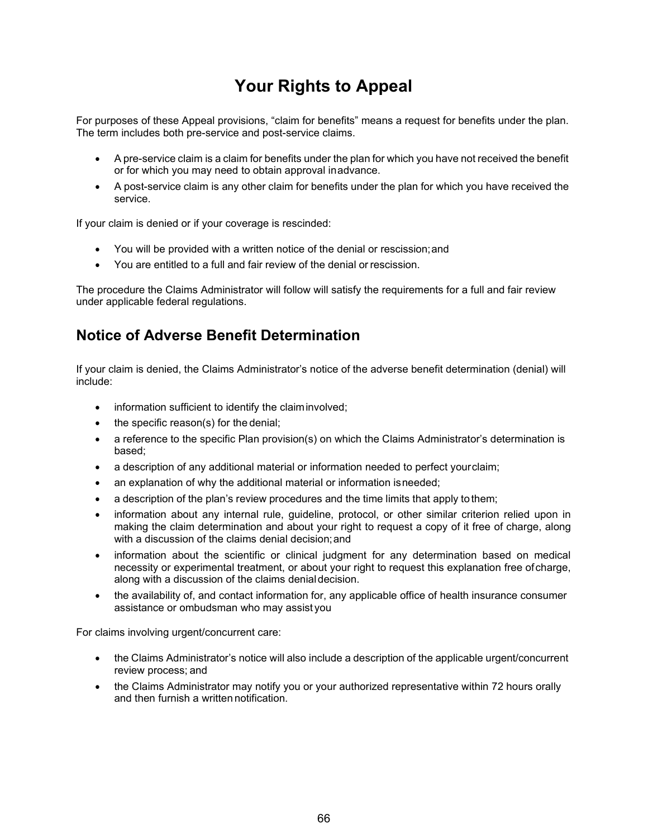# **Your Rights to Appeal**

For purposes of these Appeal provisions, "claim for benefits" means a request for benefits under the plan. The term includes both pre-service and post-service claims.

- A pre-service claim is a claim for benefits under the plan for which you have not received the benefit or for which you may need to obtain approval inadvance.
- A post-service claim is any other claim for benefits under the plan for which you have received the service.

If your claim is denied or if your coverage is rescinded:

- You will be provided with a written notice of the denial or rescission;and
- You are entitled to a full and fair review of the denial or rescission.

The procedure the Claims Administrator will follow will satisfy the requirements for a full and fair review under applicable federal regulations.

### **Notice of Adverse Benefit Determination**

If your claim is denied, the Claims Administrator's notice of the adverse benefit determination (denial) will include:

- information sufficient to identify the claim involved;
- the specific reason(s) for the denial;
- a reference to the specific Plan provision(s) on which the Claims Administrator's determination is based;
- a description of any additional material or information needed to perfect yourclaim;
- an explanation of why the additional material or information isneeded;
- a description of the plan's review procedures and the time limits that apply to them;
- information about any internal rule, guideline, protocol, or other similar criterion relied upon in making the claim determination and about your right to request a copy of it free of charge, along with a discussion of the claims denial decision;and
- information about the scientific or clinical judgment for any determination based on medical necessity or experimental treatment, or about your right to request this explanation free ofcharge, along with a discussion of the claims denialdecision.
- the availability of, and contact information for, any applicable office of health insurance consumer assistance or ombudsman who may assist you

For claims involving urgent/concurrent care:

- the Claims Administrator's notice will also include a description of the applicable urgent/concurrent review process; and
- the Claims Administrator may notify you or your authorized representative within 72 hours orally and then furnish a written notification.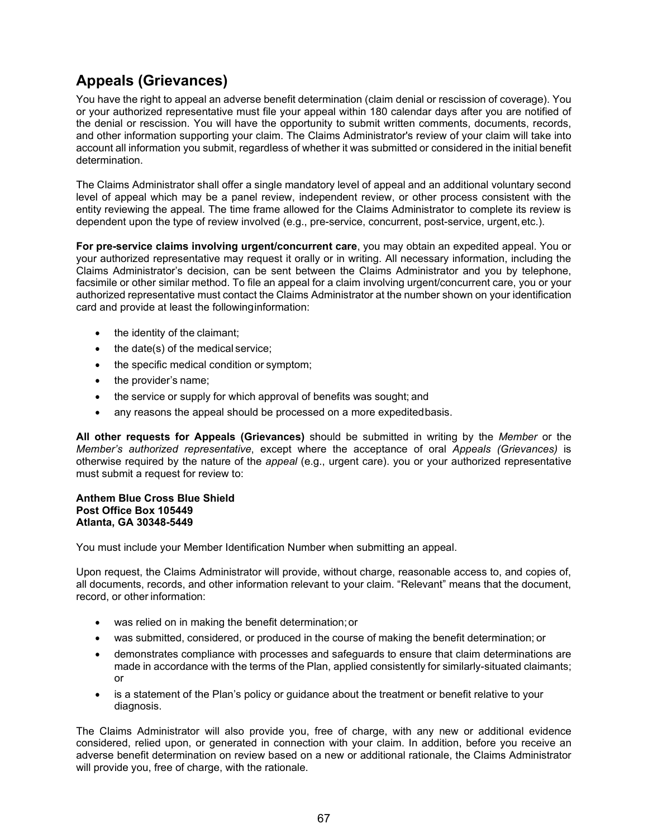## **Appeals (Grievances)**

You have the right to appeal an adverse benefit determination (claim denial or rescission of coverage). You or your authorized representative must file your appeal within 180 calendar days after you are notified of the denial or rescission. You will have the opportunity to submit written comments, documents, records, and other information supporting your claim. The Claims Administrator's review of your claim will take into account all information you submit, regardless of whether it was submitted or considered in the initial benefit determination.

The Claims Administrator shall offer a single mandatory level of appeal and an additional voluntary second level of appeal which may be a panel review, independent review, or other process consistent with the entity reviewing the appeal. The time frame allowed for the Claims Administrator to complete its review is dependent upon the type of review involved (e.g., pre-service, concurrent, post-service, urgent,etc.).

**For pre-service claims involving urgent/concurrent care**, you may obtain an expedited appeal. You or your authorized representative may request it orally or in writing. All necessary information, including the Claims Administrator's decision, can be sent between the Claims Administrator and you by telephone, facsimile or other similar method. To file an appeal for a claim involving urgent/concurrent care, you or your authorized representative must contact the Claims Administrator at the number shown on your identification card and provide at least the followinginformation:

- the identity of the claimant;
- the date(s) of the medical service;
- the specific medical condition or symptom;
- the provider's name;
- the service or supply for which approval of benefits was sought; and
- any reasons the appeal should be processed on a more expeditedbasis.

**All other requests for Appeals (Grievances)** should be submitted in writing by the *Member* or the *Member's authorized representative*, except where the acceptance of oral *Appeals (Grievances)* is otherwise required by the nature of the *appeal* (e.g., urgent care). you or your authorized representative must submit a request for review to:

#### **Anthem Blue Cross Blue Shield Post Office Box 105449 Atlanta, GA 30348-5449**

You must include your Member Identification Number when submitting an appeal.

Upon request, the Claims Administrator will provide, without charge, reasonable access to, and copies of, all documents, records, and other information relevant to your claim. "Relevant" means that the document, record, or other information:

- was relied on in making the benefit determination;or
- was submitted, considered, or produced in the course of making the benefit determination; or
- demonstrates compliance with processes and safeguards to ensure that claim determinations are made in accordance with the terms of the Plan, applied consistently for similarly-situated claimants; or
- is a statement of the Plan's policy or guidance about the treatment or benefit relative to your diagnosis.

The Claims Administrator will also provide you, free of charge, with any new or additional evidence considered, relied upon, or generated in connection with your claim. In addition, before you receive an adverse benefit determination on review based on a new or additional rationale, the Claims Administrator will provide you, free of charge, with the rationale.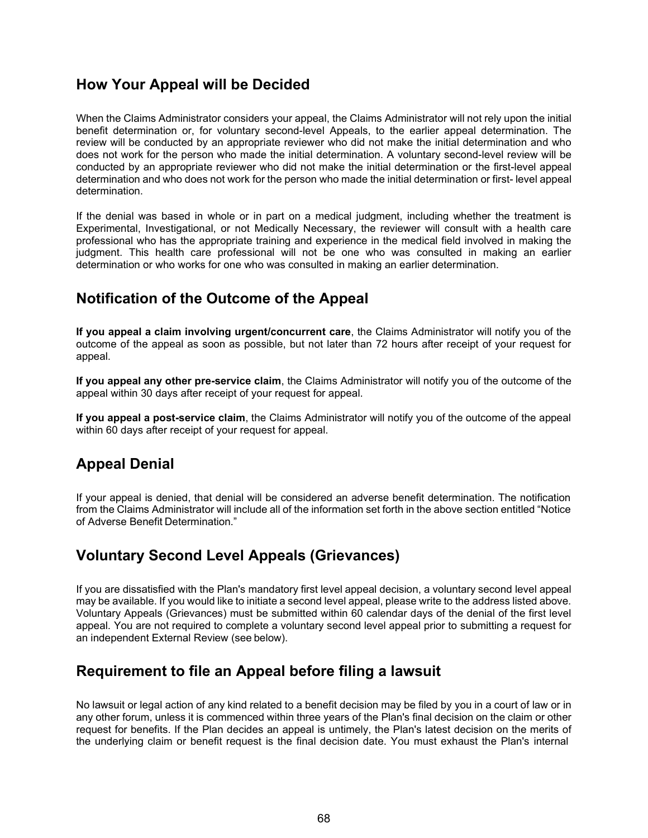### **How Your Appeal will be Decided**

When the Claims Administrator considers your appeal, the Claims Administrator will not rely upon the initial benefit determination or, for voluntary second-level Appeals, to the earlier appeal determination. The review will be conducted by an appropriate reviewer who did not make the initial determination and who does not work for the person who made the initial determination. A voluntary second-level review will be conducted by an appropriate reviewer who did not make the initial determination or the first-level appeal determination and who does not work for the person who made the initial determination or first- level appeal determination.

If the denial was based in whole or in part on a medical judgment, including whether the treatment is Experimental, Investigational, or not Medically Necessary, the reviewer will consult with a health care professional who has the appropriate training and experience in the medical field involved in making the judgment. This health care professional will not be one who was consulted in making an earlier determination or who works for one who was consulted in making an earlier determination.

### **Notification of the Outcome of the Appeal**

**If you appeal a claim involving urgent/concurrent care**, the Claims Administrator will notify you of the outcome of the appeal as soon as possible, but not later than 72 hours after receipt of your request for appeal.

**If you appeal any other pre-service claim**, the Claims Administrator will notify you of the outcome of the appeal within 30 days after receipt of your request for appeal.

**If you appeal a post-service claim**, the Claims Administrator will notify you of the outcome of the appeal within 60 days after receipt of your request for appeal.

## **Appeal Denial**

If your appeal is denied, that denial will be considered an adverse benefit determination. The notification from the Claims Administrator will include all of the information set forth in the above section entitled "Notice of Adverse Benefit Determination."

### **Voluntary Second Level Appeals (Grievances)**

If you are dissatisfied with the Plan's mandatory first level appeal decision, a voluntary second level appeal may be available. If you would like to initiate a second level appeal, please write to the address listed above. Voluntary Appeals (Grievances) must be submitted within 60 calendar days of the denial of the first level appeal. You are not required to complete a voluntary second level appeal prior to submitting a request for an independent External Review (see below).

### **Requirement to file an Appeal before filing a lawsuit**

No lawsuit or legal action of any kind related to a benefit decision may be filed by you in a court of law or in any other forum, unless it is commenced within three years of the Plan's final decision on the claim or other request for benefits. If the Plan decides an appeal is untimely, the Plan's latest decision on the merits of the underlying claim or benefit request is the final decision date. You must exhaust the Plan's internal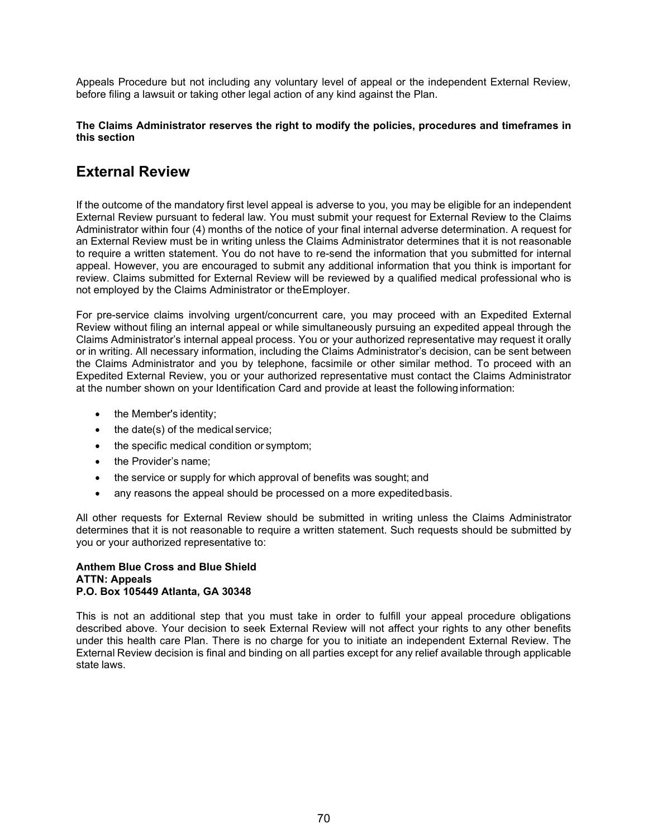Appeals Procedure but not including any voluntary level of appeal or the independent External Review, before filing a lawsuit or taking other legal action of any kind against the Plan.

#### **The Claims Administrator reserves the right to modify the policies, procedures and timeframes in this section**

### **External Review**

If the outcome of the mandatory first level appeal is adverse to you, you may be eligible for an independent External Review pursuant to federal law. You must submit your request for External Review to the Claims Administrator within four (4) months of the notice of your final internal adverse determination. A request for an External Review must be in writing unless the Claims Administrator determines that it is not reasonable to require a written statement. You do not have to re-send the information that you submitted for internal appeal. However, you are encouraged to submit any additional information that you think is important for review. Claims submitted for External Review will be reviewed by a qualified medical professional who is not employed by the Claims Administrator or theEmployer.

For pre-service claims involving urgent/concurrent care, you may proceed with an Expedited External Review without filing an internal appeal or while simultaneously pursuing an expedited appeal through the Claims Administrator's internal appeal process. You or your authorized representative may request it orally or in writing. All necessary information, including the Claims Administrator's decision, can be sent between the Claims Administrator and you by telephone, facsimile or other similar method. To proceed with an Expedited External Review, you or your authorized representative must contact the Claims Administrator at the number shown on your Identification Card and provide at least the following information:

- the Member's identity;
- the date(s) of the medical service;
- the specific medical condition or symptom;
- the Provider's name:
- the service or supply for which approval of benefits was sought; and
- any reasons the appeal should be processed on a more expeditedbasis.

All other requests for External Review should be submitted in writing unless the Claims Administrator determines that it is not reasonable to require a written statement. Such requests should be submitted by you or your authorized representative to:

#### **Anthem Blue Cross and Blue Shield ATTN: Appeals P.O. Box 105449 Atlanta, GA 30348**

This is not an additional step that you must take in order to fulfill your appeal procedure obligations described above. Your decision to seek External Review will not affect your rights to any other benefits under this health care Plan. There is no charge for you to initiate an independent External Review. The External Review decision is final and binding on all parties except for any relief available through applicable state laws.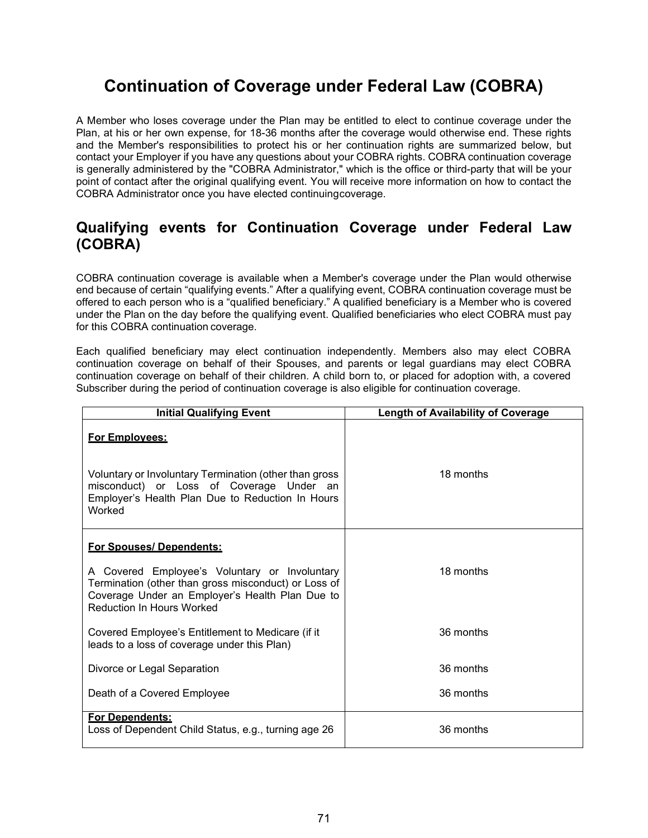# **Continuation of Coverage under Federal Law (COBRA)**

A Member who loses coverage under the Plan may be entitled to elect to continue coverage under the Plan, at his or her own expense, for 18-36 months after the coverage would otherwise end. These rights and the Member's responsibilities to protect his or her continuation rights are summarized below, but contact your Employer if you have any questions about your COBRA rights. COBRA continuation coverage is generally administered by the "COBRA Administrator," which is the office or third-party that will be your point of contact after the original qualifying event. You will receive more information on how to contact the COBRA Administrator once you have elected continuingcoverage.

### **Qualifying events for Continuation Coverage under Federal Law (COBRA)**

COBRA continuation coverage is available when a Member's coverage under the Plan would otherwise end because of certain "qualifying events." After a qualifying event, COBRA continuation coverage must be offered to each person who is a "qualified beneficiary." A qualified beneficiary is a Member who is covered under the Plan on the day before the qualifying event. Qualified beneficiaries who elect COBRA must pay for this COBRA continuation coverage.

Each qualified beneficiary may elect continuation independently. Members also may elect COBRA continuation coverage on behalf of their Spouses, and parents or legal guardians may elect COBRA continuation coverage on behalf of their children. A child born to, or placed for adoption with, a covered Subscriber during the period of continuation coverage is also eligible for continuation coverage.

| <b>Initial Qualifying Event</b>                                                                                                                                                                                         | <b>Length of Availability of Coverage</b> |
|-------------------------------------------------------------------------------------------------------------------------------------------------------------------------------------------------------------------------|-------------------------------------------|
| For Emplovees:<br>Voluntary or Involuntary Termination (other than gross<br>misconduct) or Loss of Coverage Under an<br>Employer's Health Plan Due to Reduction In Hours<br>Worked                                      | 18 months                                 |
| For Spouses/Dependents:<br>A Covered Employee's Voluntary or Involuntary<br>Termination (other than gross misconduct) or Loss of<br>Coverage Under an Employer's Health Plan Due to<br><b>Reduction In Hours Worked</b> | 18 months                                 |
| Covered Employee's Entitlement to Medicare (if it<br>leads to a loss of coverage under this Plan)                                                                                                                       | 36 months                                 |
| Divorce or Legal Separation                                                                                                                                                                                             | 36 months                                 |
| Death of a Covered Employee                                                                                                                                                                                             | 36 months                                 |
| For Dependents:<br>Loss of Dependent Child Status, e.g., turning age 26                                                                                                                                                 | 36 months                                 |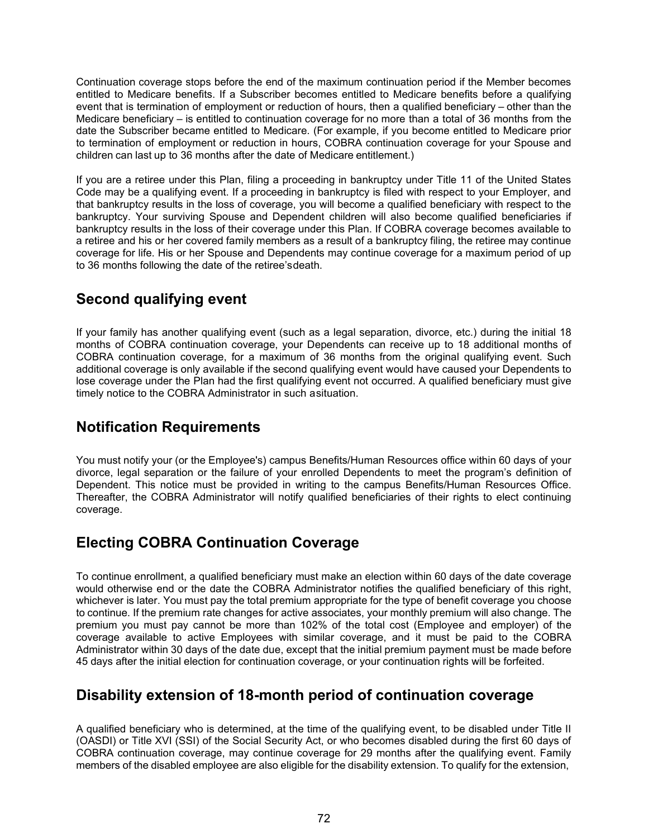Continuation coverage stops before the end of the maximum continuation period if the Member becomes entitled to Medicare benefits. If a Subscriber becomes entitled to Medicare benefits before a qualifying event that is termination of employment or reduction of hours, then a qualified beneficiary – other than the Medicare beneficiary – is entitled to continuation coverage for no more than a total of 36 months from the date the Subscriber became entitled to Medicare. (For example, if you become entitled to Medicare prior to termination of employment or reduction in hours, COBRA continuation coverage for your Spouse and children can last up to 36 months after the date of Medicare entitlement.)

If you are a retiree under this Plan, filing a proceeding in bankruptcy under Title 11 of the United States Code may be a qualifying event. If a proceeding in bankruptcy is filed with respect to your Employer, and that bankruptcy results in the loss of coverage, you will become a qualified beneficiary with respect to the bankruptcy. Your surviving Spouse and Dependent children will also become qualified beneficiaries if bankruptcy results in the loss of their coverage under this Plan. If COBRA coverage becomes available to a retiree and his or her covered family members as a result of a bankruptcy filing, the retiree may continue coverage for life. His or her Spouse and Dependents may continue coverage for a maximum period of up to 36 months following the date of the retiree'sdeath.

## **Second qualifying event**

If your family has another qualifying event (such as a legal separation, divorce, etc.) during the initial 18 months of COBRA continuation coverage, your Dependents can receive up to 18 additional months of COBRA continuation coverage, for a maximum of 36 months from the original qualifying event. Such additional coverage is only available if the second qualifying event would have caused your Dependents to lose coverage under the Plan had the first qualifying event not occurred. A qualified beneficiary must give timely notice to the COBRA Administrator in such asituation.

## **Notification Requirements**

You must notify your (or the Employee's) campus Benefits/Human Resources office within 60 days of your divorce, legal separation or the failure of your enrolled Dependents to meet the program's definition of Dependent. This notice must be provided in writing to the campus Benefits/Human Resources Office. Thereafter, the COBRA Administrator will notify qualified beneficiaries of their rights to elect continuing coverage.

## **Electing COBRA Continuation Coverage**

To continue enrollment, a qualified beneficiary must make an election within 60 days of the date coverage would otherwise end or the date the COBRA Administrator notifies the qualified beneficiary of this right, whichever is later. You must pay the total premium appropriate for the type of benefit coverage you choose to continue. If the premium rate changes for active associates, your monthly premium will also change. The premium you must pay cannot be more than 102% of the total cost (Employee and employer) of the coverage available to active Employees with similar coverage, and it must be paid to the COBRA Administrator within 30 days of the date due, except that the initial premium payment must be made before 45 days after the initial election for continuation coverage, or your continuation rights will be forfeited.

## **Disability extension of 18-month period of continuation coverage**

A qualified beneficiary who is determined, at the time of the qualifying event, to be disabled under Title II (OASDI) or Title XVI (SSI) of the Social Security Act, or who becomes disabled during the first 60 days of COBRA continuation coverage, may continue coverage for 29 months after the qualifying event. Family members of the disabled employee are also eligible for the disability extension. To qualify for the extension,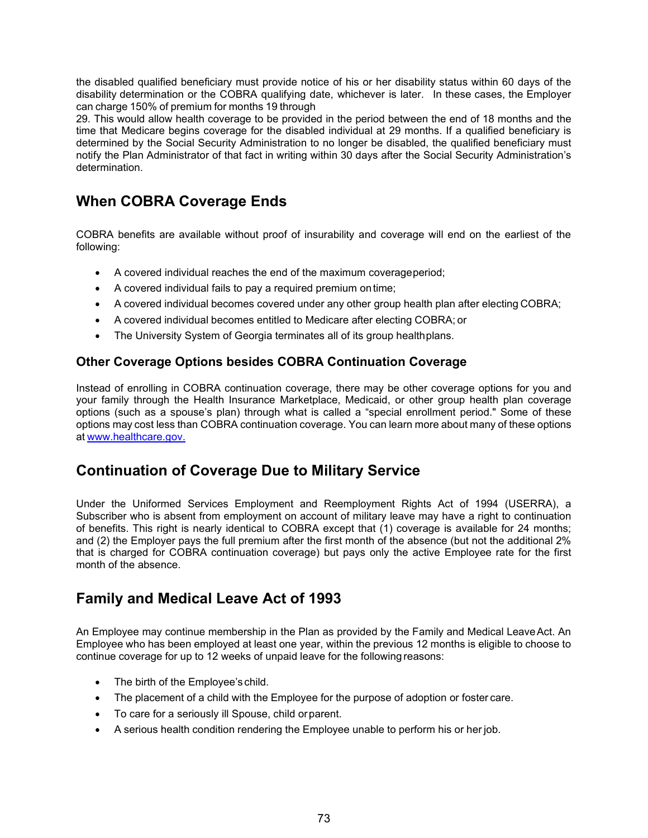the disabled qualified beneficiary must provide notice of his or her disability status within 60 days of the disability determination or the COBRA qualifying date, whichever is later. In these cases, the Employer can charge 150% of premium for months 19 through

29. This would allow health coverage to be provided in the period between the end of 18 months and the time that Medicare begins coverage for the disabled individual at 29 months. If a qualified beneficiary is determined by the Social Security Administration to no longer be disabled, the qualified beneficiary must notify the Plan Administrator of that fact in writing within 30 days after the Social Security Administration's determination.

## **When COBRA Coverage Ends**

COBRA benefits are available without proof of insurability and coverage will end on the earliest of the following:

- A covered individual reaches the end of the maximum coverageperiod;
- A covered individual fails to pay a required premium ontime;
- A covered individual becomes covered under any other group health plan after electing COBRA;
- A covered individual becomes entitled to Medicare after electing COBRA; or
- The University System of Georgia terminates all of its group healthplans.

## **Other Coverage Options besides COBRA Continuation Coverage**

Instead of enrolling in COBRA continuation coverage, there may be other coverage options for you and your family through the Health Insurance Marketplace, Medicaid, or other group health plan coverage options (such as a spouse's plan) through what is called a "special enrollment period." Some of these options may cost less than COBRA continuation coverage. You can learn more about many of these options at [www.healthcare.gov.](http://www.healthcare.gov/)

## **Continuation of Coverage Due to Military Service**

Under the Uniformed Services Employment and Reemployment Rights Act of 1994 (USERRA), a Subscriber who is absent from employment on account of military leave may have a right to continuation of benefits. This right is nearly identical to COBRA except that (1) coverage is available for 24 months; and (2) the Employer pays the full premium after the first month of the absence (but not the additional 2% that is charged for COBRA continuation coverage) but pays only the active Employee rate for the first month of the absence.

## **Family and Medical Leave Act of 1993**

An Employee may continue membership in the Plan as provided by the Family and Medical LeaveAct. An Employee who has been employed at least one year, within the previous 12 months is eligible to choose to continue coverage for up to 12 weeks of unpaid leave for the following reasons:

- The birth of the Employee's child.
- The placement of a child with the Employee for the purpose of adoption or foster care.
- To care for a seriously ill Spouse, child orparent.
- A serious health condition rendering the Employee unable to perform his or her job.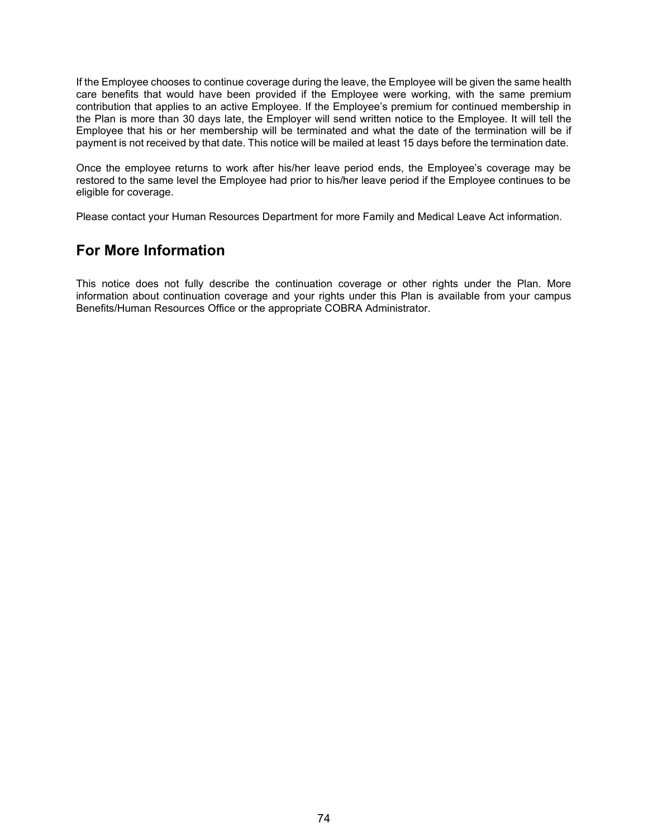If the Employee chooses to continue coverage during the leave, the Employee will be given the same health care benefits that would have been provided if the Employee were working, with the same premium contribution that applies to an active Employee. If the Employee's premium for continued membership in the Plan is more than 30 days late, the Employer will send written notice to the Employee. It will tell the Employee that his or her membership will be terminated and what the date of the termination will be if payment is not received by that date. This notice will be mailed at least 15 days before the termination date.

Once the employee returns to work after his/her leave period ends, the Employee's coverage may be restored to the same level the Employee had prior to his/her leave period if the Employee continues to be eligible for coverage.

Please contact your Human Resources Department for more Family and Medical Leave Act information.

## **For More Information**

This notice does not fully describe the continuation coverage or other rights under the Plan. More information about continuation coverage and your rights under this Plan is available from your campus Benefits/Human Resources Office or the appropriate COBRA Administrator.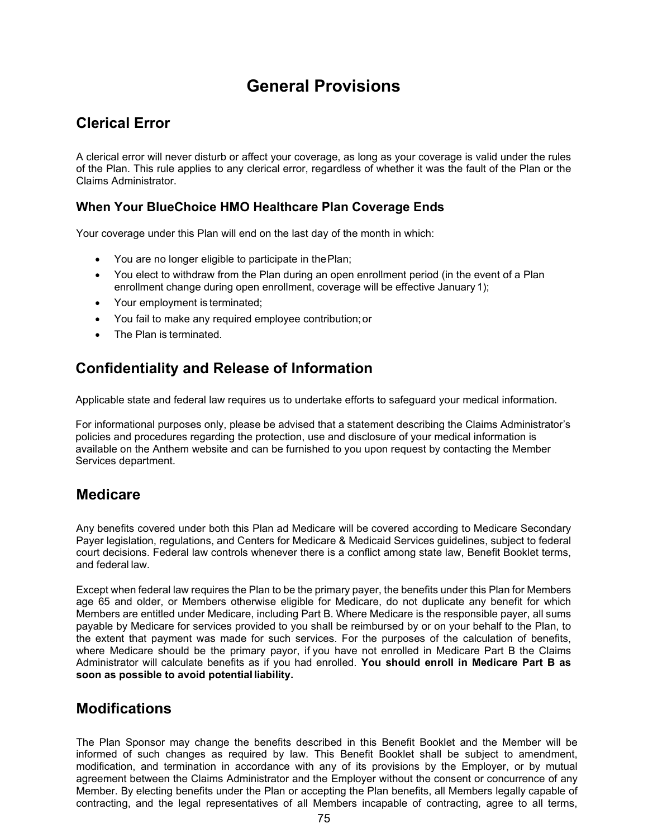# **General Provisions**

## **Clerical Error**

A clerical error will never disturb or affect your coverage, as long as your coverage is valid under the rules of the Plan. This rule applies to any clerical error, regardless of whether it was the fault of the Plan or the Claims Administrator.

## **When Your BlueChoice HMO Healthcare Plan Coverage Ends**

Your coverage under this Plan will end on the last day of the month in which:

- You are no longer eligible to participate in thePlan;
- You elect to withdraw from the Plan during an open enrollment period (in the event of a Plan enrollment change during open enrollment, coverage will be effective January 1);
- Your employment is terminated;
- You fail to make any required employee contribution;or
- The Plan is terminated.

## **Confidentiality and Release of Information**

Applicable state and federal law requires us to undertake efforts to safeguard your medical information.

For informational purposes only, please be advised that a statement describing the Claims Administrator's policies and procedures regarding the protection, use and disclosure of your medical information is available on the Anthem website and can be furnished to you upon request by contacting the Member Services department.

## **Medicare**

Any benefits covered under both this Plan ad Medicare will be covered according to Medicare Secondary Payer legislation, regulations, and Centers for Medicare & Medicaid Services guidelines, subject to federal court decisions. Federal law controls whenever there is a conflict among state law, Benefit Booklet terms, and federal law.

Except when federal law requires the Plan to be the primary payer, the benefits under this Plan for Members age 65 and older, or Members otherwise eligible for Medicare, do not duplicate any benefit for which Members are entitled under Medicare, including Part B. Where Medicare is the responsible payer, all sums payable by Medicare for services provided to you shall be reimbursed by or on your behalf to the Plan, to the extent that payment was made for such services. For the purposes of the calculation of benefits, where Medicare should be the primary payor, if you have not enrolled in Medicare Part B the Claims Administrator will calculate benefits as if you had enrolled. **You should enroll in Medicare Part B as soon as possible to avoid potential liability.**

## **Modifications**

The Plan Sponsor may change the benefits described in this Benefit Booklet and the Member will be informed of such changes as required by law. This Benefit Booklet shall be subject to amendment, modification, and termination in accordance with any of its provisions by the Employer, or by mutual agreement between the Claims Administrator and the Employer without the consent or concurrence of any Member. By electing benefits under the Plan or accepting the Plan benefits, all Members legally capable of contracting, and the legal representatives of all Members incapable of contracting, agree to all terms,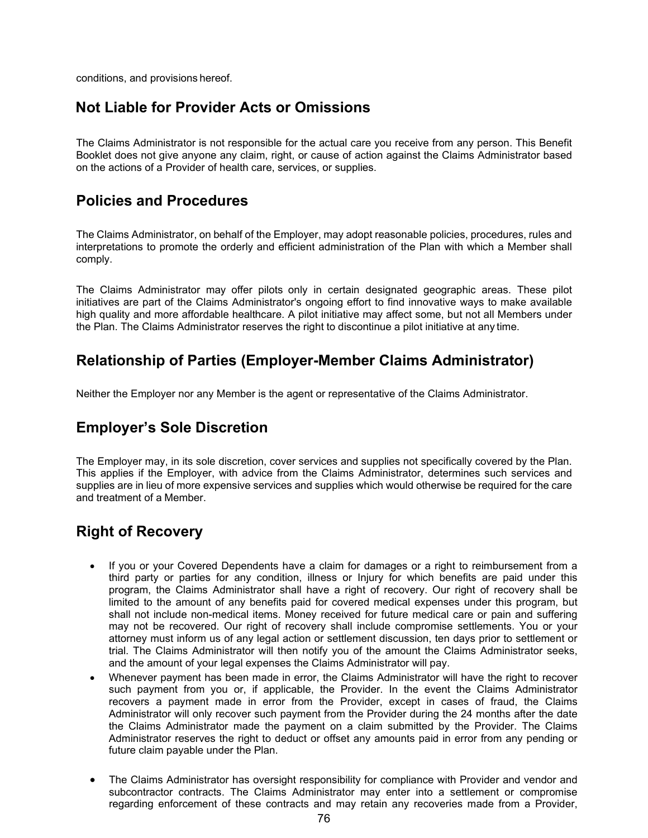conditions, and provisions hereof.

## **Not Liable for Provider Acts or Omissions**

The Claims Administrator is not responsible for the actual care you receive from any person. This Benefit Booklet does not give anyone any claim, right, or cause of action against the Claims Administrator based on the actions of a Provider of health care, services, or supplies.

## **Policies and Procedures**

The Claims Administrator, on behalf of the Employer, may adopt reasonable policies, procedures, rules and interpretations to promote the orderly and efficient administration of the Plan with which a Member shall comply.

The Claims Administrator may offer pilots only in certain designated geographic areas. These pilot initiatives are part of the Claims Administrator's ongoing effort to find innovative ways to make available high quality and more affordable healthcare. A pilot initiative may affect some, but not all Members under the Plan. The Claims Administrator reserves the right to discontinue a pilot initiative at any time.

## **Relationship of Parties (Employer-Member Claims Administrator)**

Neither the Employer nor any Member is the agent or representative of the Claims Administrator.

## **Employer's Sole Discretion**

The Employer may, in its sole discretion, cover services and supplies not specifically covered by the Plan. This applies if the Employer, with advice from the Claims Administrator, determines such services and supplies are in lieu of more expensive services and supplies which would otherwise be required for the care and treatment of a Member.

## **Right of Recovery**

- If you or your Covered Dependents have a claim for damages or a right to reimbursement from a third party or parties for any condition, illness or Injury for which benefits are paid under this program, the Claims Administrator shall have a right of recovery. Our right of recovery shall be limited to the amount of any benefits paid for covered medical expenses under this program, but shall not include non-medical items. Money received for future medical care or pain and suffering may not be recovered. Our right of recovery shall include compromise settlements. You or your attorney must inform us of any legal action or settlement discussion, ten days prior to settlement or trial. The Claims Administrator will then notify you of the amount the Claims Administrator seeks, and the amount of your legal expenses the Claims Administrator will pay.
- Whenever payment has been made in error, the Claims Administrator will have the right to recover such payment from you or, if applicable, the Provider. In the event the Claims Administrator recovers a payment made in error from the Provider, except in cases of fraud, the Claims Administrator will only recover such payment from the Provider during the 24 months after the date the Claims Administrator made the payment on a claim submitted by the Provider. The Claims Administrator reserves the right to deduct or offset any amounts paid in error from any pending or future claim payable under the Plan.
- The Claims Administrator has oversight responsibility for compliance with Provider and vendor and subcontractor contracts. The Claims Administrator may enter into a settlement or compromise regarding enforcement of these contracts and may retain any recoveries made from a Provider,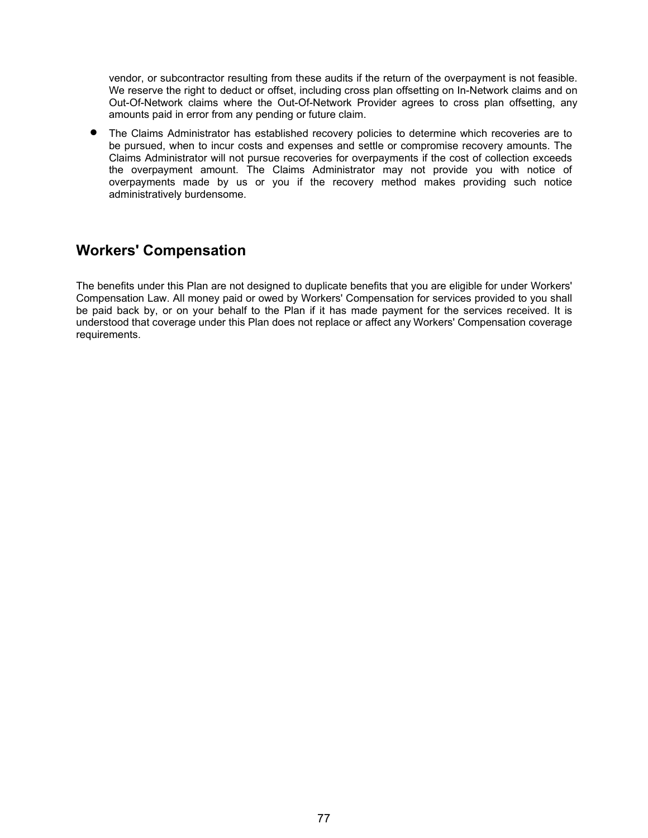vendor, or subcontractor resulting from these audits if the return of the overpayment is not feasible. We reserve the right to deduct or offset, including cross plan offsetting on In-Network claims and on Out-Of-Network claims where the Out-Of-Network Provider agrees to cross plan offsetting, any amounts paid in error from any pending or future claim.

• The Claims Administrator has established recovery policies to determine which recoveries are to be pursued, when to incur costs and expenses and settle or compromise recovery amounts. The Claims Administrator will not pursue recoveries for overpayments if the cost of collection exceeds the overpayment amount. The Claims Administrator may not provide you with notice of overpayments made by us or you if the recovery method makes providing such notice administratively burdensome.

## **Workers' Compensation**

The benefits under this Plan are not designed to duplicate benefits that you are eligible for under Workers' Compensation Law. All money paid or owed by Workers' Compensation for services provided to you shall be paid back by, or on your behalf to the Plan if it has made payment for the services received. It is understood that coverage under this Plan does not replace or affect any Workers' Compensation coverage requirements.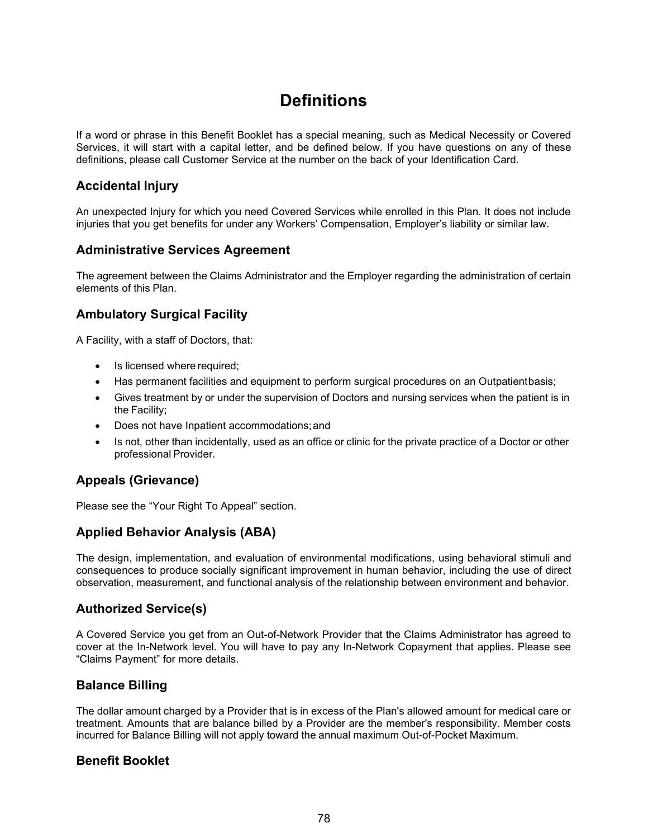# **Definitions**

If a word or phrase in this Benefit Booklet has a special meaning, such as Medical Necessity or Covered Services, it will start with a capital letter, and be defined below. If you have questions on any of these definitions, please call Customer Service at the number on the back of your Identification Card.

## **Accidental Injury**

An unexpected Injury for which you need Covered Services while enrolled in this Plan. It does not include injuries that you get benefits for under any Workers' Compensation, Employer's liability or similar law.

### **Administrative Services Agreement**

The agreement between the Claims Administrator and the Employer regarding the administration of certain elements of this Plan.

## **Ambulatory Surgical Facility**

A Facility, with a staff of Doctors, that:

- Is licensed where required;
- Has permanent facilities and equipment to perform surgical procedures on an Outpatientbasis;
- Gives treatment by or under the supervision of Doctors and nursing services when the patient is in the Facility;
- Does not have Inpatient accommodations;and
- Is not, other than incidentally, used as an office or clinic for the private practice of a Doctor or other professional Provider.

## **Appeals (Grievance)**

Please see the "Your Right To Appeal" section.

## **Applied Behavior Analysis (ABA)**

The design, implementation, and evaluation of environmental modifications, using behavioral stimuli and consequences to produce socially significant improvement in human behavior, including the use of direct observation, measurement, and functional analysis of the relationship between environment and behavior.

## **Authorized Service(s)**

A Covered Service you get from an Out-of-Network Provider that the Claims Administrator has agreed to cover at the In-Network level. You will have to pay any In-Network Copayment that applies. Please see "Claims Payment" for more details.

## **Balance Billing**

The dollar amount charged by a Provider that is in excess of the Plan's allowed amount for medical care or treatment. Amounts that are balance billed by a Provider are the member's responsibility. Member costs incurred for Balance Billing will not apply toward the annual maximum Out-of-Pocket Maximum.

### **Benefit Booklet**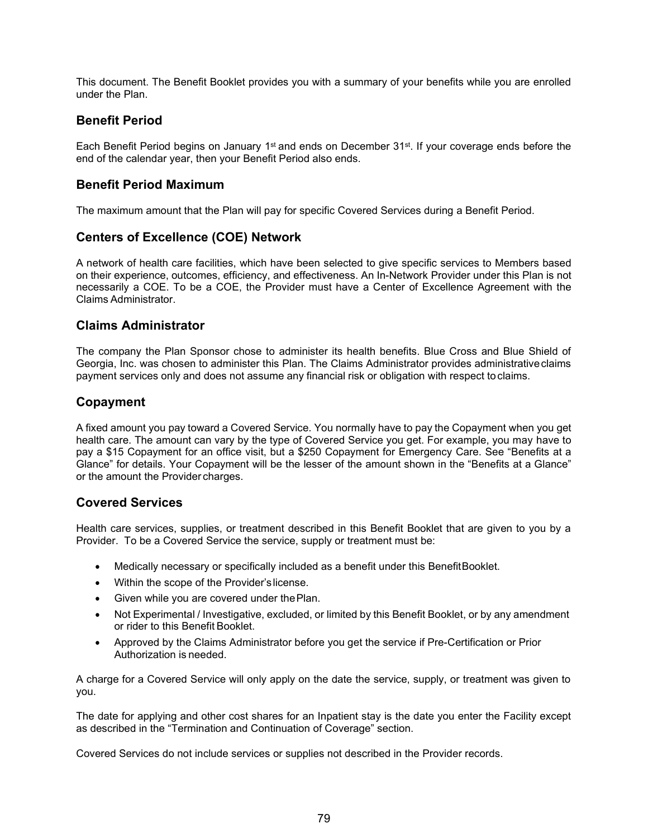This document. The Benefit Booklet provides you with a summary of your benefits while you are enrolled under the Plan.

### **Benefit Period**

Each Benefit Period begins on January 1<sup>st</sup> and ends on December 31<sup>st</sup>. If your coverage ends before the end of the calendar year, then your Benefit Period also ends.

### **Benefit Period Maximum**

The maximum amount that the Plan will pay for specific Covered Services during a Benefit Period.

## **Centers of Excellence (COE) Network**

A network of health care facilities, which have been selected to give specific services to Members based on their experience, outcomes, efficiency, and effectiveness. An In-Network Provider under this Plan is not necessarily a COE. To be a COE, the Provider must have a Center of Excellence Agreement with the Claims Administrator.

### **Claims Administrator**

The company the Plan Sponsor chose to administer its health benefits. Blue Cross and Blue Shield of Georgia, Inc. was chosen to administer this Plan. The Claims Administrator provides administrativeclaims payment services only and does not assume any financial risk or obligation with respect to claims.

### **Copayment**

A fixed amount you pay toward a Covered Service. You normally have to pay the Copayment when you get health care. The amount can vary by the type of Covered Service you get. For example, you may have to pay a \$15 Copayment for an office visit, but a \$250 Copayment for Emergency Care. See "Benefits at a Glance" for details. Your Copayment will be the lesser of the amount shown in the "Benefits at a Glance" or the amount the Provider charges.

### **Covered Services**

Health care services, supplies, or treatment described in this Benefit Booklet that are given to you by a Provider. To be a Covered Service the service, supply or treatment must be:

- Medically necessary or specifically included as a benefit under this BenefitBooklet.
- Within the scope of the Provider'slicense.
- Given while you are covered under the Plan.
- Not Experimental / Investigative, excluded, or limited by this Benefit Booklet, or by any amendment or rider to this Benefit Booklet.
- Approved by the Claims Administrator before you get the service if Pre-Certification or Prior Authorization is needed.

A charge for a Covered Service will only apply on the date the service, supply, or treatment was given to you.

The date for applying and other cost shares for an Inpatient stay is the date you enter the Facility except as described in the "Termination and Continuation of Coverage" section.

Covered Services do not include services or supplies not described in the Provider records.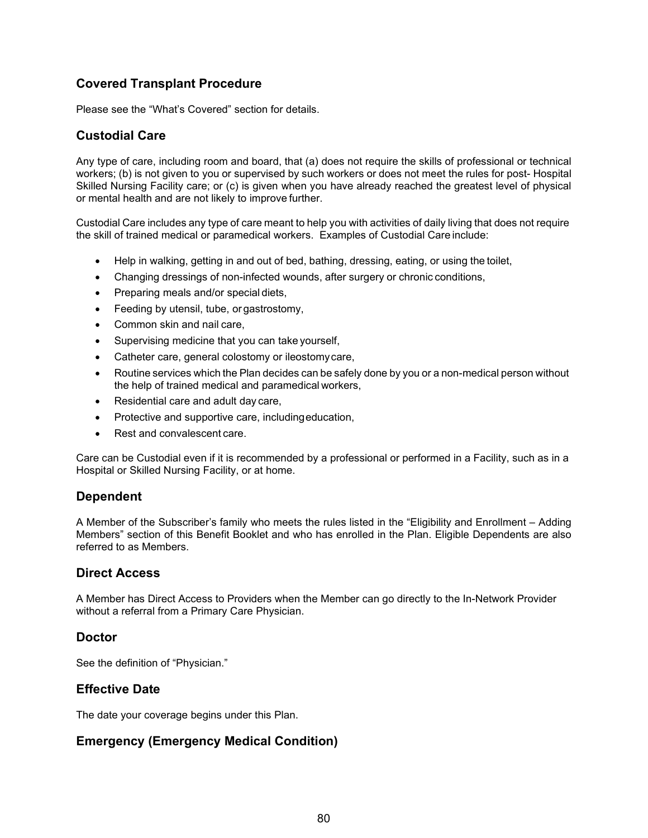## **Covered Transplant Procedure**

Please see the "What's Covered" section for details.

## **Custodial Care**

Any type of care, including room and board, that (a) does not require the skills of professional or technical workers; (b) is not given to you or supervised by such workers or does not meet the rules for post- Hospital Skilled Nursing Facility care; or (c) is given when you have already reached the greatest level of physical or mental health and are not likely to improve further.

Custodial Care includes any type of care meant to help you with activities of daily living that does not require the skill of trained medical or paramedical workers. Examples of Custodial Care include:

- Help in walking, getting in and out of bed, bathing, dressing, eating, or using the toilet,
- Changing dressings of non-infected wounds, after surgery or chronic conditions,
- Preparing meals and/or special diets,
- Feeding by utensil, tube, or gastrostomy,
- Common skin and nail care,
- Supervising medicine that you can take yourself,
- Catheter care, general colostomy or ileostomy care,
- Routine services which the Plan decides can be safely done by you or a non-medical person without the help of trained medical and paramedical workers,
- Residential care and adult day care,
- Protective and supportive care, includingeducation,
- Rest and convalescent care.

Care can be Custodial even if it is recommended by a professional or performed in a Facility, such as in a Hospital or Skilled Nursing Facility, or at home.

### **Dependent**

A Member of the Subscriber's family who meets the rules listed in the "Eligibility and Enrollment – Adding Members" section of this Benefit Booklet and who has enrolled in the Plan. Eligible Dependents are also referred to as Members.

### **Direct Access**

A Member has Direct Access to Providers when the Member can go directly to the In-Network Provider without a referral from a Primary Care Physician.

### **Doctor**

See the definition of "Physician."

### **Effective Date**

The date your coverage begins under this Plan.

### **Emergency (Emergency Medical Condition)**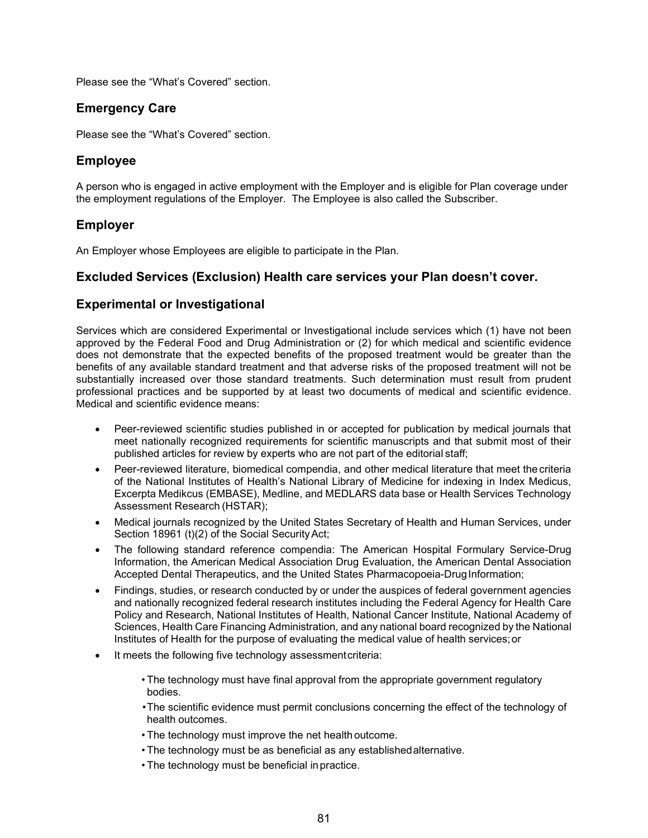Please see the "What's Covered" section.

## **Emergency Care**

Please see the "What's Covered" section.

## **Employee**

A person who is engaged in active employment with the Employer and is eligible for Plan coverage under the employment regulations of the Employer. The Employee is also called the Subscriber.

### **Employer**

An Employer whose Employees are eligible to participate in the Plan.

### **Excluded Services (Exclusion) Health care services your Plan doesn't cover.**

### **Experimental or Investigational**

Services which are considered Experimental or Investigational include services which (1) have not been approved by the Federal Food and Drug Administration or (2) for which medical and scientific evidence does not demonstrate that the expected benefits of the proposed treatment would be greater than the benefits of any available standard treatment and that adverse risks of the proposed treatment will not be substantially increased over those standard treatments. Such determination must result from prudent professional practices and be supported by at least two documents of medical and scientific evidence. Medical and scientific evidence means:

- Peer-reviewed scientific studies published in or accepted for publication by medical journals that meet nationally recognized requirements for scientific manuscripts and that submit most of their published articles for review by experts who are not part of the editorial staff;
- Peer-reviewed literature, biomedical compendia, and other medical literature that meet the criteria of the National Institutes of Health's National Library of Medicine for indexing in Index Medicus, Excerpta Medikcus (EMBASE), Medline, and MEDLARS data base or Health Services Technology Assessment Research (HSTAR);
- Medical journals recognized by the United States Secretary of Health and Human Services, under Section 18961 (t)(2) of the Social SecurityAct;
- The following standard reference compendia: The American Hospital Formulary Service-Drug Information, the American Medical Association Drug Evaluation, the American Dental Association Accepted Dental Therapeutics, and the United States Pharmacopoeia-DrugInformation;
- Findings, studies, or research conducted by or under the auspices of federal government agencies and nationally recognized federal research institutes including the Federal Agency for Health Care Policy and Research, National Institutes of Health, National Cancer Institute, National Academy of Sciences, Health Care Financing Administration, and any national board recognized by the National Institutes of Health for the purpose of evaluating the medical value of health services;or
- It meets the following five technology assessment criteria:

• The technology must have final approval from the appropriate government regulatory bodies.

•The scientific evidence must permit conclusions concerning the effect of the technology of health outcomes.

- The technology must improve the net health outcome.
- The technology must be as beneficial as any establishedalternative.
- The technology must be beneficial inpractice.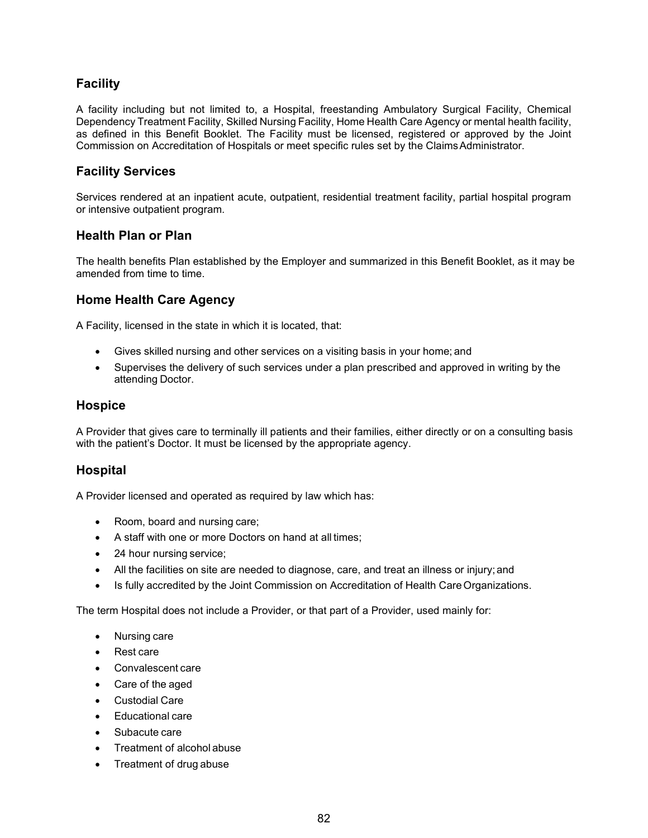## **Facility**

A facility including but not limited to, a Hospital, freestanding Ambulatory Surgical Facility, Chemical Dependency Treatment Facility, Skilled Nursing Facility, Home Health Care Agency or mental health facility, as defined in this Benefit Booklet. The Facility must be licensed, registered or approved by the Joint Commission on Accreditation of Hospitals or meet specific rules set by the ClaimsAdministrator.

## **Facility Services**

Services rendered at an inpatient acute, outpatient, residential treatment facility, partial hospital program or intensive outpatient program.

### **Health Plan or Plan**

The health benefits Plan established by the Employer and summarized in this Benefit Booklet, as it may be amended from time to time.

## **Home Health Care Agency**

A Facility, licensed in the state in which it is located, that:

- Gives skilled nursing and other services on a visiting basis in your home; and
- Supervises the delivery of such services under a plan prescribed and approved in writing by the attending Doctor.

#### **Hospice**

A Provider that gives care to terminally ill patients and their families, either directly or on a consulting basis with the patient's Doctor. It must be licensed by the appropriate agency.

### **Hospital**

A Provider licensed and operated as required by law which has:

- Room, board and nursing care;
- A staff with one or more Doctors on hand at all times;
- 24 hour nursing service;
- All the facilities on site are needed to diagnose, care, and treat an illness or injury; and
- Is fully accredited by the Joint Commission on Accreditation of Health Care Organizations.

The term Hospital does not include a Provider, or that part of a Provider, used mainly for:

- Nursing care
- Rest care
- Convalescent care
- Care of the aged
- Custodial Care
- Educational care
- Subacute care
- Treatment of alcohol abuse
- Treatment of drug abuse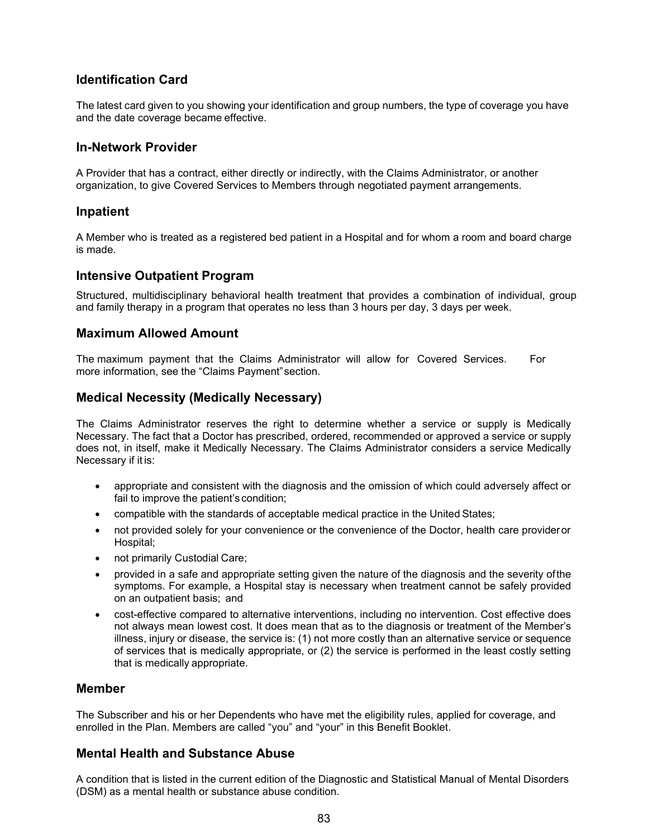## **Identification Card**

The latest card given to you showing your identification and group numbers, the type of coverage you have and the date coverage became effective.

#### **In-Network Provider**

A Provider that has a contract, either directly or indirectly, with the Claims Administrator, or another organization, to give Covered Services to Members through negotiated payment arrangements.

#### **Inpatient**

A Member who is treated as a registered bed patient in a Hospital and for whom a room and board charge is made.

#### **Intensive Outpatient Program**

Structured, multidisciplinary behavioral health treatment that provides a combination of individual, group and family therapy in a program that operates no less than 3 hours per day, 3 days per week.

#### **Maximum Allowed Amount**

The maximum payment that the Claims Administrator will allow for Covered Services. For more information, see the "Claims Payment"section.

### **Medical Necessity (Medically Necessary)**

The Claims Administrator reserves the right to determine whether a service or supply is Medically Necessary. The fact that a Doctor has prescribed, ordered, recommended or approved a service or supply does not, in itself, make it Medically Necessary. The Claims Administrator considers a service Medically Necessary if it is:

- appropriate and consistent with the diagnosis and the omission of which could adversely affect or fail to improve the patient's condition;
- compatible with the standards of acceptable medical practice in the United States;
- not provided solely for your convenience or the convenience of the Doctor, health care provideror Hospital;
- not primarily Custodial Care;
- provided in a safe and appropriate setting given the nature of the diagnosis and the severity ofthe symptoms. For example, a Hospital stay is necessary when treatment cannot be safely provided on an outpatient basis; and
- cost-effective compared to alternative interventions, including no intervention. Cost effective does not always mean lowest cost. It does mean that as to the diagnosis or treatment of the Member's illness, injury or disease, the service is: (1) not more costly than an alternative service or sequence of services that is medically appropriate, or (2) the service is performed in the least costly setting that is medically appropriate.

#### **Member**

The Subscriber and his or her Dependents who have met the eligibility rules, applied for coverage, and enrolled in the Plan. Members are called "you" and "your" in this Benefit Booklet.

### **Mental Health and Substance Abuse**

A condition that is listed in the current edition of the Diagnostic and Statistical Manual of Mental Disorders (DSM) as a mental health or substance abuse condition.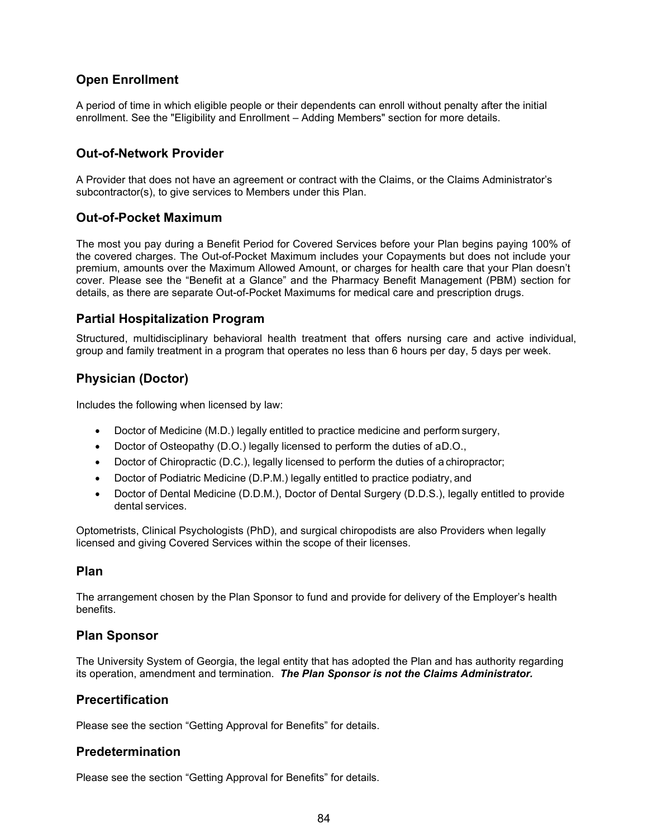## **Open Enrollment**

A period of time in which eligible people or their dependents can enroll without penalty after the initial enrollment. See the "Eligibility and Enrollment – Adding Members" section for more details.

## **Out-of-Network Provider**

A Provider that does not have an agreement or contract with the Claims, or the Claims Administrator's subcontractor(s), to give services to Members under this Plan.

### **Out-of-Pocket Maximum**

The most you pay during a Benefit Period for Covered Services before your Plan begins paying 100% of the covered charges. The Out-of-Pocket Maximum includes your Copayments but does not include your premium, amounts over the Maximum Allowed Amount, or charges for health care that your Plan doesn't cover. Please see the "Benefit at a Glance" and the Pharmacy Benefit Management (PBM) section for details, as there are separate Out-of-Pocket Maximums for medical care and prescription drugs.

### **Partial Hospitalization Program**

Structured, multidisciplinary behavioral health treatment that offers nursing care and active individual, group and family treatment in a program that operates no less than 6 hours per day, 5 days per week.

## **Physician (Doctor)**

Includes the following when licensed by law:

- Doctor of Medicine (M.D.) legally entitled to practice medicine and perform surgery,
- Doctor of Osteopathy (D.O.) legally licensed to perform the duties of aD.O.,
- Doctor of Chiropractic (D.C.), legally licensed to perform the duties of a chiropractor;
- Doctor of Podiatric Medicine (D.P.M.) legally entitled to practice podiatry, and
- Doctor of Dental Medicine (D.D.M.), Doctor of Dental Surgery (D.D.S.), legally entitled to provide dental services.

Optometrists, Clinical Psychologists (PhD), and surgical chiropodists are also Providers when legally licensed and giving Covered Services within the scope of their licenses.

#### **Plan**

The arrangement chosen by the Plan Sponsor to fund and provide for delivery of the Employer's health benefits.

### **Plan Sponsor**

The University System of Georgia, the legal entity that has adopted the Plan and has authority regarding its operation, amendment and termination. *The Plan Sponsor is not the Claims Administrator.*

### **Precertification**

Please see the section "Getting Approval for Benefits" for details.

#### **Predetermination**

Please see the section "Getting Approval for Benefits" for details.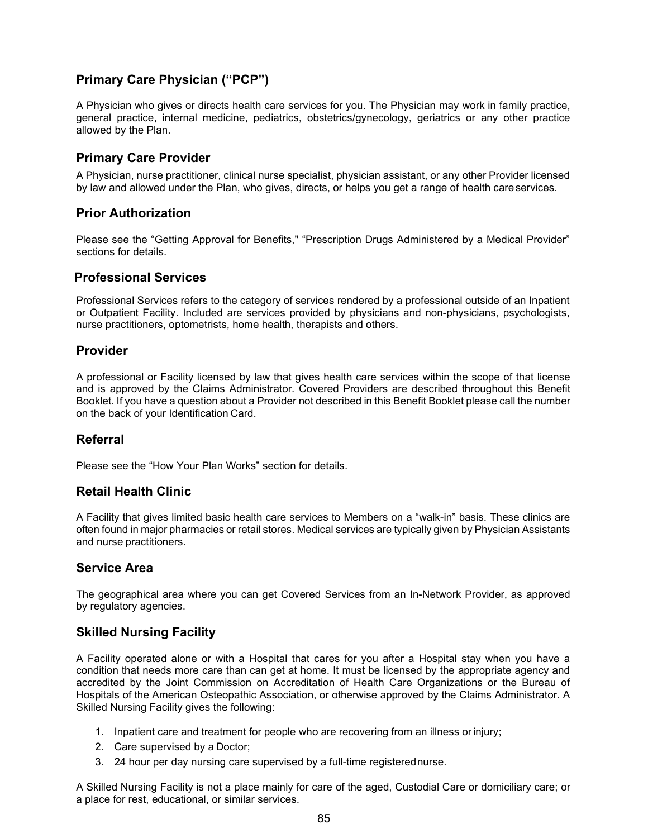## **Primary Care Physician ("PCP")**

A Physician who gives or directs health care services for you. The Physician may work in family practice, general practice, internal medicine, pediatrics, obstetrics/gynecology, geriatrics or any other practice allowed by the Plan.

#### **Primary Care Provider**

A Physician, nurse practitioner, clinical nurse specialist, physician assistant, or any other Provider licensed by law and allowed under the Plan, who gives, directs, or helps you get a range of health careservices.

### **Prior Authorization**

Please see the "Getting Approval for Benefits," "Prescription Drugs Administered by a Medical Provider" sections for details.

#### **Professional Services**

Professional Services refers to the category of services rendered by a professional outside of an Inpatient or Outpatient Facility. Included are services provided by physicians and non-physicians, psychologists, nurse practitioners, optometrists, home health, therapists and others.

#### **Provider**

A professional or Facility licensed by law that gives health care services within the scope of that license and is approved by the Claims Administrator. Covered Providers are described throughout this Benefit Booklet. If you have a question about a Provider not described in this Benefit Booklet please call the number on the back of your Identification Card.

### **Referral**

Please see the "How Your Plan Works" section for details.

### **Retail Health Clinic**

A Facility that gives limited basic health care services to Members on a "walk-in" basis. These clinics are often found in major pharmacies or retail stores. Medical services are typically given by Physician Assistants and nurse practitioners.

### **Service Area**

The geographical area where you can get Covered Services from an In-Network Provider, as approved by regulatory agencies.

### **Skilled Nursing Facility**

A Facility operated alone or with a Hospital that cares for you after a Hospital stay when you have a condition that needs more care than can get at home. It must be licensed by the appropriate agency and accredited by the Joint Commission on Accreditation of Health Care Organizations or the Bureau of Hospitals of the American Osteopathic Association, or otherwise approved by the Claims Administrator. A Skilled Nursing Facility gives the following:

- 1. Inpatient care and treatment for people who are recovering from an illness orinjury;
- 2. Care supervised by a Doctor;
- 3. 24 hour per day nursing care supervised by a full-time registerednurse.

A Skilled Nursing Facility is not a place mainly for care of the aged, Custodial Care or domiciliary care; or a place for rest, educational, or similar services.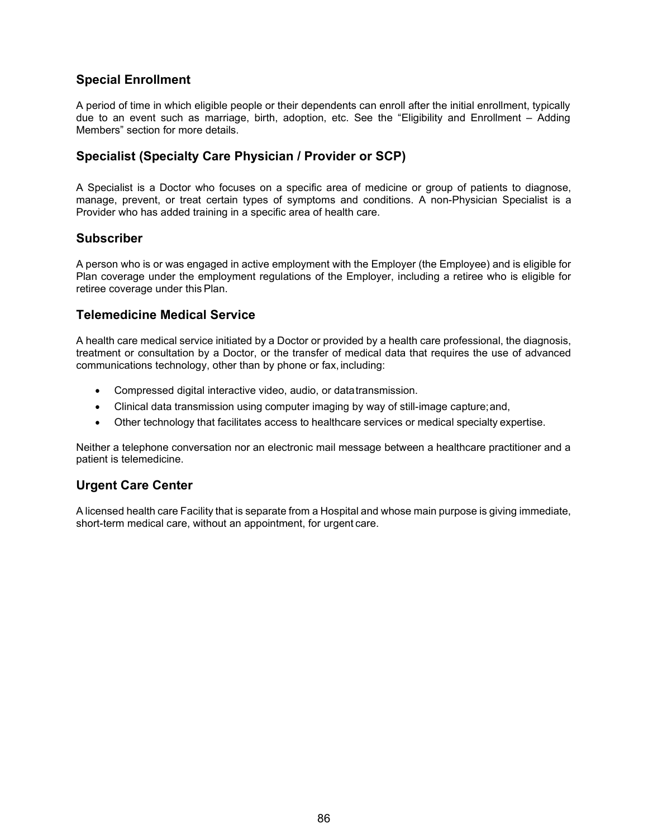## **Special Enrollment**

A period of time in which eligible people or their dependents can enroll after the initial enrollment, typically due to an event such as marriage, birth, adoption, etc. See the "Eligibility and Enrollment – Adding Members" section for more details.

## **Specialist (Specialty Care Physician / Provider or SCP)**

A Specialist is a Doctor who focuses on a specific area of medicine or group of patients to diagnose, manage, prevent, or treat certain types of symptoms and conditions. A non-Physician Specialist is a Provider who has added training in a specific area of health care.

### **Subscriber**

A person who is or was engaged in active employment with the Employer (the Employee) and is eligible for Plan coverage under the employment regulations of the Employer, including a retiree who is eligible for retiree coverage under this Plan.

### **Telemedicine Medical Service**

A health care medical service initiated by a Doctor or provided by a health care professional, the diagnosis, treatment or consultation by a Doctor, or the transfer of medical data that requires the use of advanced communications technology, other than by phone or fax, including:

- Compressed digital interactive video, audio, or datatransmission.
- Clinical data transmission using computer imaging by way of still-image capture;and,
- Other technology that facilitates access to healthcare services or medical specialty expertise.

Neither a telephone conversation nor an electronic mail message between a healthcare practitioner and a patient is telemedicine.

### **Urgent Care Center**

A licensed health care Facility that is separate from a Hospital and whose main purpose is giving immediate, short-term medical care, without an appointment, for urgent care.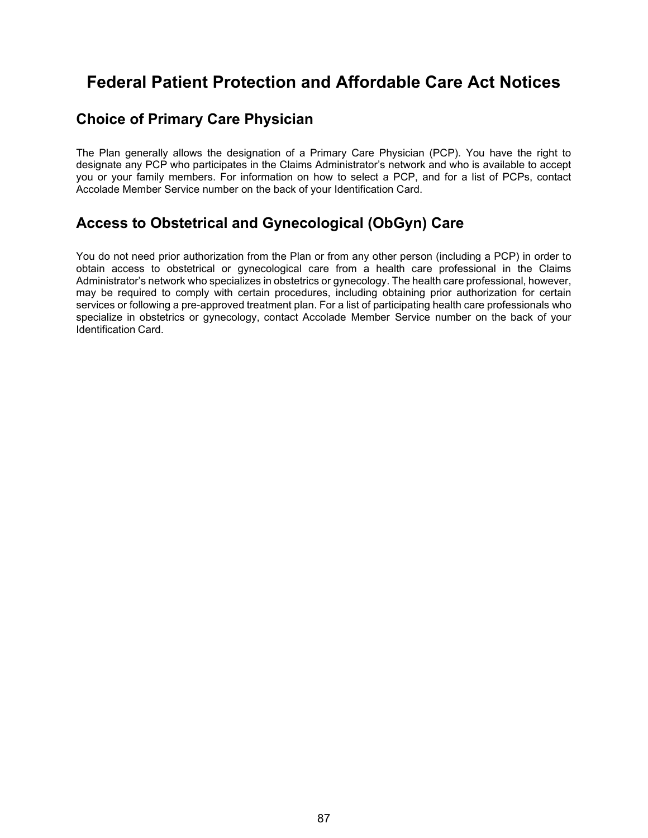# **Federal Patient Protection and Affordable Care Act Notices**

## **Choice of Primary Care Physician**

The Plan generally allows the designation of a Primary Care Physician (PCP). You have the right to designate any PCP who participates in the Claims Administrator's network and who is available to accept you or your family members. For information on how to select a PCP, and for a list of PCPs, contact Accolade Member Service number on the back of your Identification Card.

## **Access to Obstetrical and Gynecological (ObGyn) Care**

You do not need prior authorization from the Plan or from any other person (including a PCP) in order to obtain access to obstetrical or gynecological care from a health care professional in the Claims Administrator's network who specializes in obstetrics or gynecology. The health care professional, however, may be required to comply with certain procedures, including obtaining prior authorization for certain services or following a pre-approved treatment plan. For a list of participating health care professionals who specialize in obstetrics or gynecology, contact Accolade Member Service number on the back of your Identification Card.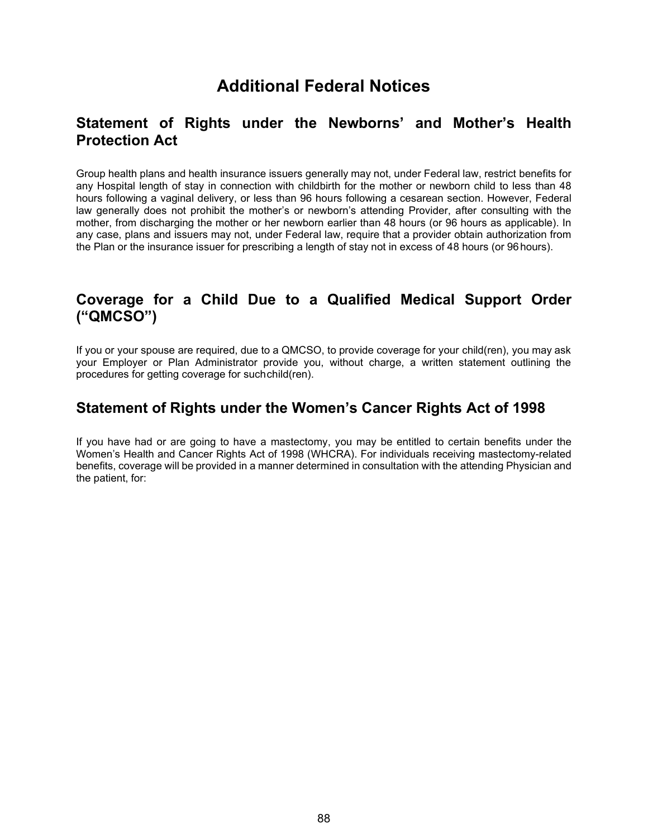# **Additional Federal Notices**

## **Statement of Rights under the Newborns' and Mother's Health Protection Act**

Group health plans and health insurance issuers generally may not, under Federal law, restrict benefits for any Hospital length of stay in connection with childbirth for the mother or newborn child to less than 48 hours following a vaginal delivery, or less than 96 hours following a cesarean section. However, Federal law generally does not prohibit the mother's or newborn's attending Provider, after consulting with the mother, from discharging the mother or her newborn earlier than 48 hours (or 96 hours as applicable). In any case, plans and issuers may not, under Federal law, require that a provider obtain authorization from the Plan or the insurance issuer for prescribing a length of stay not in excess of 48 hours (or 96hours).

## **Coverage for a Child Due to a Qualified Medical Support Order ("QMCSO")**

If you or your spouse are required, due to a QMCSO, to provide coverage for your child(ren), you may ask your Employer or Plan Administrator provide you, without charge, a written statement outlining the procedures for getting coverage for suchchild(ren).

## **Statement of Rights under the Women's Cancer Rights Act of 1998**

If you have had or are going to have a mastectomy, you may be entitled to certain benefits under the Women's Health and Cancer Rights Act of 1998 (WHCRA). For individuals receiving mastectomy-related benefits, coverage will be provided in a manner determined in consultation with the attending Physician and the patient, for: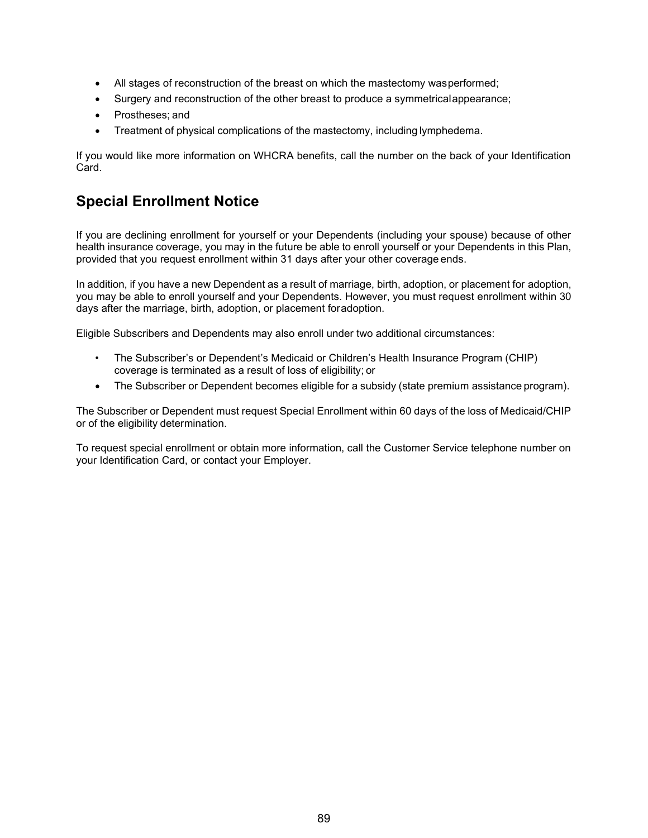- All stages of reconstruction of the breast on which the mastectomy wasperformed;
- Surgery and reconstruction of the other breast to produce a symmetricalappearance;
- Prostheses; and
- Treatment of physical complications of the mastectomy, including lymphedema.

If you would like more information on WHCRA benefits, call the number on the back of your Identification Card.

## **Special Enrollment Notice**

If you are declining enrollment for yourself or your Dependents (including your spouse) because of other health insurance coverage, you may in the future be able to enroll yourself or your Dependents in this Plan, provided that you request enrollment within 31 days after your other coverage ends.

In addition, if you have a new Dependent as a result of marriage, birth, adoption, or placement for adoption, you may be able to enroll yourself and your Dependents. However, you must request enrollment within 30 days after the marriage, birth, adoption, or placement foradoption.

Eligible Subscribers and Dependents may also enroll under two additional circumstances:

- The Subscriber's or Dependent's Medicaid or Children's Health Insurance Program (CHIP) coverage is terminated as a result of loss of eligibility; or
- The Subscriber or Dependent becomes eligible for a subsidy (state premium assistance program).

The Subscriber or Dependent must request Special Enrollment within 60 days of the loss of Medicaid/CHIP or of the eligibility determination.

To request special enrollment or obtain more information, call the Customer Service telephone number on your Identification Card, or contact your Employer.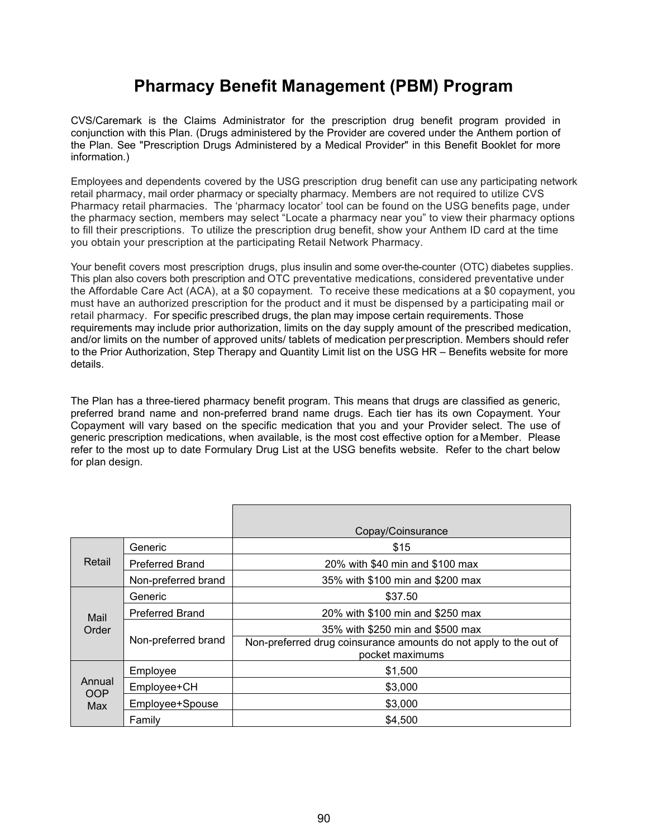# **Pharmacy Benefit Management (PBM) Program**

CVS/Caremark is the Claims Administrator for the prescription drug benefit program provided in conjunction with this Plan. (Drugs administered by the Provider are covered under the Anthem portion of the Plan. See "Prescription Drugs Administered by a Medical Provider" in this Benefit Booklet for more information.)

Employees and dependents covered by the USG prescription drug benefit can use any participating network retail pharmacy, mail order pharmacy or specialty pharmacy. Members are not required to utilize CVS Pharmacy retail pharmacies. The 'pharmacy locator' tool can be found on the USG benefits page, under the pharmacy section, members may select "Locate a pharmacy near you" to view their pharmacy options to fill their prescriptions. To utilize the prescription drug benefit, show your Anthem ID card at the time you obtain your prescription at the participating Retail Network Pharmacy.

Your benefit covers most prescription drugs, plus insulin and some over-the-counter (OTC) diabetes supplies. This plan also covers both prescription and OTC preventative medications, considered preventative under the Affordable Care Act (ACA), at a \$0 copayment. To receive these medications at a \$0 copayment, you must have an authorized prescription for the product and it must be dispensed by a participating mail or retail pharmacy. For specific prescribed drugs, the plan may impose certain requirements. Those requirements may include prior authorization, limits on the day supply amount of the prescribed medication, and/or limits on the number of approved units/ tablets of medication perprescription. Members should refer to the Prior Authorization, Step Therapy and Quantity Limit list on the USG HR – Benefits website for more details.

The Plan has a three-tiered pharmacy benefit program. This means that drugs are classified as generic, preferred brand name and non-preferred brand name drugs. Each tier has its own Copayment. Your Copayment will vary based on the specific medication that you and your Provider select. The use of generic prescription medications, when available, is the most cost effective option for aMember. Please refer to the most up to date Formulary Drug List at the USG benefits website. Refer to the chart below for plan design.

|                             |                        | Copay/Coinsurance                                                                    |
|-----------------------------|------------------------|--------------------------------------------------------------------------------------|
| Retail                      | Generic                | \$15                                                                                 |
|                             | <b>Preferred Brand</b> | 20% with \$40 min and \$100 max                                                      |
|                             | Non-preferred brand    | 35% with \$100 min and \$200 max                                                     |
| Mail<br>Order               | Generic                | \$37.50                                                                              |
|                             | <b>Preferred Brand</b> | 20% with \$100 min and \$250 max                                                     |
|                             | Non-preferred brand    | 35% with \$250 min and \$500 max                                                     |
|                             |                        | Non-preferred drug coinsurance amounts do not apply to the out of<br>pocket maximums |
| Annual<br><b>OOP</b><br>Max | Employee               | \$1,500                                                                              |
|                             | Employee+CH            | \$3,000                                                                              |
|                             | Employee+Spouse        | \$3,000                                                                              |
|                             | Family                 | \$4,500                                                                              |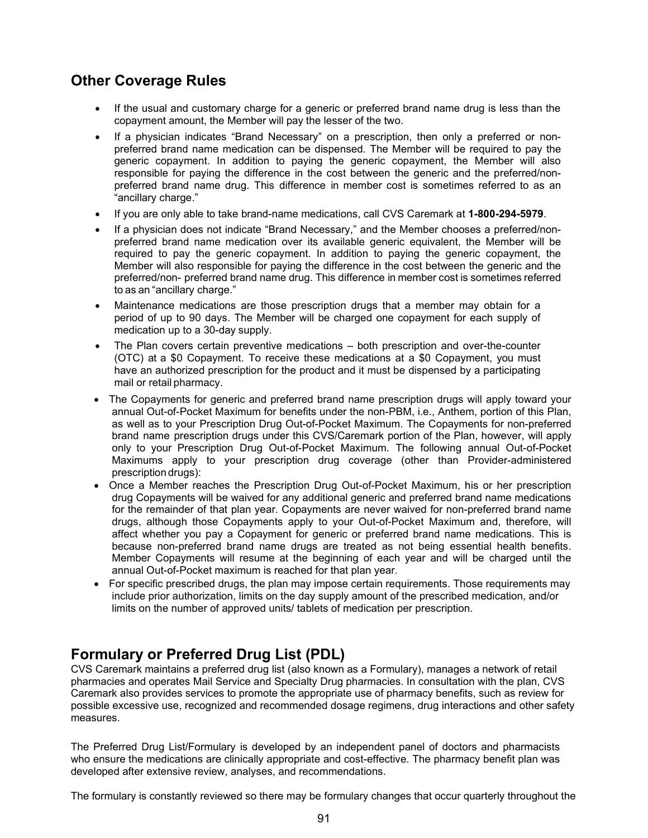## **Other Coverage Rules**

- If the usual and customary charge for a generic or preferred brand name drug is less than the copayment amount, the Member will pay the lesser of the two.
- If a physician indicates "Brand Necessary" on a prescription, then only a preferred or nonpreferred brand name medication can be dispensed. The Member will be required to pay the generic copayment. In addition to paying the generic copayment, the Member will also responsible for paying the difference in the cost between the generic and the preferred/nonpreferred brand name drug. This difference in member cost is sometimes referred to as an "ancillary charge."
- If you are only able to take brand-name medications, call CVS Caremark at **1-800-294-5979**.
- If a physician does not indicate "Brand Necessary," and the Member chooses a preferred/nonpreferred brand name medication over its available generic equivalent, the Member will be required to pay the generic copayment. In addition to paying the generic copayment, the Member will also responsible for paying the difference in the cost between the generic and the preferred/non- preferred brand name drug. This difference in member cost is sometimes referred to as an "ancillary charge."
- Maintenance medications are those prescription drugs that a member may obtain for a period of up to 90 days. The Member will be charged one copayment for each supply of medication up to a 30-day supply.
- The Plan covers certain preventive medications both prescription and over-the-counter (OTC) at a \$0 Copayment. To receive these medications at a \$0 Copayment, you must have an authorized prescription for the product and it must be dispensed by a participating mail or retail pharmacy.
- The Copayments for generic and preferred brand name prescription drugs will apply toward your annual Out-of-Pocket Maximum for benefits under the non-PBM, i.e., Anthem, portion of this Plan, as well as to your Prescription Drug Out-of-Pocket Maximum. The Copayments for non-preferred brand name prescription drugs under this CVS/Caremark portion of the Plan, however, will apply only to your Prescription Drug Out-of-Pocket Maximum. The following annual Out-of-Pocket Maximums apply to your prescription drug coverage (other than Provider-administered prescription drugs):
- Once a Member reaches the Prescription Drug Out-of-Pocket Maximum, his or her prescription drug Copayments will be waived for any additional generic and preferred brand name medications for the remainder of that plan year. Copayments are never waived for non-preferred brand name drugs, although those Copayments apply to your Out-of-Pocket Maximum and, therefore, will affect whether you pay a Copayment for generic or preferred brand name medications. This is because non-preferred brand name drugs are treated as not being essential health benefits. Member Copayments will resume at the beginning of each year and will be charged until the annual Out-of-Pocket maximum is reached for that plan year.
- For specific prescribed drugs, the plan may impose certain requirements. Those requirements may include prior authorization, limits on the day supply amount of the prescribed medication, and/or limits on the number of approved units/ tablets of medication per prescription.

## **Formulary or Preferred Drug List (PDL)**

CVS Caremark maintains a preferred drug list (also known as a Formulary), manages a network of retail pharmacies and operates Mail Service and Specialty Drug pharmacies. In consultation with the plan, CVS Caremark also provides services to promote the appropriate use of pharmacy benefits, such as review for possible excessive use, recognized and recommended dosage regimens, drug interactions and other safety measures.

The Preferred Drug List/Formulary is developed by an independent panel of doctors and pharmacists who ensure the medications are clinically appropriate and cost-effective. The pharmacy benefit plan was developed after extensive review, analyses, and recommendations.

The formulary is constantly reviewed so there may be formulary changes that occur quarterly throughout the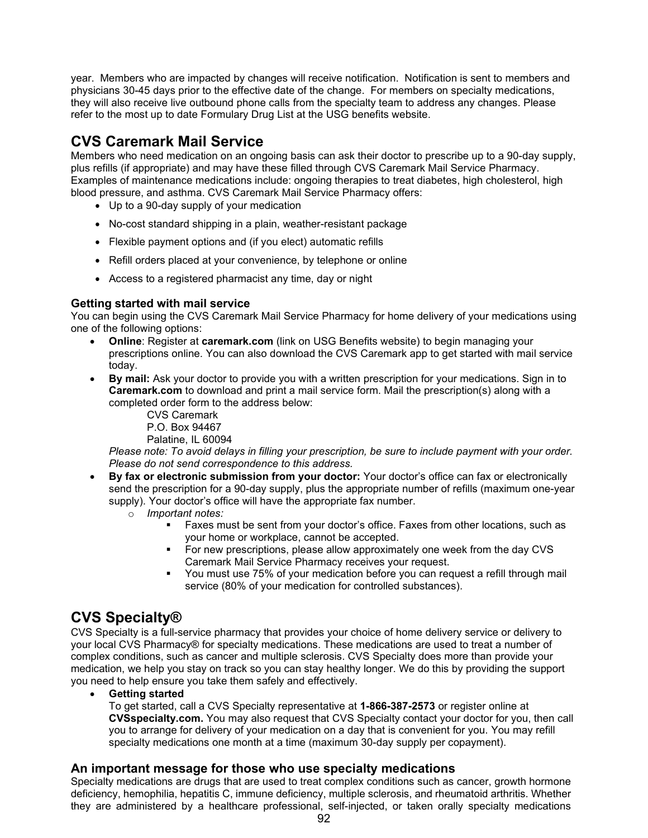year. Members who are impacted by changes will receive notification. Notification is sent to members and physicians 30-45 days prior to the effective date of the change. For members on specialty medications, they will also receive live outbound phone calls from the specialty team to address any changes. Please refer to the most up to date Formulary Drug List at the USG benefits website.

## **CVS Caremark Mail Service**

Members who need medication on an ongoing basis can ask their doctor to prescribe up to a 90-day supply, plus refills (if appropriate) and may have these filled through CVS Caremark Mail Service Pharmacy. Examples of maintenance medications include: ongoing therapies to treat diabetes, high cholesterol, high blood pressure, and asthma. CVS Caremark Mail Service Pharmacy offers:

- Up to a 90-day supply of your medication
- No-cost standard shipping in a plain, weather-resistant package
- Flexible payment options and (if you elect) automatic refills
- Refill orders placed at your convenience, by telephone or online
- Access to a registered pharmacist any time, day or night

#### **Getting started with mail service**

You can begin using the CVS Caremark Mail Service Pharmacy for home delivery of your medications using one of the following options:

- **Online**: Register at **caremark.com** (link on USG Benefits website) to begin managing your prescriptions online. You can also download the CVS Caremark app to get started with mail service today.
- **By mail:** Ask your doctor to provide you with a written prescription for your medications. Sign in to **Caremark.com** to download and print a mail service form. Mail the prescription(s) along with a completed order form to the address below:
	- CVS Caremark P.O. Box 94467
	- Palatine, IL 60094

*Please note: To avoid delays in filling your prescription, be sure to include payment with your order. Please do not send correspondence to this address.* 

- **By fax or electronic submission from your doctor:** Your doctor's office can fax or electronically send the prescription for a 90-day supply, plus the appropriate number of refills (maximum one-year supply). Your doctor's office will have the appropriate fax number.
	- o *Important notes:* 
		- Faxes must be sent from your doctor's office. Faxes from other locations, such as your home or workplace, cannot be accepted.
		- For new prescriptions, please allow approximately one week from the day CVS Caremark Mail Service Pharmacy receives your request.
		- You must use 75% of your medication before you can request a refill through mail service (80% of your medication for controlled substances).

## **CVS Specialty®**

CVS Specialty is a full-service pharmacy that provides your choice of home delivery service or delivery to your local CVS Pharmacy® for specialty medications. These medications are used to treat a number of complex conditions, such as cancer and multiple sclerosis. CVS Specialty does more than provide your medication, we help you stay on track so you can stay healthy longer. We do this by providing the support you need to help ensure you take them safely and effectively.

• **Getting started** 

To get started, call a CVS Specialty representative at **1-866-387-2573** or register online at **CVSspecialty.com.** You may also request that CVS Specialty contact your doctor for you, then call you to arrange for delivery of your medication on a day that is convenient for you. You may refill specialty medications one month at a time (maximum 30-day supply per copayment).

### **An important message for those who use specialty medications**

Specialty medications are drugs that are used to treat complex conditions such as cancer, growth hormone deficiency, hemophilia, hepatitis C, immune deficiency, multiple sclerosis, and rheumatoid arthritis. Whether they are administered by a healthcare professional, self-injected, or taken orally specialty medications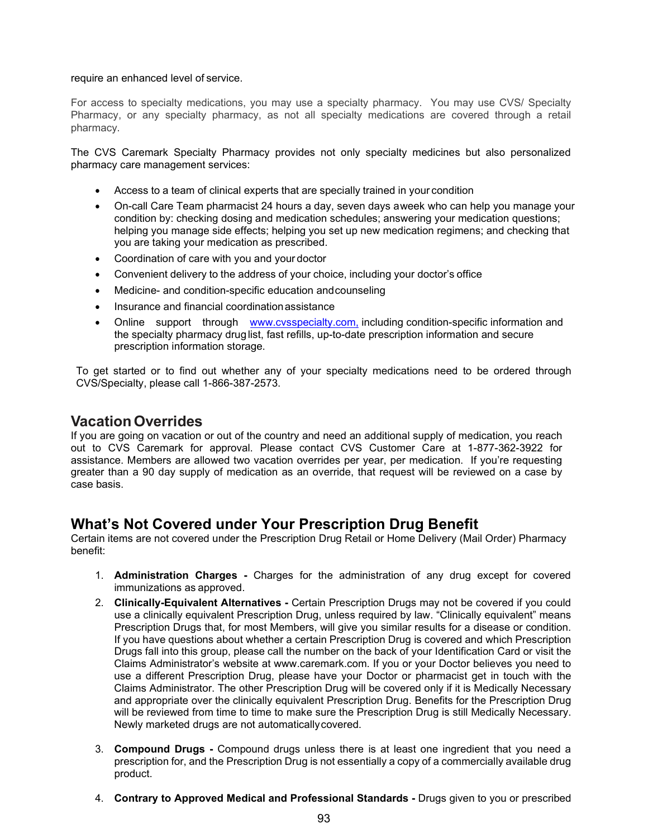#### require an enhanced level of service.

For access to specialty medications, you may use a specialty pharmacy. You may use CVS/ Specialty Pharmacy, or any specialty pharmacy, as not all specialty medications are covered through a retail pharmacy.

The CVS Caremark Specialty Pharmacy provides not only specialty medicines but also personalized pharmacy care management services:

- Access to a team of clinical experts that are specially trained in your condition
- On-call Care Team pharmacist 24 hours a day, seven days aweek who can help you manage your condition by: checking dosing and medication schedules; answering your medication questions; helping you manage side effects; helping you set up new medication regimens; and checking that you are taking your medication as prescribed.
- Coordination of care with you and your doctor
- Convenient delivery to the address of your choice, including your doctor's office
- Medicine- and condition-specific education andcounseling
- Insurance and financial coordinationassistance
- Online support through [www.cvsspecialty.com,](http://www.cvsspecialty.com,/) including condition-specific information and the specialty pharmacy druglist, fast refills, up-to-date prescription information and secure prescription information storage.

To get started or to find out whether any of your specialty medications need to be ordered through CVS/Specialty, please call 1-866-387-2573.

## **VacationOverrides**

If you are going on vacation or out of the country and need an additional supply of medication, you reach out to CVS Caremark for approval. Please contact CVS Customer Care at 1-877-362-3922 for assistance. Members are allowed two vacation overrides per year, per medication. If you're requesting greater than a 90 day supply of medication as an override, that request will be reviewed on a case by case basis.

## **What's Not Covered under Your Prescription Drug Benefit**

Certain items are not covered under the Prescription Drug Retail or Home Delivery (Mail Order) Pharmacy benefit:

- 1. **Administration Charges -** Charges for the administration of any drug except for covered immunizations as approved.
- 2. **Clinically-Equivalent Alternatives -** Certain Prescription Drugs may not be covered if you could use a clinically equivalent Prescription Drug, unless required by law. "Clinically equivalent" means Prescription Drugs that, for most Members, will give you similar results for a disease or condition. If you have questions about whether a certain Prescription Drug is covered and which Prescription Drugs fall into this group, please call the number on the back of your Identification Card or visit the Claims Administrator's website at [www.caremark.com. I](http://www.caremark.com/)f you or your Doctor believes you need to use a different Prescription Drug, please have your Doctor or pharmacist get in touch with the Claims Administrator. The other Prescription Drug will be covered only if it is Medically Necessary and appropriate over the clinically equivalent Prescription Drug. Benefits for the Prescription Drug will be reviewed from time to time to make sure the Prescription Drug is still Medically Necessary. Newly marketed drugs are not automaticallycovered.
- 3. **Compound Drugs -** Compound drugs unless there is at least one ingredient that you need a prescription for, and the Prescription Drug is not essentially a copy of a commercially available drug product.
- 4. **Contrary to Approved Medical and Professional Standards -** Drugs given to you or prescribed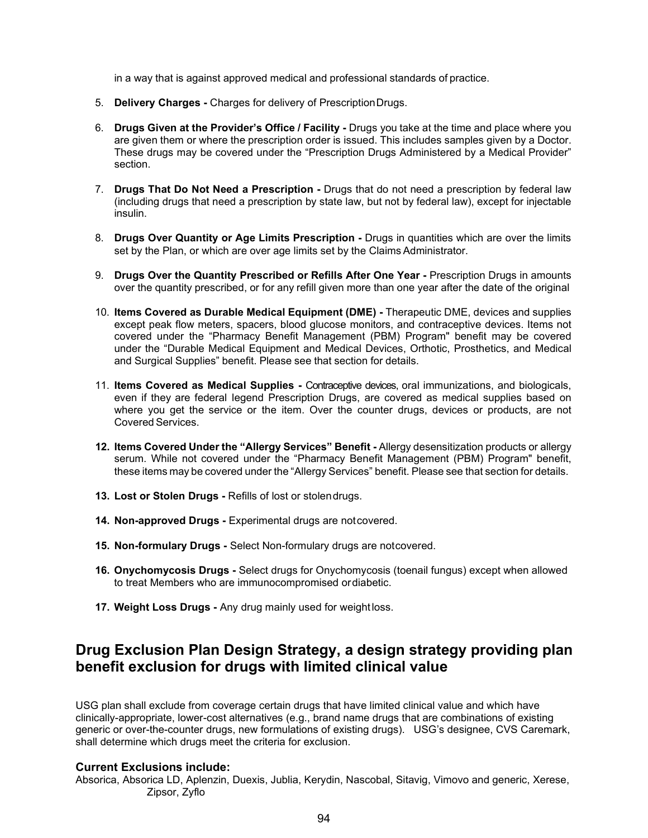in a way that is against approved medical and professional standards of practice.

- 5. **Delivery Charges -** Charges for delivery of PrescriptionDrugs.
- 6. **Drugs Given at the Provider's Office / Facility -** Drugs you take at the time and place where you are given them or where the prescription order is issued. This includes samples given by a Doctor. These drugs may be covered under the "Prescription Drugs Administered by a Medical Provider" section.
- 7. **Drugs That Do Not Need a Prescription -** Drugs that do not need a prescription by federal law (including drugs that need a prescription by state law, but not by federal law), except for injectable insulin.
- 8. **Drugs Over Quantity or Age Limits Prescription -** Drugs in quantities which are over the limits set by the Plan, or which are over age limits set by the Claims Administrator.
- 9. **Drugs Over the Quantity Prescribed or Refills After One Year -** Prescription Drugs in amounts over the quantity prescribed, or for any refill given more than one year after the date of the original
- 10. **Items Covered as Durable Medical Equipment (DME) -** Therapeutic DME, devices and supplies except peak flow meters, spacers, blood glucose monitors, and contraceptive devices. Items not covered under the "Pharmacy Benefit Management (PBM) Program" benefit may be covered under the "Durable Medical Equipment and Medical Devices, Orthotic, Prosthetics, and Medical and Surgical Supplies" benefit. Please see that section for details.
- 11. **Items Covered as Medical Supplies -** Contraceptive devices, oral immunizations, and biologicals, even if they are federal legend Prescription Drugs, are covered as medical supplies based on where you get the service or the item. Over the counter drugs, devices or products, are not Covered Services.
- **12. Items Covered Under the "Allergy Services" Benefit -** Allergy desensitization products or allergy serum. While not covered under the "Pharmacy Benefit Management (PBM) Program" benefit, these items may be covered under the "Allergy Services" benefit. Please see that section for details.
- **13. Lost or Stolen Drugs -** Refills of lost or stolendrugs.
- **14. Non-approved Drugs -** Experimental drugs are notcovered.
- **15. Non-formulary Drugs -** Select Non-formulary drugs are notcovered.
- **16. Onychomycosis Drugs -** Select drugs for Onychomycosis (toenail fungus) except when allowed to treat Members who are immunocompromised ordiabetic.
- **17. Weight Loss Drugs -** Any drug mainly used for weightloss.

## **Drug Exclusion Plan Design Strategy, a design strategy providing plan benefit exclusion for drugs with limited clinical value**

USG plan shall exclude from coverage certain drugs that have limited clinical value and which have clinically-appropriate, lower-cost alternatives (e.g., brand name drugs that are combinations of existing generic or over-the-counter drugs, new formulations of existing drugs). USG's designee, CVS Caremark, shall determine which drugs meet the criteria for exclusion.

#### **Current Exclusions include:**

Absorica, Absorica LD, Aplenzin, Duexis, Jublia, Kerydin, Nascobal, Sitavig, Vimovo and generic, Xerese, Zipsor, Zyflo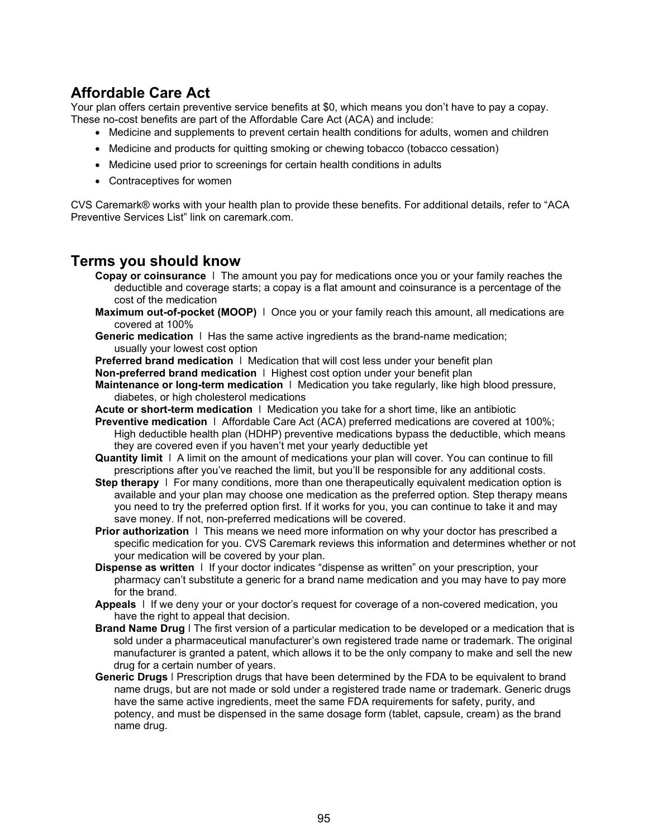## **Affordable Care Act**

Your plan offers certain preventive service benefits at \$0, which means you don't have to pay a copay. These no-cost benefits are part of the Affordable Care Act (ACA) and include:

- Medicine and supplements to prevent certain health conditions for adults, women and children
- Medicine and products for quitting smoking or chewing tobacco (tobacco cessation)
- Medicine used prior to screenings for certain health conditions in adults
- Contraceptives for women

CVS Caremark® works with your health plan to provide these benefits. For additional details, refer to "ACA Preventive Services List" link on caremark.com.

## **Terms you should know**

- **Copay or coinsurance** ǀ The amount you pay for medications once you or your family reaches the deductible and coverage starts; a copay is a flat amount and coinsurance is a percentage of the cost of the medication
- **Maximum out-of-pocket (MOOP)**  $\vdash$  Once you or your family reach this amount, all medications are covered at 100%
- **Generic medication** ǀ Has the same active ingredients as the brand-name medication; usually your lowest cost option
- **Preferred brand medication** ǀ Medication that will cost less under your benefit plan
- **Non-preferred brand medication** ǀ Highest cost option under your benefit plan
- **Maintenance or long-term medication** | Medication you take regularly, like high blood pressure, diabetes, or high cholesterol medications
- **Acute or short-term medication** ǀ Medication you take for a short time, like an antibiotic
- **Preventive medication** ǀ Affordable Care Act (ACA) preferred medications are covered at 100%; High deductible health plan (HDHP) preventive medications bypass the deductible, which means they are covered even if you haven't met your yearly deductible yet
- **Quantity limit** ǀ A limit on the amount of medications your plan will cover. You can continue to fill prescriptions after you've reached the limit, but you'll be responsible for any additional costs.
- **Step therapy**  $\vert$  For many conditions, more than one therapeutically equivalent medication option is available and your plan may choose one medication as the preferred option. Step therapy means you need to try the preferred option first. If it works for you, you can continue to take it and may save money. If not, non-preferred medications will be covered.
- **Prior authorization**  $\vert$  This means we need more information on why your doctor has prescribed a specific medication for you. CVS Caremark reviews this information and determines whether or not your medication will be covered by your plan.
- **Dispense as written** ǀ If your doctor indicates "dispense as written" on your prescription, your pharmacy can't substitute a generic for a brand name medication and you may have to pay more for the brand.
- **Appeals** ǀ If we deny your or your doctor's request for coverage of a non-covered medication, you have the right to appeal that decision.
- **Brand Name Drug** ǀ The first version of a particular medication to be developed or a medication that is sold under a pharmaceutical manufacturer's own registered trade name or trademark. The original manufacturer is granted a patent, which allows it to be the only company to make and sell the new drug for a certain number of years.
- **Generic Drugs** ǀ Prescription drugs that have been determined by the FDA to be equivalent to brand name drugs, but are not made or sold under a registered trade name or trademark. Generic drugs have the same active ingredients, meet the same FDA requirements for safety, purity, and potency, and must be dispensed in the same dosage form (tablet, capsule, cream) as the brand name drug.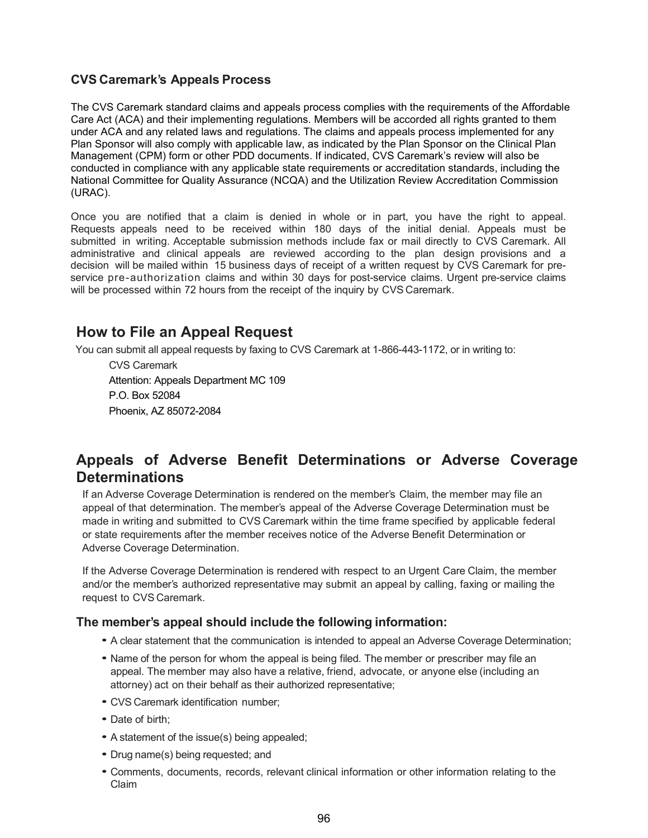### **CVS Caremark's Appeals Process**

The CVS Caremark standard claims and appeals process complies with the requirements of the Affordable Care Act (ACA) and their implementing regulations. Members will be accorded all rights granted to them under ACA and any related laws and regulations. The claims and appeals process implemented for any Plan Sponsor will also comply with applicable law, as indicated by the Plan Sponsor on the Clinical Plan Management (CPM) form or other PDD documents. If indicated, CVS Caremark's review will also be conducted in compliance with any applicable state requirements or accreditation standards, including the National Committee for Quality Assurance (NCQA) and the Utilization Review Accreditation Commission (URAC).

Once you are notified that a claim is denied in whole or in part, you have the right to appeal. Requests appeals need to be received within 180 days of the initial denial. Appeals must be submitted in writing. Acceptable submission methods include fax or mail directly to CVS Caremark. All administrative and clinical appeals are reviewed according to the plan design provisions and a decision will be mailed within 15 business days of receipt of a written request by CVS Caremark for preservice pre-authorization claims and within 30 days for post-service claims. Urgent pre-service claims will be processed within 72 hours from the receipt of the inquiry by CVS Caremark.

## **How to File an Appeal Request**

You can submit all appeal requests by faxing to CVS Caremark at 1-866-443-1172, or in writing to:

CVS Caremark Attention: Appeals Department MC 109 P.O. Box 52084 Phoenix, AZ 85072-2084

## **Appeals of Adverse Benefit Determinations or Adverse Coverage Determinations**

If an Adverse Coverage Determination is rendered on the member's Claim, the member may file an appeal of that determination. The member's appeal of the Adverse Coverage Determination must be made in writing and submitted to CVS Caremark within the time frame specified by applicable federal or state requirements after the member receives notice of the Adverse Benefit Determination or Adverse Coverage Determination.

If the Adverse Coverage Determination is rendered with respect to an Urgent Care Claim, the member and/or the member's authorized representative may submit an appeal by calling, faxing or mailing the request to CVS Caremark.

### **The member's appeal should include the following information:**

- <sup>A</sup> clear statement that the communication is intended to appeal an Adverse Coverage Determination;
- Name of the person for whom the appeal is being filed. The member or prescriber may file an appeal. The member may also have a relative, friend, advocate, or anyone else (including an attorney) act on their behalf as their authorized representative;
- CVS Caremark identification number;
- Date of birth;
- <sup>A</sup> statement of the issue(s) being appealed;
- Drug name(s) being requested; and
- Comments, documents, records, relevant clinical information or other information relating to the Claim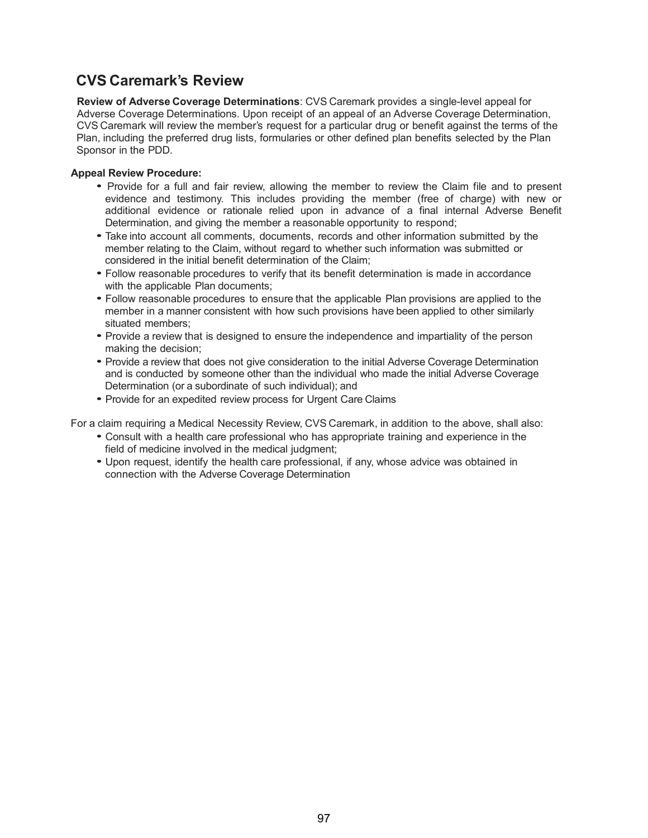## **CVS Caremark's Review**

**Review of Adverse Coverage Determinations**: CVS Caremark provides a single-level appeal for Adverse Coverage Determinations. Upon receipt of an appeal of an Adverse Coverage Determination, CVS Caremark will review the member's request for a particular drug or benefit against the terms of the Plan, including the preferred drug lists, formularies or other defined plan benefits selected by the Plan Sponsor in the PDD.

#### **Appeal Review Procedure:**

- Provide for <sup>a</sup> full and fair review, allowing the member to review the Claim file and to present evidence and testimony. This includes providing the member (free of charge) with new or additional evidence or rationale relied upon in advance of a final internal Adverse Benefit Determination, and giving the member a reasonable opportunity to respond;
- Take into account all comments, documents, records and other information submitted by the member relating to the Claim, without regard to whether such information was submitted or considered in the initial benefit determination of the Claim;
- Follow reasonable procedures to verify that its benefit determination is made in accordance with the applicable Plan documents;
- Follow reasonable procedures to ensure that the applicable Plan provisions are applied to the member in a manner consistent with how such provisions have been applied to other similarly situated members;
- Provide a review that is designed to ensure the independence and impartiality of the person making the decision;
- Provide <sup>a</sup> review that does not give consideration to the initial Adverse Coverage Determination and is conducted by someone other than the individual who made the initial Adverse Coverage Determination (or a subordinate of such individual); and
- Provide for an expedited review process for Urgent Care Claims

For a claim requiring a Medical Necessity Review, CVS Caremark, in addition to the above, shall also:

- Consult with <sup>a</sup> health care professional who has appropriate training and experience in the field of medicine involved in the medical judgment;
- Upon request, identify the health care professional, if any, whose advice was obtained in connection with the Adverse Coverage Determination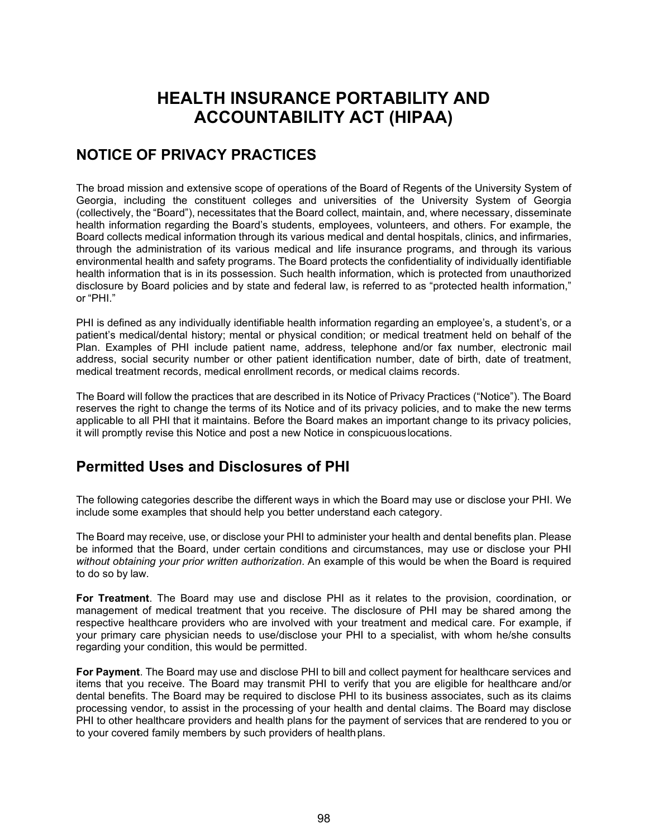# **HEALTH INSURANCE PORTABILITY AND ACCOUNTABILITY ACT (HIPAA)**

## **NOTICE OF PRIVACY PRACTICES**

The broad mission and extensive scope of operations of the Board of Regents of the University System of Georgia, including the constituent colleges and universities of the University System of Georgia (collectively, the "Board"), necessitates that the Board collect, maintain, and, where necessary, disseminate health information regarding the Board's students, employees, volunteers, and others. For example, the Board collects medical information through its various medical and dental hospitals, clinics, and infirmaries, through the administration of its various medical and life insurance programs, and through its various environmental health and safety programs. The Board protects the confidentiality of individually identifiable health information that is in its possession. Such health information, which is protected from unauthorized disclosure by Board policies and by state and federal law, is referred to as "protected health information," or "PHI."

PHI is defined as any individually identifiable health information regarding an employee's, a student's, or a patient's medical/dental history; mental or physical condition; or medical treatment held on behalf of the Plan. Examples of PHI include patient name, address, telephone and/or fax number, electronic mail address, social security number or other patient identification number, date of birth, date of treatment, medical treatment records, medical enrollment records, or medical claims records.

The Board will follow the practices that are described in its Notice of Privacy Practices ("Notice"). The Board reserves the right to change the terms of its Notice and of its privacy policies, and to make the new terms applicable to all PHI that it maintains. Before the Board makes an important change to its privacy policies, it will promptly revise this Notice and post a new Notice in conspicuouslocations.

## **Permitted Uses and Disclosures of PHI**

The following categories describe the different ways in which the Board may use or disclose your PHI. We include some examples that should help you better understand each category.

The Board may receive, use, or disclose your PHI to administer your health and dental benefits plan. Please be informed that the Board, under certain conditions and circumstances, may use or disclose your PHI *without obtaining your prior written authorization*. An example of this would be when the Board is required to do so by law.

**For Treatment**. The Board may use and disclose PHI as it relates to the provision, coordination, or management of medical treatment that you receive. The disclosure of PHI may be shared among the respective healthcare providers who are involved with your treatment and medical care. For example, if your primary care physician needs to use/disclose your PHI to a specialist, with whom he/she consults regarding your condition, this would be permitted.

**For Payment**. The Board may use and disclose PHI to bill and collect payment for healthcare services and items that you receive. The Board may transmit PHI to verify that you are eligible for healthcare and/or dental benefits. The Board may be required to disclose PHI to its business associates, such as its claims processing vendor, to assist in the processing of your health and dental claims. The Board may disclose PHI to other healthcare providers and health plans for the payment of services that are rendered to you or to your covered family members by such providers of health plans.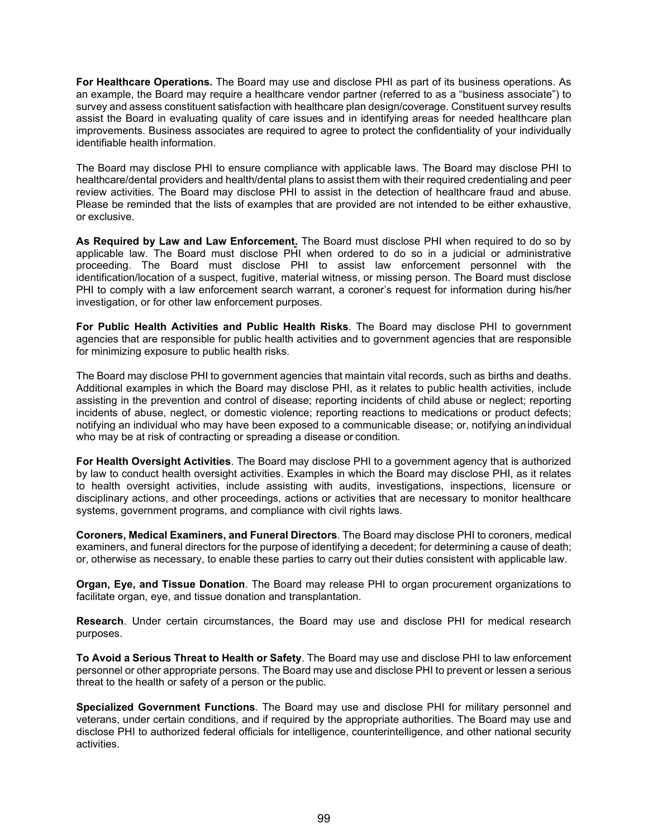**For Healthcare Operations.** The Board may use and disclose PHI as part of its business operations. As an example, the Board may require a healthcare vendor partner (referred to as a "business associate") to survey and assess constituent satisfaction with healthcare plan design/coverage. Constituent survey results assist the Board in evaluating quality of care issues and in identifying areas for needed healthcare plan improvements. Business associates are required to agree to protect the confidentiality of your individually identifiable health information.

The Board may disclose PHI to ensure compliance with applicable laws. The Board may disclose PHI to healthcare/dental providers and health/dental plans to assist them with their required credentialing and peer review activities. The Board may disclose PHI to assist in the detection of healthcare fraud and abuse. Please be reminded that the lists of examples that are provided are not intended to be either exhaustive, or exclusive.

**As Required by Law and Law Enforcement.** The Board must disclose PHI when required to do so by applicable law. The Board must disclose PHI when ordered to do so in a judicial or administrative proceeding. The Board must disclose PHI to assist law enforcement personnel with the identification/location of a suspect, fugitive, material witness, or missing person. The Board must disclose PHI to comply with a law enforcement search warrant, a coroner's request for information during his/her investigation, or for other law enforcement purposes.

**For Public Health Activities and Public Health Risks**. The Board may disclose PHI to government agencies that are responsible for public health activities and to government agencies that are responsible for minimizing exposure to public health risks.

The Board may disclose PHI to government agencies that maintain vital records, such as births and deaths. Additional examples in which the Board may disclose PHI, as it relates to public health activities, include assisting in the prevention and control of disease; reporting incidents of child abuse or neglect; reporting incidents of abuse, neglect, or domestic violence; reporting reactions to medications or product defects; notifying an individual who may have been exposed to a communicable disease; or, notifying anindividual who may be at risk of contracting or spreading a disease or condition.

**For Health Oversight Activities**. The Board may disclose PHI to a government agency that is authorized by law to conduct health oversight activities. Examples in which the Board may disclose PHI, as it relates to health oversight activities, include assisting with audits, investigations, inspections, licensure or disciplinary actions, and other proceedings, actions or activities that are necessary to monitor healthcare systems, government programs, and compliance with civil rights laws.

**Coroners, Medical Examiners, and Funeral Directors**. The Board may disclose PHI to coroners, medical examiners, and funeral directors for the purpose of identifying a decedent; for determining a cause of death; or, otherwise as necessary, to enable these parties to carry out their duties consistent with applicable law.

**Organ, Eye, and Tissue Donation**. The Board may release PHI to organ procurement organizations to facilitate organ, eye, and tissue donation and transplantation.

**Research**. Under certain circumstances, the Board may use and disclose PHI for medical research purposes.

**To Avoid a Serious Threat to Health or Safety**. The Board may use and disclose PHI to law enforcement personnel or other appropriate persons. The Board may use and disclose PHI to prevent or lessen a serious threat to the health or safety of a person or the public.

**Specialized Government Functions**. The Board may use and disclose PHI for military personnel and veterans, under certain conditions, and if required by the appropriate authorities. The Board may use and disclose PHI to authorized federal officials for intelligence, counterintelligence, and other national security activities.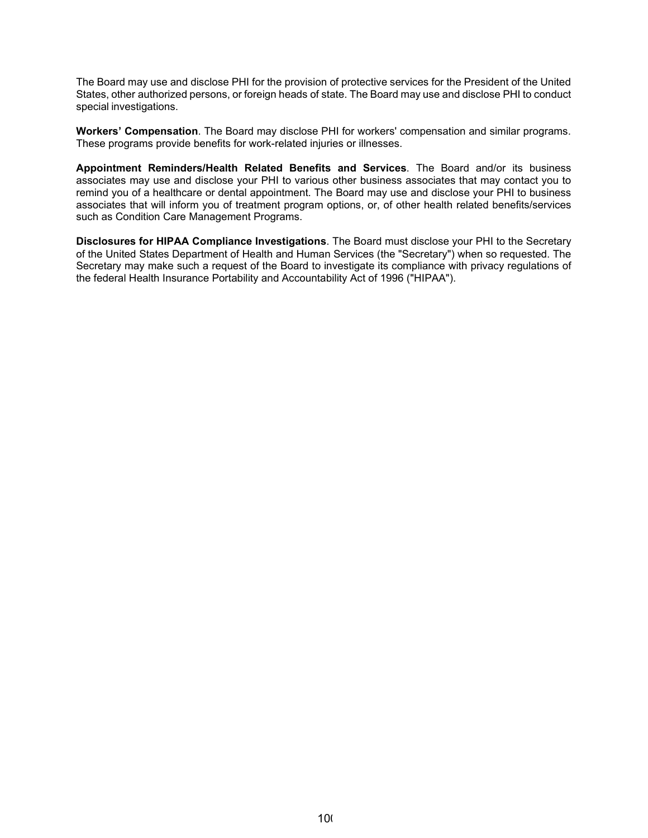The Board may use and disclose PHI for the provision of protective services for the President of the United States, other authorized persons, or foreign heads of state. The Board may use and disclose PHI to conduct special investigations.

**Workers' Compensation**. The Board may disclose PHI for workers' compensation and similar programs. These programs provide benefits for work-related injuries or illnesses.

**Appointment Reminders/Health Related Benefits and Services**. The Board and/or its business associates may use and disclose your PHI to various other business associates that may contact you to remind you of a healthcare or dental appointment. The Board may use and disclose your PHI to business associates that will inform you of treatment program options, or, of other health related benefits/services such as Condition Care Management Programs.

**Disclosures for HIPAA Compliance Investigations**. The Board must disclose your PHI to the Secretary of the United States Department of Health and Human Services (the "Secretary") when so requested. The Secretary may make such a request of the Board to investigate its compliance with privacy regulations of the federal Health Insurance Portability and Accountability Act of 1996 ("HIPAA").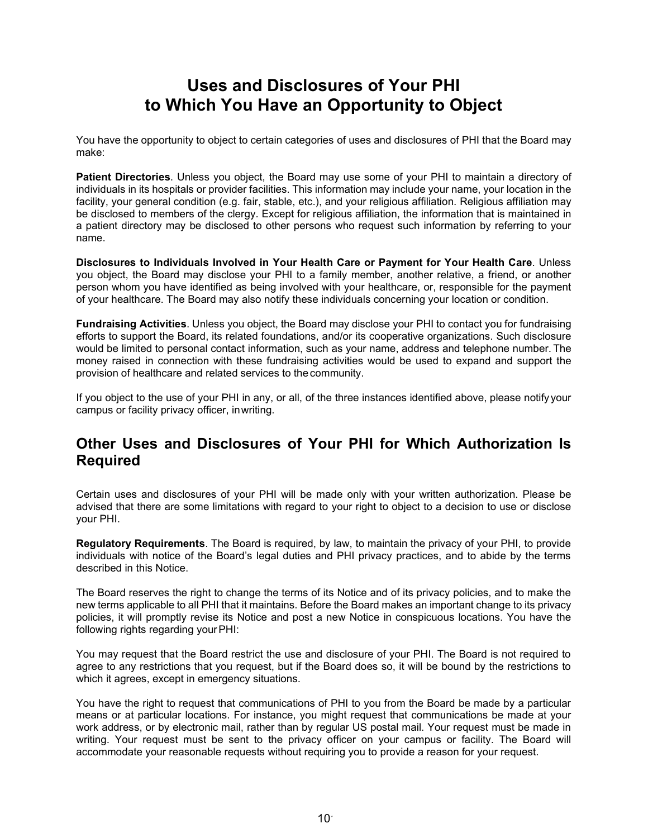# **Uses and Disclosures of Your PHI to Which You Have an Opportunity to Object**

You have the opportunity to object to certain categories of uses and disclosures of PHI that the Board may make:

**Patient Directories**. Unless you object, the Board may use some of your PHI to maintain a directory of individuals in its hospitals or provider facilities. This information may include your name, your location in the facility, your general condition (e.g. fair, stable, etc.), and your religious affiliation. Religious affiliation may be disclosed to members of the clergy. Except for religious affiliation, the information that is maintained in a patient directory may be disclosed to other persons who request such information by referring to your name.

**Disclosures to Individuals Involved in Your Health Care or Payment for Your Health Care**. Unless you object, the Board may disclose your PHI to a family member, another relative, a friend, or another person whom you have identified as being involved with your healthcare, or, responsible for the payment of your healthcare. The Board may also notify these individuals concerning your location or condition.

**Fundraising Activities**. Unless you object, the Board may disclose your PHI to contact you for fundraising efforts to support the Board, its related foundations, and/or its cooperative organizations. Such disclosure would be limited to personal contact information, such as your name, address and telephone number. The money raised in connection with these fundraising activities would be used to expand and support the provision of healthcare and related services to thecommunity.

If you object to the use of your PHI in any, or all, of the three instances identified above, please notifyyour campus or facility privacy officer, inwriting.

## **Other Uses and Disclosures of Your PHI for Which Authorization Is Required**

Certain uses and disclosures of your PHI will be made only with your written authorization. Please be advised that there are some limitations with regard to your right to object to a decision to use or disclose your PHI.

**Regulatory Requirements**. The Board is required, by law, to maintain the privacy of your PHI, to provide individuals with notice of the Board's legal duties and PHI privacy practices, and to abide by the terms described in this Notice.

The Board reserves the right to change the terms of its Notice and of its privacy policies, and to make the new terms applicable to all PHI that it maintains. Before the Board makes an important change to its privacy policies, it will promptly revise its Notice and post a new Notice in conspicuous locations. You have the following rights regarding your PHI:

You may request that the Board restrict the use and disclosure of your PHI. The Board is not required to agree to any restrictions that you request, but if the Board does so, it will be bound by the restrictions to which it agrees, except in emergency situations.

You have the right to request that communications of PHI to you from the Board be made by a particular means or at particular locations. For instance, you might request that communications be made at your work address, or by electronic mail, rather than by regular US postal mail. Your request must be made in writing. Your request must be sent to the privacy officer on your campus or facility. The Board will accommodate your reasonable requests without requiring you to provide a reason for your request.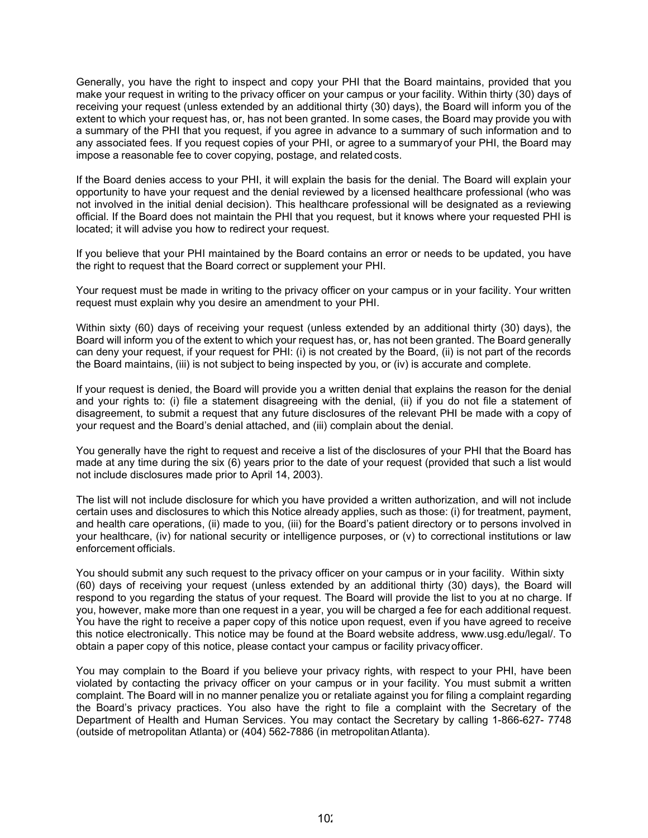Generally, you have the right to inspect and copy your PHI that the Board maintains, provided that you make your request in writing to the privacy officer on your campus or your facility. Within thirty (30) days of receiving your request (unless extended by an additional thirty (30) days), the Board will inform you of the extent to which your request has, or, has not been granted. In some cases, the Board may provide you with a summary of the PHI that you request, if you agree in advance to a summary of such information and to any associated fees. If you request copies of your PHI, or agree to a summaryof your PHI, the Board may impose a reasonable fee to cover copying, postage, and related costs.

If the Board denies access to your PHI, it will explain the basis for the denial. The Board will explain your opportunity to have your request and the denial reviewed by a licensed healthcare professional (who was not involved in the initial denial decision). This healthcare professional will be designated as a reviewing official. If the Board does not maintain the PHI that you request, but it knows where your requested PHI is located; it will advise you how to redirect your request.

If you believe that your PHI maintained by the Board contains an error or needs to be updated, you have the right to request that the Board correct or supplement your PHI.

Your request must be made in writing to the privacy officer on your campus or in your facility. Your written request must explain why you desire an amendment to your PHI.

Within sixty (60) days of receiving your request (unless extended by an additional thirty (30) days), the Board will inform you of the extent to which your request has, or, has not been granted. The Board generally can deny your request, if your request for PHI: (i) is not created by the Board, (ii) is not part of the records the Board maintains, (iii) is not subject to being inspected by you, or (iv) is accurate and complete.

If your request is denied, the Board will provide you a written denial that explains the reason for the denial and your rights to: (i) file a statement disagreeing with the denial, (ii) if you do not file a statement of disagreement, to submit a request that any future disclosures of the relevant PHI be made with a copy of your request and the Board's denial attached, and (iii) complain about the denial.

You generally have the right to request and receive a list of the disclosures of your PHI that the Board has made at any time during the six (6) years prior to the date of your request (provided that such a list would not include disclosures made prior to April 14, 2003).

The list will not include disclosure for which you have provided a written authorization, and will not include certain uses and disclosures to which this Notice already applies, such as those: (i) for treatment, payment, and health care operations, (ii) made to you, (iii) for the Board's patient directory or to persons involved in your healthcare, (iv) for national security or intelligence purposes, or (v) to correctional institutions or law enforcement officials.

You should submit any such request to the privacy officer on your campus or in your facility. Within sixty (60) days of receiving your request (unless extended by an additional thirty (30) days), the Board will respond to you regarding the status of your request. The Board will provide the list to you at no charge. If you, however, make more than one request in a year, you will be charged a fee for each additional request. You have the right to receive a paper copy of this notice upon request, even if you have agreed to receive this notice electronically. This notice may be found at the Board website address, [www.usg.edu/legal/. T](http://www.usg.edu/legal/)o obtain a paper copy of this notice, please contact your campus or facility privacyofficer.

You may complain to the Board if you believe your privacy rights, with respect to your PHI, have been violated by contacting the privacy officer on your campus or in your facility. You must submit a written complaint. The Board will in no manner penalize you or retaliate against you for filing a complaint regarding the Board's privacy practices. You also have the right to file a complaint with the Secretary of the Department of Health and Human Services. You may contact the Secretary by calling 1-866-627- 7748 (outside of metropolitan Atlanta) or (404) 562-7886 (in metropolitanAtlanta).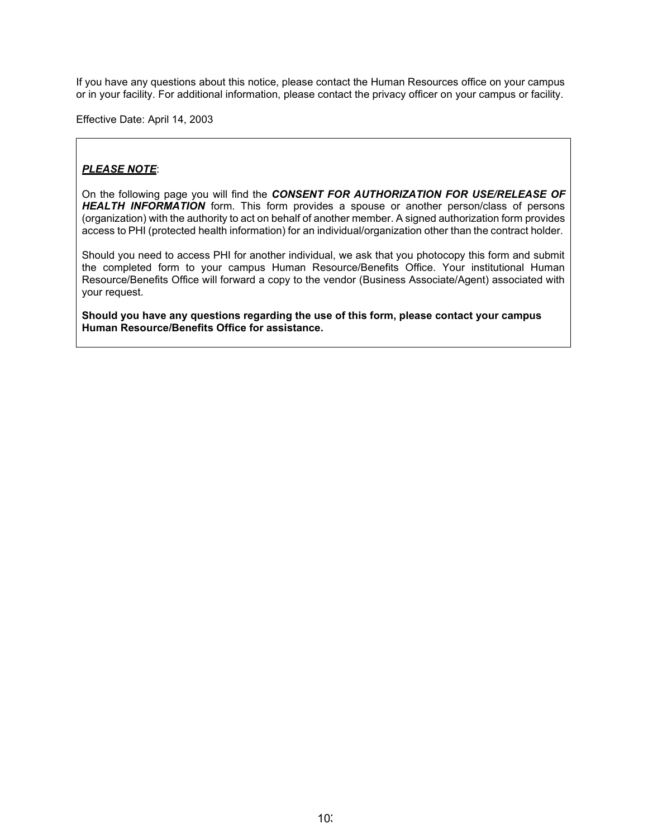If you have any questions about this notice, please contact the Human Resources office on your campus or in your facility. For additional information, please contact the privacy officer on your campus or facility.

Effective Date: April 14, 2003

## *PLEASE NOTE*:

On the following page you will find the *CONSENT FOR AUTHORIZATION FOR USE/RELEASE OF HEALTH INFORMATION* form. This form provides a spouse or another person/class of persons (organization) with the authority to act on behalf of another member. A signed authorization form provides access to PHI (protected health information) for an individual/organization other than the contract holder.

Should you need to access PHI for another individual, we ask that you photocopy this form and submit the completed form to your campus Human Resource/Benefits Office. Your institutional Human Resource/Benefits Office will forward a copy to the vendor (Business Associate/Agent) associated with your request.

**Should you have any questions regarding the use of this form, please contact your campus Human Resource/Benefits Office for assistance.**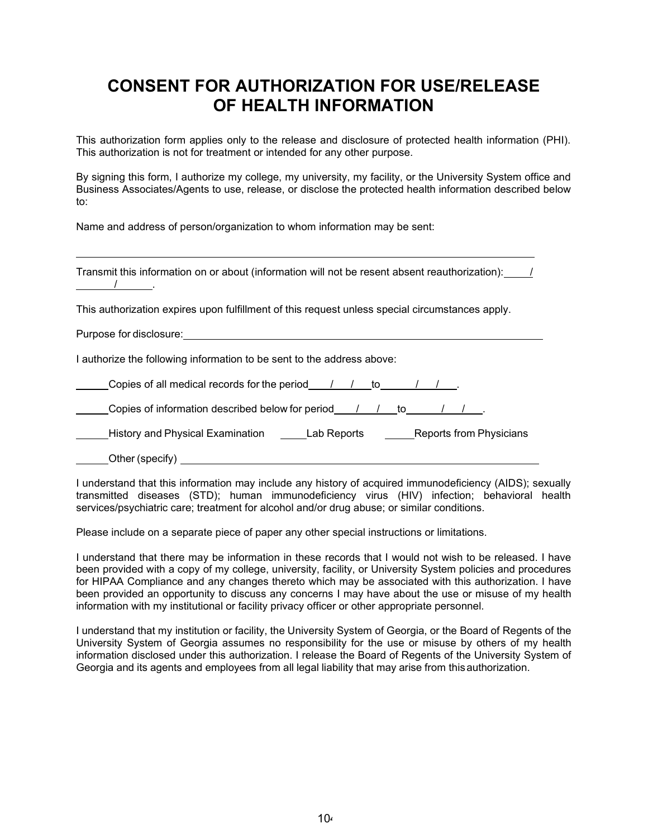# **CONSENT FOR AUTHORIZATION FOR USE/RELEASE OF HEALTH INFORMATION**

This authorization form applies only to the release and disclosure of protected health information (PHI). This authorization is not for treatment or intended for any other purpose.

By signing this form, I authorize my college, my university, my facility, or the University System office and Business Associates/Agents to use, release, or disclose the protected health information described below to:

Name and address of person/organization to whom information may be sent:

| Transmit this information on or about (information will not be resent absent reauthorization):                                                                                                  |  |  |  |
|-------------------------------------------------------------------------------------------------------------------------------------------------------------------------------------------------|--|--|--|
| This authorization expires upon fulfillment of this request unless special circumstances apply.                                                                                                 |  |  |  |
| Purpose for disclosure: <u>contained a series of the series of the series of the series of the series of the series of</u>                                                                      |  |  |  |
| I authorize the following information to be sent to the address above:                                                                                                                          |  |  |  |
| Copies of all medical records for the period $\left( \begin{array}{ccc} \end{array} \right)$ $\left( \begin{array}{ccc} \end{array} \right)$ to $\left( \begin{array}{ccc} \end{array} \right)$ |  |  |  |
| Copies of information described below for period / / / to /                                                                                                                                     |  |  |  |
| History and Physical Examination _______Lab Reports _________Reports from Physicians                                                                                                            |  |  |  |
| Other (specify)                                                                                                                                                                                 |  |  |  |

I understand that this information may include any history of acquired immunodeficiency (AIDS); sexually transmitted diseases (STD); human immunodeficiency virus (HIV) infection; behavioral health services/psychiatric care; treatment for alcohol and/or drug abuse; or similar conditions.

Please include on a separate piece of paper any other special instructions or limitations.

I understand that there may be information in these records that I would not wish to be released. I have been provided with a copy of my college, university, facility, or University System policies and procedures for HIPAA Compliance and any changes thereto which may be associated with this authorization. I have been provided an opportunity to discuss any concerns I may have about the use or misuse of my health information with my institutional or facility privacy officer or other appropriate personnel.

I understand that my institution or facility, the University System of Georgia, or the Board of Regents of the University System of Georgia assumes no responsibility for the use or misuse by others of my health information disclosed under this authorization. I release the Board of Regents of the University System of Georgia and its agents and employees from all legal liability that may arise from thisauthorization.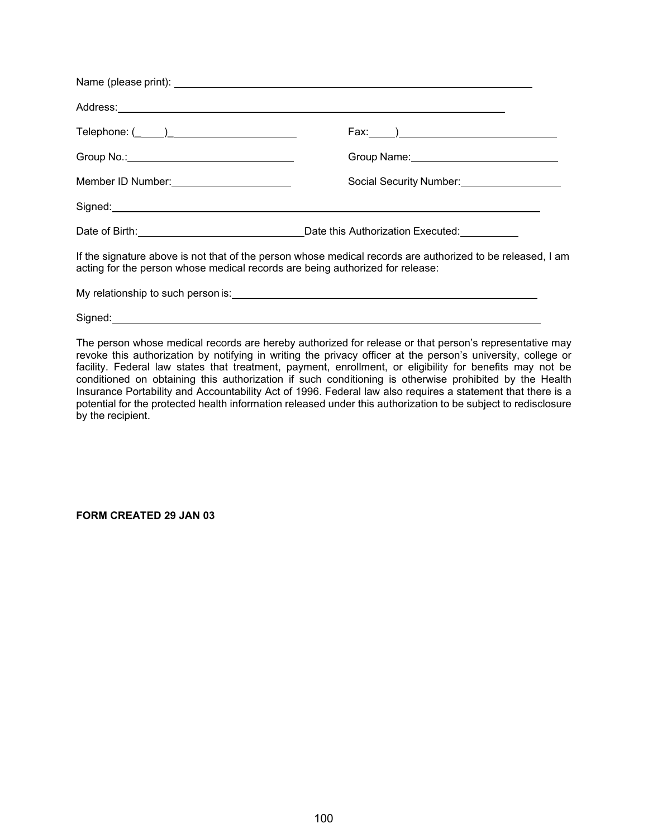| Telephone: (_____)________________________                                    |                                                                                                            |
|-------------------------------------------------------------------------------|------------------------------------------------------------------------------------------------------------|
|                                                                               |                                                                                                            |
| Member ID Number: 10 million control of the Member 10 Number:                 | Social Security Number: Social Security Number:                                                            |
|                                                                               |                                                                                                            |
|                                                                               |                                                                                                            |
| acting for the person whose medical records are being authorized for release: | If the signature above is not that of the person whose medical records are authorized to be released, I am |
|                                                                               |                                                                                                            |
|                                                                               |                                                                                                            |

The person whose medical records are hereby authorized for release or that person's representative may revoke this authorization by notifying in writing the privacy officer at the person's university, college or facility. Federal law states that treatment, payment, enrollment, or eligibility for benefits may not be conditioned on obtaining this authorization if such conditioning is otherwise prohibited by the Health Insurance Portability and Accountability Act of 1996. Federal law also requires a statement that there is a potential for the protected health information released under this authorization to be subject to redisclosure by the recipient.

**FORM CREATED 29 JAN 03**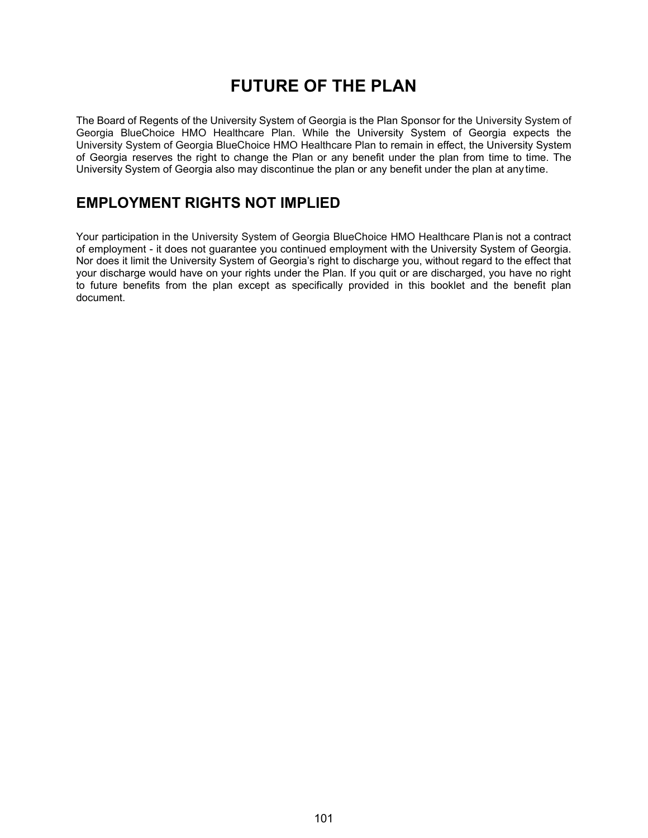# **FUTURE OF THE PLAN**

The Board of Regents of the University System of Georgia is the Plan Sponsor for the University System of Georgia BlueChoice HMO Healthcare Plan. While the University System of Georgia expects the University System of Georgia BlueChoice HMO Healthcare Plan to remain in effect, the University System of Georgia reserves the right to change the Plan or any benefit under the plan from time to time. The University System of Georgia also may discontinue the plan or any benefit under the plan at anytime.

## **EMPLOYMENT RIGHTS NOT IMPLIED**

Your participation in the University System of Georgia BlueChoice HMO Healthcare Planis not a contract of employment - it does not guarantee you continued employment with the University System of Georgia. Nor does it limit the University System of Georgia's right to discharge you, without regard to the effect that your discharge would have on your rights under the Plan. If you quit or are discharged, you have no right to future benefits from the plan except as specifically provided in this booklet and the benefit plan document.